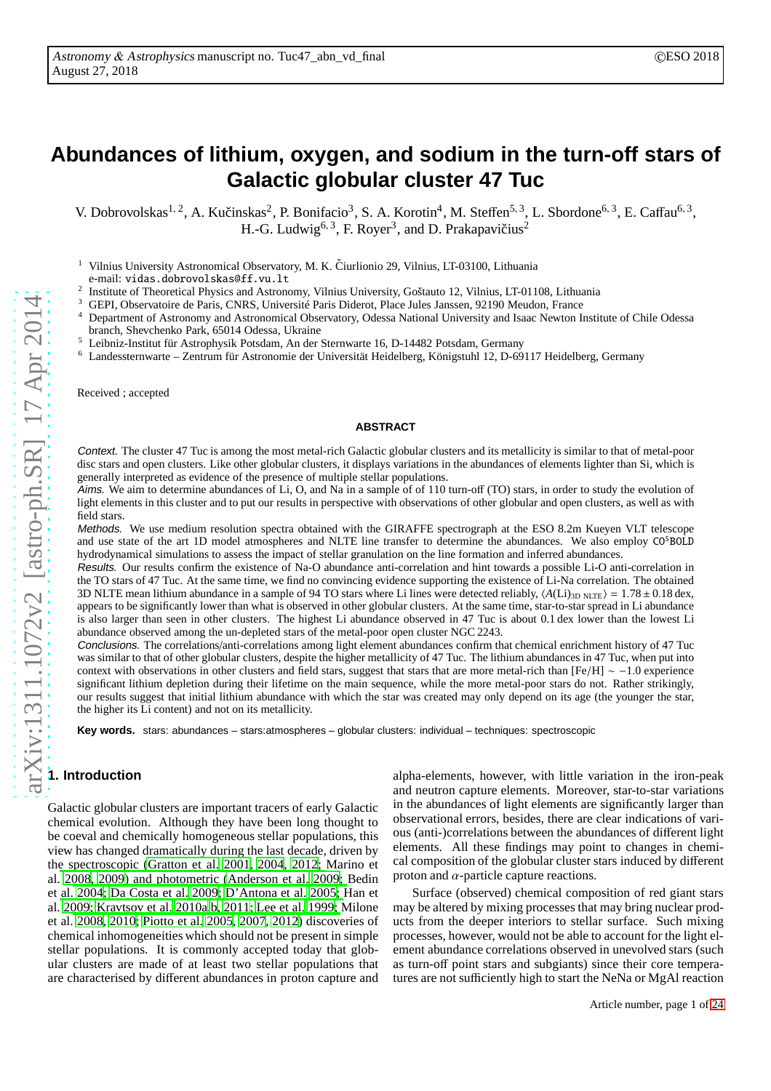# **Abundances of lithium, oxygen, and sodium in the turn-off stars of Galactic globular cluster 47 Tuc**

V. Dobrovolskas<sup>1, 2</sup>, A. Kučinskas<sup>2</sup>, P. Bonifacio<sup>3</sup>, S. A. Korotin<sup>4</sup>, M. Steffen<sup>5, 3</sup>, L. Sbordone<sup>6, 3</sup>, E. Caffau<sup>6, 3</sup>, H.-G. Ludwig<sup>6, 3</sup>, F. Royer<sup>3</sup>, and D. Prakapavičius<sup>2</sup>

<sup>1</sup> Vilnius University Astronomical Observatory, M. K. Čiurlionio 29, Vilnius, LT-03100, Lithuania e-mail: vidas.dobrovolskas@ff.vu.lt 2

Institute of Theoretical Physics and Astronomy, Vilnius University, Goštauto 12, Vilnius, LT-01108, Lithuania

<sup>3</sup> GEPI, Observatoire de Paris, CNRS, Université Paris Diderot, Place Jules Janssen, 92190 Meudon, France<br><sup>4</sup> Department of Astronomy and Astronomical Observatory, Odesse National University and Isaac Nauton Is

<sup>4</sup> Department of Astronomy and Astronomical Observatory, Odessa National University and Isaac Newton Institute of Chile Odessa branch, Shevchenko Park, 65014 Odessa, Ukraine

<sup>5</sup> Leibniz-Institut für Astrophysik Potsdam, An der Sternwarte 16, D-14482 Potsdam, Germany

<sup>6</sup> Landessternwarte – Zentrum für Astronomie der Universität Heidelberg, Königstuhl 12, D-69117 Heidelberg, Germany

Received ; accepted

#### **ABSTRACT**

Context. The cluster 47 Tuc is among the most metal-rich Galactic globular clusters and its metallicity is similar to that of metal-poor disc stars and open clusters. Like other globular clusters, it displays variations in the abundances of elements lighter than Si, which is generally interpreted as evidence of the presence of multiple stellar populations.

Aims. We aim to determine abundances of Li, O, and Na in a sample of of 110 turn-off (TO) stars, in order to study the evolution of light elements in this cluster and to put our results in perspective with observations of other globular and open clusters, as well as with field stars.

Methods. We use medium resolution spectra obtained with the GIRAFFE spectrograph at the ESO 8.2m Kueyen VLT telescope and use state of the art 1D model atmospheres and NLTE line transfer to determine the abundances. We also employ  $\text{CO}^5\text{BOLD}$ hydrodynamical simulations to assess the impact of stellar granulation on the line formation and inferred abundances.

Results. Our results confirm the existence of Na-O abundance anti-correlation and hint towards a possible Li-O anti-correlation in the TO stars of 47 Tuc. At the same time, we find no convincing evidence supporting the existence of Li-Na correlation. The obtained 3D NLTE mean lithium abundance in a sample of 94 TO stars where Li lines were detected reliably,  $\langle A(Li)_{3D \text{ NLTE}} \rangle = 1.78 \pm 0.18 \text{ dex}$ , appears to be significantly lower than what is observed in other globular clusters. At the same time, star-to-star spread in Li abundance is also larger than seen in other clusters. The highest Li abundance observed in 47 Tuc is about 0.1 dex lower than the lowest Li abundance observed among the un-depleted stars of the metal-poor open cluster NGC 2243.

Conclusions. The correlations/anti-correlations among light element abundances confirm that chemical enrichment history of 47 Tuc was similar to that of other globular clusters, despite the higher metallicity of 47 Tuc. The lithium abundances in 47 Tuc, when put into context with observations in other clusters and field stars, suggest that stars that are more metal-rich than [Fe/H] ∼ −1.0 experience significant lithium depletion during their lifetime on the main sequence, while the more metal-poor stars do not. Rather strikingly, our results suggest that initial lithium abundance with which the star was created may only depend on its age (the younger the star, the higher its Li content) and not on its metallicity.

**Key words.** stars: abundances – stars:atmospheres – globular clusters: individual – techniques: spectroscopic

# **1. Introduction**

Galactic globular clusters are important tracers of early Galactic chemical evolution. Although they have been long thought to be coeval and chemically homogeneous stellar populations, this view has changed dramatically during the last decade, driven by th[e spectroscopic](#page-14-3) [\(Gratton et al. 2001](#page-14-0)[,](#page-14-3) [2004](#page-14-1)[,](#page-14-3) [2012](#page-14-2)[;](#page-14-3) Marino et al. [2008](#page-14-3)[,](#page-14-6) [2009](#page-14-4)[\) and photometric](#page-14-6) [\(Anderson et al. 2009](#page-14-5)[;](#page-14-6) Bedin et [al.](#page-14-9) [2004](#page-14-6)[;](#page-14-9) [Da Costa et al. 2009](#page-14-7)[;](#page-14-9) [D'Antona et al. 2005](#page-14-8)[;](#page-14-9) Han et al. [2009](#page-14-9); [Kravtsov et al. 2010a](#page-14-10)[,b,](#page-14-11) [2011;](#page-14-12) [Lee et al. 1999](#page-14-13); Milone et al. [2008,](#page-14-14) [2010;](#page-14-15) [Piotto et al. 2005,](#page-15-0) [2007](#page-15-1), [2012](#page-15-2)) discoveries of chemical inhomogeneities which should not be present in simple stellar populations. It is commonly accepted today that globular clusters are made of at least two stellar populations that are characterised by different abundances in proton capture and

alpha-elements, however, with little variation in the iron-peak and neutron capture elements. Moreover, star-to-star variations in the abundances of light elements are significantly larger than observational errors, besides, there are clear indications of various (anti-)correlations between the abundances of different light elements. All these findings may point to changes in chemical composition of the globular cluster stars induced by different proton and  $\alpha$ -particle capture reactions.

Surface (observed) chemical composition of red giant stars may be altered by mixing processes that may bring nuclear products from the deeper interiors to stellar surface. Such mixing processes, however, would not be able to account for the light element abundance correlations observed in unevolved stars (such as turn-off point stars and subgiants) since their core temperatures are not sufficiently high to start the NeNa or MgAl reaction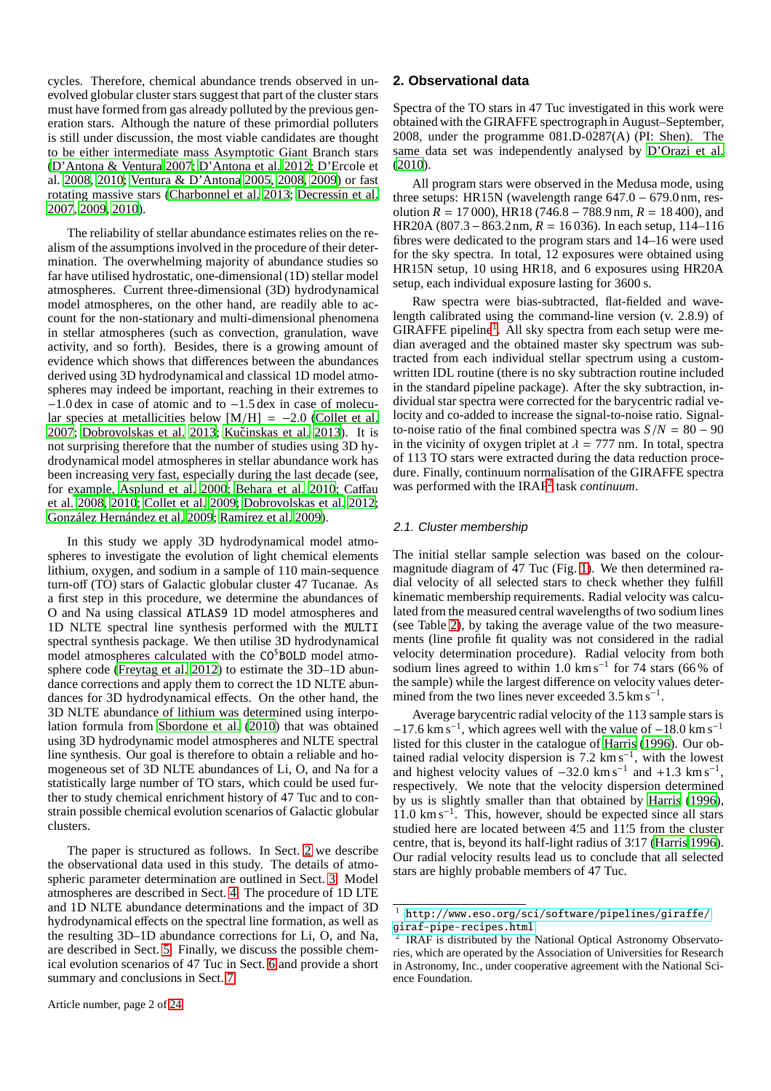cycles. Therefore, chemical abundance trends observed in unevolved globular cluster stars suggest that part of the cluster stars must have formed from gas already polluted by the previous generation stars. Although the nature of these primordial polluters is still under discussion, the most viable candidates are thought to be either intermediate mass Asymptotic Giant Branch stars [\(D'Antona & Ventura 2007](#page-14-16)[;](#page-14-18) [D'Antona et al. 2012;](#page-14-17) D'Ercole et al. [2008,](#page-14-18) [2010](#page-14-19); [Ventura & D'Antona 2005](#page-15-3), [2008,](#page-15-4) [2009](#page-15-5)) or fast rotating massive stars [\(Charbonnel et al. 2013;](#page-14-20) [Decressin et al.](#page-14-21) [2007,](#page-14-21) [2009,](#page-14-22) [2010\)](#page-14-23).

The reliability of stellar abundance estimates relies on the realism of the assumptions involved in the procedure of their determination. The overwhelming majority of abundance studies so far have utilised hydrostatic, one-dimensional (1D) stellar model atmospheres. Current three-dimensional (3D) hydrodynamical model atmospheres, on the other hand, are readily able to account for the non-stationary and multi-dimensional phenomena in stellar atmospheres (such as convection, granulation, wave activity, and so forth). Besides, there is a growing amount of evidence which shows that differences between the abundances derived using 3D hydrodynamical and classical 1D model atmospheres may indeed be important, reaching in their extremes to −1.0 dex in case of atomic and to −1.5 dex in case of molecular species at metallicities below  $[M/H] = -2.0$  [\(Collet et al.](#page-14-24) [2007;](#page-14-24) [Dobrovolskas et al. 2013;](#page-14-25) Kučinskas et al. 2013). It is not surprising therefore that the number of studies using 3D hydrodynamical model atmospheres in stellar abundance work has been increasing very fast, especially during the last decade (see, for e[xample,](#page-14-29) [Asplund et al. 2000](#page-14-27)[;](#page-14-29) [Behara et al. 2010](#page-14-28)[;](#page-14-29) Caffau et al. [2008](#page-14-29), [2010;](#page-14-30) [Collet et al. 2009](#page-14-31); [Dobrovolskas et al. 2012](#page-14-32); [González Hernández et al. 2009;](#page-14-33) [Ramírez et al. 2009\)](#page-15-6).

In this study we apply 3D hydrodynamical model atmospheres to investigate the evolution of light chemical elements lithium, oxygen, and sodium in a sample of 110 main-sequence turn-off (TO) stars of Galactic globular cluster 47 Tucanae. As a first step in this procedure, we determine the abundances of O and Na using classical ATLAS9 1D model atmospheres and 1D NLTE spectral line synthesis performed with the MULTI spectral synthesis package. We then utilise 3D hydrodynamical model atmospheres calculated with the CO<sup>5</sup>BOLD model atmosphere code [\(Freytag et al. 2012](#page-14-34)) to estimate the 3D–1D abundance corrections and apply them to correct the 1D NLTE abundances for 3D hydrodynamical effects. On the other hand, the 3D NLTE abundance of lithium was determined using interpolation formula from [Sbordone et al. \(2010\)](#page-15-7) that was obtained using 3D hydrodynamic model atmospheres and NLTE spectral line synthesis. Our goal is therefore to obtain a reliable and homogeneous set of 3D NLTE abundances of Li, O, and Na for a statistically large number of TO stars, which could be used further to study chemical enrichment history of 47 Tuc and to constrain possible chemical evolution scenarios of Galactic globular clusters.

The paper is structured as follows. In Sect. [2](#page-1-0) we describe the observational data used in this study. The details of atmospheric parameter determination are outlined in Sect. [3.](#page-2-0) Model atmospheres are described in Sect. [4.](#page-3-0) The procedure of 1D LTE and 1D NLTE abundance determinations and the impact of 3D hydrodynamical effects on the spectral line formation, as well as the resulting 3D–1D abundance corrections for Li, O, and Na, are described in Sect. [5.](#page-3-1) Finally, we discuss the possible chemical evolution scenarios of 47 Tuc in Sect. [6](#page-9-0) and provide a short summary and conclusions in Sect. [7.](#page-13-0)

## <span id="page-1-0"></span>**2. Observational data**

Spectra of the TO stars in 47 Tuc investigated in this work were obtained with the GIRAFFE spectrograph in August–September, 2008, under the programme 081.D-0287(A) (PI: Shen). The same data set was independently analysed by [D'Orazi et al.](#page-14-35) [\(2010\)](#page-14-35).

All program stars were observed in the Medusa mode, using three setups: HR15N (wavelength range 647.0 − 679.0 nm, resolution  $R = 17000$ , HR18 (746.8 – 788.9 nm,  $R = 18400$ ), and HR20A (807.3−863.2nm, *R* = 16 036). In each setup, 114–116 fibres were dedicated to the program stars and 14–16 were used for the sky spectra. In total, 12 exposures were obtained using HR15N setup, 10 using HR18, and 6 exposures using HR20A setup, each individual exposure lasting for 3600 s.

Raw spectra were bias-subtracted, flat-fielded and wavelength calibrated using the command-line version (v. 2.8.9) of GIRAFFE pipeline<sup>[1](#page-1-1)</sup>. All sky spectra from each setup were median averaged and the obtained master sky spectrum was subtracted from each individual stellar spectrum using a customwritten IDL routine (there is no sky subtraction routine included in the standard pipeline package). After the sky subtraction, individual star spectra were corrected for the barycentric radial velocity and co-added to increase the signal-to-noise ratio. Signalto-noise ratio of the final combined spectra was  $S/N = 80 - 90$ in the vicinity of oxygen triplet at  $\lambda = 777$  nm. In total, spectra of 113 TO stars were extracted during the data reduction procedure. Finally, continuum normalisation of the GIRAFFE spectra was performed with the IRAF[2](#page-1-2) task *continuum*.

# 2.1. Cluster membership

The initial stellar sample selection was based on the colourmagnitude diagram of 47 Tuc (Fig. [1\)](#page-2-1). We then determined radial velocity of all selected stars to check whether they fulfill kinematic membership requirements. Radial velocity was calculated from the measured central wavelengths of two sodium lines (see Table [2\)](#page-4-0), by taking the average value of the two measurements (line profile fit quality was not considered in the radial velocity determination procedure). Radial velocity from both sodium lines agreed to within 1.0 km s<sup>-1</sup> for 74 stars (66% of the sample) while the largest difference on velocity values determined from the two lines never exceeded  $3.5 \text{ km s}^{-1}$ .

Average barycentric radial velocity of the 113 sample stars is  $-17.6$  km s<sup>-1</sup>, which agrees well with the value of  $-18.0$  km s<sup>-1</sup> listed for this cluster in the catalogue of [Harris \(1996](#page-14-36)). Our obtained radial velocity dispersion is  $7.2 \text{ km s}^{-1}$ , with the lowest and highest velocity values of  $-32.0 \text{ km s}^{-1}$  and  $+1.3 \text{ km s}^{-1}$ , respectively. We note that the velocity dispersion determined by us is slightly smaller than that obtained by [Harris](#page-14-36) [\(1996\)](#page-14-36), 11.0 km s<sup>−</sup><sup>1</sup> . This, however, should be expected since all stars studied here are located between 4.5 and 11.5 from the cluster centre, that is, beyond its half-light radius of 3′ .17 [\(Harris 1996\)](#page-14-36). Our radial velocity results lead us to conclude that all selected stars are highly probable members of 47 Tuc.

<span id="page-1-1"></span><sup>1</sup> [http://www.eso.org/sci/software/pipelines/giraffe/](http://www.eso.org/sci/software/pipelines/giraffe/giraf-pipe-recipes.html) [giraf-pipe-recipes.html](http://www.eso.org/sci/software/pipelines/giraffe/giraf-pipe-recipes.html)<br><sup>2</sup> IRAE is distributed by the

<span id="page-1-2"></span>IRAF is distributed by the National Optical Astronomy Observatories, which are operated by the Association of Universities for Research in Astronomy, Inc., under cooperative agreement with the National Science Foundation.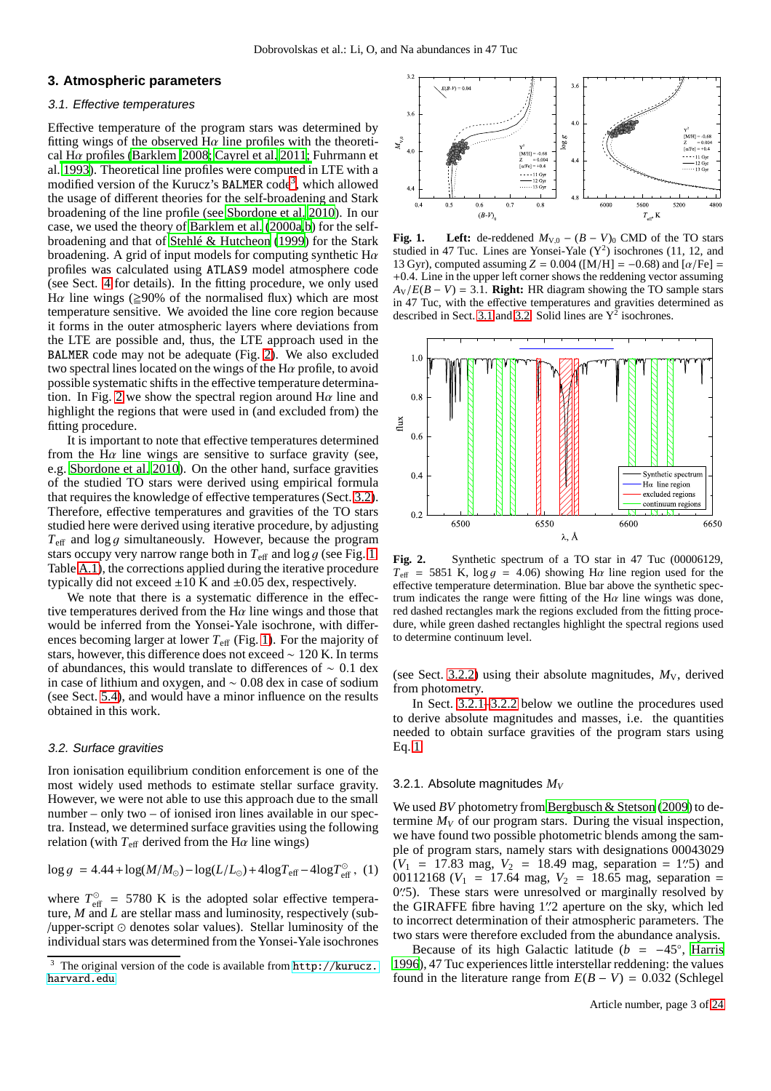## <span id="page-2-5"></span><span id="page-2-0"></span>**3. Atmospheric parameters**

## 3.1. Effective temperatures

Effective temperature of the program stars was determined by fitting wings of the observed  $H\alpha$  line profiles with the theoretical H $\alpha$  [profiles](#page-14-39) [\(Barklem 2008](#page-14-37)[;](#page-14-39) [Cayrel et al. 2011](#page-14-38); Fuhrmann et al. [1993\)](#page-14-39). Theoretical line profiles were computed in LTE with a modified version of the Kurucz's BALMER code<sup>[3](#page-2-2)</sup>, which allowed the usage of different theories for the self-broadening and Stark broadening of the line profile (see [Sbordone et al. 2010](#page-15-7)). In our case, we used the theory of [Barklem et al. \(2000a](#page-14-40)[,b](#page-14-41)) for the selfbroadening and that of [Stehlé & Hutcheon \(1999](#page-15-8)) for the Stark broadening. A grid of input models for computing synthetic  $H\alpha$ profiles was calculated using ATLAS9 model atmosphere code (see Sect. [4](#page-3-0) for details). In the fitting procedure, we only used H $\alpha$  line wings ( $\geq$ 90% of the normalised flux) which are most temperature sensitive. We avoided the line core region because it forms in the outer atmospheric layers where deviations from the LTE are possible and, thus, the LTE approach used in the BALMER code may not be adequate (Fig. [2\)](#page-2-3). We also excluded two spectral lines located on the wings of the H $\alpha$  profile, to avoid possible systematic shifts in the effective temperature determina-tion. In Fig. [2](#page-2-3) we show the spectral region around  $H\alpha$  line and highlight the regions that were used in (and excluded from) the fitting procedure.

It is important to note that effective temperatures determined from the H $\alpha$  line wings are sensitive to surface gravity (see, e.g. [Sbordone et al. 2010](#page-15-7)). On the other hand, surface gravities of the studied TO stars were derived using empirical formula that requires the knowledge of effective temperatures (Sect. [3.2\)](#page-2-4). Therefore, effective temperatures and gravities of the TO stars studied here were derived using iterative procedure, by adjusting  $T_{\text{eff}}$  and  $\log g$  simultaneously. However, because the program stars occupy very narrow range both in  $T_{\text{eff}}$  and log g (see Fig. [1,](#page-2-1) Table [A.1\)](#page-16-0), the corrections applied during the iterative procedure typically did not exceed  $\pm 10$  K and  $\pm 0.05$  dex, respectively.

We note that there is a systematic difference in the effective temperatures derived from the  $H\alpha$  line wings and those that would be inferred from the Yonsei-Yale isochrone, with differences becoming larger at lower  $T_{\text{eff}}$  (Fig. [1\)](#page-2-1). For the majority of stars, however, this difference does not exceed ∼ 120 K. In terms of abundances, this would translate to differences of ∼ 0.1 dex in case of lithium and oxygen, and ∼ 0.08 dex in case of sodium (see Sect. [5.4\)](#page-9-1), and would have a minor influence on the results obtained in this work.

#### <span id="page-2-4"></span>3.2. Surface gravities

Iron ionisation equilibrium condition enforcement is one of the most widely used methods to estimate stellar surface gravity. However, we were not able to use this approach due to the small number – only two – of ionised iron lines available in our spectra. Instead, we determined surface gravities using the following relation (with  $T_{\text{eff}}$  derived from the H $\alpha$  line wings)

$$
\log g\,=4.44+\log(M/M_\odot)-\log(L/L_\odot)+4\log T_{\rm eff}-4\log T_{\rm eff}^\odot\,,\ (1)
$$

where  $T_{\text{eff}}^{\odot}$  = 5780 K is the adopted solar effective temperature, *M* and *L* are stellar mass and luminosity, respectively (sub- /upper-script ⊙ denotes solar values). Stellar luminosity of the individual stars was determined from the Yonsei-Yale isochrones



<span id="page-2-1"></span>**Fig. 1.** Left: de-reddened  $M_{V,0} - (B - V)_{0}$  CMD of the TO stars studied in 47 Tuc. Lines are Yonsei-Yale  $(Y^2)$  isochrones (11, 12, and 13 Gyr), computed assuming  $Z = 0.004$  ([M/H] =  $-0.68$ ) and  $\alpha$ /Fe] = +0.4. Line in the upper left corner shows the reddening vector assuming  $A_V/E(B - V) = 3.1$ . **Right:** HR diagram showing the TO sample stars in 47 Tuc, with the effective temperatures and gravities determined as described in Sect. [3.1](#page-2-5) and [3.2.](#page-2-4) Solid lines are  $Y^2$  isochrones.



<span id="page-2-3"></span>Fig. 2. Synthetic spectrum of a TO star in 47 Tuc (00006129,  $T_{\text{eff}}$  = 5851 K,  $\log g$  = 4.06) showing H $\alpha$  line region used for the effective temperature determination. Blue bar above the synthetic spectrum indicates the range were fitting of the  $H\alpha$  line wings was done, red dashed rectangles mark the regions excluded from the fitting procedure, while green dashed rectangles highlight the spectral regions used to determine continuum level.

(see Sect. [3.2.2\)](#page-3-2) using their absolute magnitudes,  $M_V$ , derived from photometry.

In Sect. [3.2.1–](#page-2-6)[3.2.2](#page-3-2) below we outline the procedures used to derive absolute magnitudes and masses, i.e. the quantities needed to obtain surface gravities of the program stars using Eq. [1.](#page-2-7)

#### <span id="page-2-6"></span>3.2.1. Absolute magnitudes *M<sup>V</sup>*

<span id="page-2-7"></span>We used *BV* photometry from [Bergbusch & Stetson \(2009](#page-14-42)) to determine  $M_V$  of our program stars. During the visual inspection, we have found two possible photometric blends among the sample of program stars, namely stars with designations 00043029  $(V_1 = 17.83 \text{ mag}, V_2 = 18.49 \text{ mag}, \text{ separation} = 1\text{''}5) \text{ and}$ 00112168 ( $V_1$  = 17.64 mag,  $V_2$  = 18.65 mag, separation = 0".5). These stars were unresolved or marginally resolved by the GIRAFFE fibre having 1′′ .2 aperture on the sky, which led to incorrect determination of their atmospheric parameters. The two stars were therefore excluded from the abundance analysis.

Because of its high Galactic latitude ( $b = -45^\circ$ , [Harris](#page-14-36) [1996\)](#page-14-36), 47 Tuc experiences little interstellar reddening: the values found in the literature range from  $E(B - V) = 0.032$  (Schlegel

<span id="page-2-2"></span>The original version of the code is available from [http://kurucz.](http://kurucz.harvard.edu) [harvard.edu](http://kurucz.harvard.edu)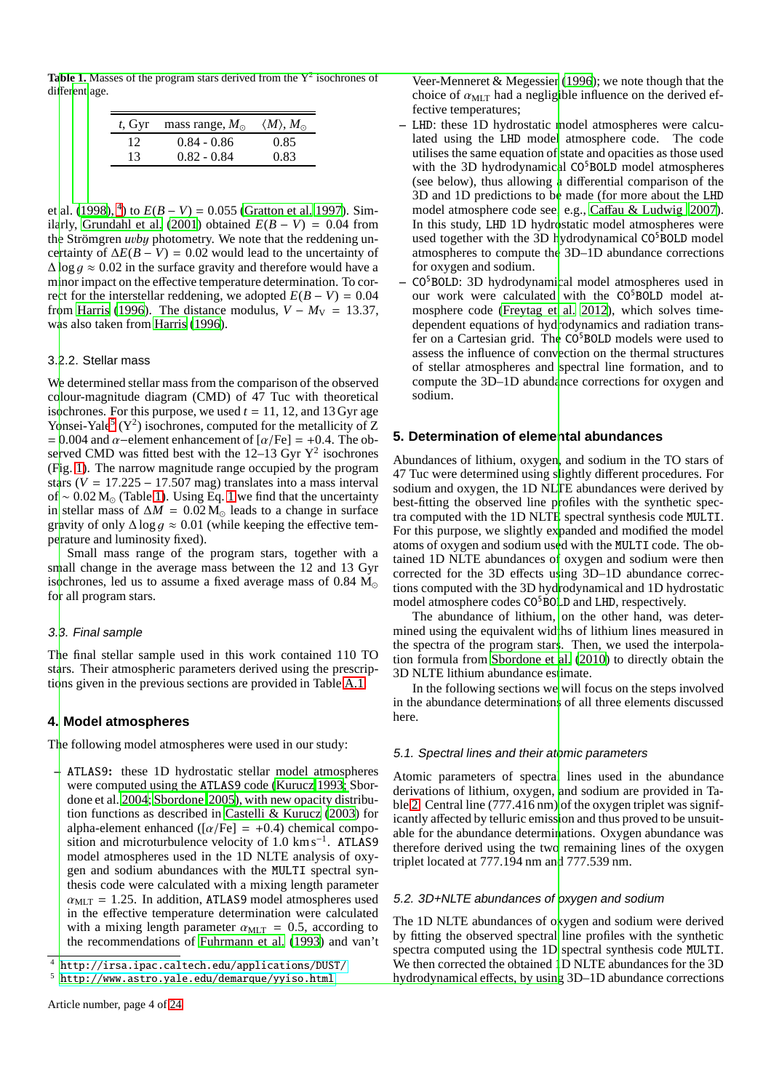**Table 1.** Masses of the program stars derived from the  $Y^2$  isochrones of diffe[rent](#page-15-9) age.

<span id="page-3-5"></span>

| $t$ , Gyr | mass range, $M_{\odot}$ | $\langle M \rangle, M_{\odot}$ |
|-----------|-------------------------|--------------------------------|
| 12        | $0.84 - 0.86$           | 0.85                           |
| 13        | $0.82 - 0.84$           | 0.83                           |

et al. [\(1998](#page-15-9)), <sup>[4](#page-3-3)</sup>) to  $E(B - V) = 0.055$  [\(Gratton et al. 1997\)](#page-14-43). Sim-ilarly, [Grundahl et al. \(2001](#page-14-44)) obtained  $E(B - V) = 0.04$  from the Strömgren *u*v*b*y photometry. We note that the reddening uncertainty of  $\Delta E(B - V) = 0.02$  would lead to the uncertainty of  $\Delta \log q \approx 0.02$  in the surface gravity and therefore would have a minor impact on the effective temperature determination. To correct for the interstellar reddening, we adopted  $E(B - V) = 0.04$ from [Harris \(1996](#page-14-36)). The distance modulus,  $V - M_V = 13.37$ , was also taken from [Harris \(1996](#page-14-36)).

## <span id="page-3-2"></span>3.2.2. Stellar mass

We determined stellar mass from the comparison of the observed colour-magnitude diagram (CMD) of 47 Tuc with theoretical isochrones. For this purpose, we used  $t = 11, 12,$  and 13 Gyr age Yonsei-Yale<sup>[5](#page-3-4)</sup> (Y<sup>2</sup>) isochrones, computed for the metallicity of Z  $= 0.004$  and  $\alpha$ –element enhancement of  $\lceil \alpha/\text{Fe} \rceil = +0.4$ . The observed CMD was fitted best with the  $12-13$  Gyr  $Y^2$  isochrones (F[ig. 1\). The narrow magnitude range occupied by the program](#page-15-12) stars  $(V = 17.225 - 17.507$  mag) translates into a mass interval of ~ 0.02 M<sub>☉</sub> (Table [1\)](#page-3-5). Using Eq. [1](#page-2-7) we find that the uncertainty in stellar mass of  $\Delta M = 0.02 M_{\odot}$  leads to a change in surface gravity of only  $\Delta \log g \approx 0.01$  (while keeping the effective temperature and luminosity fixed).

Small mass range of the program stars, together with a small change in the average mass between the 12 and 13 Gyr isochrones, led us to assume a fixed average mass of  $0.84 M_{\odot}$ for all program stars.

## 3.3. Final sample

The final stellar sample used in this work contained 110 TO stars. Their atmospheric parameters derived using the prescriptions given in the previous sections are provided in Table [A.1.](#page-16-0)

# <span id="page-3-0"></span>**4. Model atmospheres**

The following model atmospheres were used in our study:

**–** ATLAS9**:** these 1D hydrostatic stellar model atmospheres were computed using the ATLAS9 [code](#page-15-10) [\(Kurucz 1993](#page-14-45)[;](#page-15-10) Sbordone et al. [2004](#page-15-10); [Sbordone 2005](#page-15-11)), with new opacity distribution functions as described in [Castelli & Kurucz \(2003](#page-14-46)) for alpha-element enhanced ( $\left[\alpha/Fe\right] = +0.4$ ) chemical composition and microturbulence velocity of  $1.0 \text{ km s}^{-1}$ . ATLAS9 model atmospheres used in the 1D NLTE analysis of oxygen and sodium abundances with the MULTI spectral synthesis code were calculated with a mixing length parameter  $\alpha_{\text{MLT}} = 1.25$ . In addition, ATLAS9 model atmospheres used in the effective temperature determination were calculated with a mixing length parameter  $\alpha_{\text{MLT}} = 0.5$ , according to the recommendations of [Fuhrmann et al.](#page-14-39) [\(1993\)](#page-14-39) and van't

Veer-Menneret & Megessier [\(1996](#page-15-12)); we note though that the choice of  $\alpha_{\text{MLT}}$  had a negligible influence on the derived effective temperatures;

- **–** LHD: these 1D hydrostatic model atmospheres were calculated using the LHD model atmosphere code. The code utilises the same equation of state and opacities as those used with the 3D hydrodynamical  $CO<sup>5</sup>BOLD$  model atmospheres (see below), thus allowing a differential comparison of the 3D and 1D predictions to be made (for more about the LHD model atmosphere code see, e.g., Caff[au & Ludwig 2007\)](#page-14-47). In this study, LHD 1D hydrostatic model atmospheres were used together with the 3D hydrodynamical CO<sup>5</sup>BOLD model atmospheres to compute the 3D–1D abundance corrections for oxygen and sodium.
- **–** CO<sup>5</sup>BOLD: 3D hydrodynamical model atmospheres used in our work were calculated with the CO<sup>5</sup>BOLD model atmosphere code [\(Freytag et al. 2012\)](#page-14-34), which solves timedependent equations of hydrodynamics and radiation transfer on a Cartesian grid. The  $CO<sup>5</sup>BOLD$  models were used to assess the influence of convection on the thermal structures of stellar atmospheres and spectral line formation, and to compute the 3D–1D abundance corrections for oxygen and sodium.

## <span id="page-3-1"></span>**5. Determination of elemental abundances**

Abundances of lithium, oxygen, and sodium in the TO stars of 47 Tuc were determined using slightly different procedures. For sodium and oxygen, the 1D NLTE abundances were derived by best-fitting the observed line profiles with the synthetic spectra computed with the 1D NLTE spectral synthesis code MULTI. For this purpose, we slightly expanded and modified the model atoms of oxygen and sodium used with the MULTI code. The obtained 1D NLTE abundances of oxygen and sodium were then corrected for the 3D effects using 3D–1D abundance corrections computed with the 3D hydrodynamical and 1D hydrostatic model atmosphere codes CO<sup>5</sup>BOLD and LHD, respectively.

The abundance of lithium, on the other hand, was determined using the equivalent widths of lithium lines measured in the spectra of the program stars. Then, we used the interpolation formula from [Sbordone et al. \(2010](#page-15-7)) to directly obtain the 3D NLTE lithium abundance estimate.

In the following sections we will focus on the steps involved in the abundance determinations of all three elements discussed here.

#### 5.1. Spectral lines and their atomic parameters

Atomic parameters of spectral lines used in the abundance derivations of lithium, oxygen, and sodium are provided in Ta-ble [2.](#page-4-0) Central line (777.416 nm) of the oxygen triplet was significantly affected by telluric emission and thus proved to be unsuitable for the abundance determinations. Oxygen abundance was therefore derived using the two remaining lines of the oxygen triplet located at 777.194 nm and 777.539 nm.

#### 5.2. 3D+NLTE abundances of oxygen and sodium

The 1D NLTE abundances of oxygen and sodium were derived by fitting the observed spectral line profiles with the synthetic spectra computed using the 1D spectral synthesis code MULTI. We then corrected the obtained 1D NLTE abundances for the 3D hydrodynamical effects, by using 3D–1D abundance corrections

<sup>4</sup> <http://irsa.ipac.caltech.edu/applications/DUST/>

<span id="page-3-4"></span><span id="page-3-3"></span><sup>5</sup> <http://www.astro.yale.edu/demarque/yyiso.html>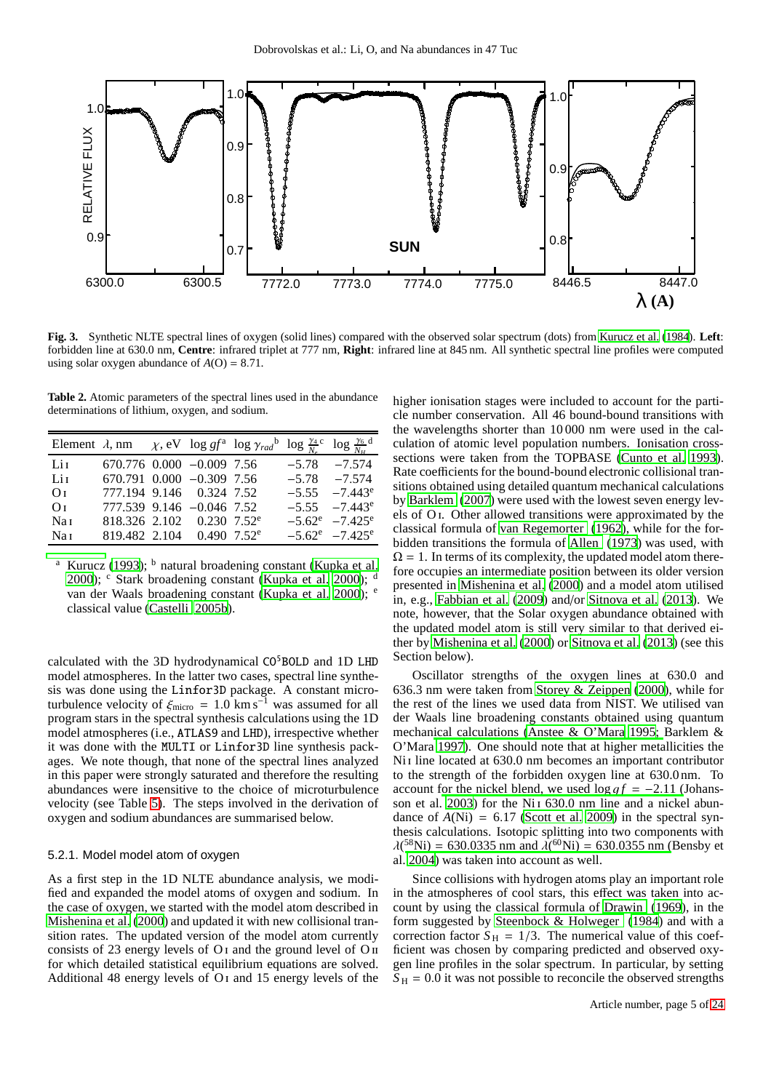

<span id="page-4-1"></span>**Fig. 3.** Synthetic NLTE spectral lines of oxygen (solid lines) compared with the observed solar spectrum (dots) from [Kurucz et al. \(1984\)](#page-14-48). **Left**: forbidden line at 630.0 nm, **Centre**: infrared triplet at 777 nm, **Right**: infrared line at 845 nm. All synthetic spectral line profiles were computed using solar oxygen abundance of  $A(O) = 8.71$ .

<span id="page-4-0"></span>**Table 2.** Atomic parameters of the spectral lines used in the abundance determinations of lithium, oxygen, and sodium.

|                 |                                         |  | Element $\lambda$ , nm $\chi$ , eV $\log gf^{\text{a}} \log \gamma_{rad}^{\text{b}} \log \frac{\gamma_4}{N_a} \log \frac{\gamma_6}{N_a}$ |                      |
|-----------------|-----------------------------------------|--|------------------------------------------------------------------------------------------------------------------------------------------|----------------------|
| Lit             | $670.776$ $0.000$ $-0.009$ 7.56         |  |                                                                                                                                          | $-5.78$ $-7.574$     |
| Lit             | 670.791 0.000 -0.309 7.56               |  |                                                                                                                                          | $-5.78$ $-7.574$     |
| Oτ              | 777.194 9.146 0.324 7.52                |  |                                                                                                                                          | $-5.55 -7.443^e$     |
| Oτ              | 777.539 9.146 -0.046 7.52               |  |                                                                                                                                          | $-5.55 -7.443^e$     |
| Na 1            | $818.326$ 2.102 0.230 7.52 <sup>e</sup> |  |                                                                                                                                          | $-5.62^e$ $-7.425^e$ |
| Na <sub>I</sub> | 819.482 2.104 0.490 7.52 <sup>e</sup>   |  |                                                                                                                                          | $-5.62^e$ $-7.425^e$ |

Kurucz [\(1993\)](#page-14-45);  $<sup>b</sup>$  n[a](#page-14-45)tural broadening constant [\(Kupka et al.](#page-14-49)</sup> [2000\)](#page-14-49);  $\text{c}$  Stark broadening constant [\(Kupka et al. 2000\)](#page-14-49); d van der Waals broadening constant [\(Kupka et al. 2000](#page-14-49)); e classical value [\(Castelli 2005b\)](#page-14-50).

calculated with the 3D hydrodynamical  $CO<sup>5</sup>BOLD$  and 1D LHD model atmospheres. In the latter two cases, spectral line synthesis was done using the Linfor3D package. A constant microturbulence velocity of  $\xi_{\text{micro}} = 1.0 \text{ km s}^{-1}$  was assumed for all program stars in the spectral synthesis calculations using the 1D model atmospheres (i.e., ATLAS9 and LHD), irrespective whether it was done with the MULTI or Linfor3D line synthesis packages. We note though, that none of the spectral lines analyzed in this paper were strongly saturated and therefore the resulting abundances were insensitive to the choice of microturbulence velocity (see Table [5\)](#page-9-2). The steps involved in the derivation of oxygen and sodium abundances are summarised below.

## 5.2.1. Model model atom of oxygen

As a first step in the 1D NLTE abundance analysis, we modified and expanded the model atoms of oxygen and sodium. In the case of oxygen, we started with the model atom described in [Mishenina et al. \(2000](#page-14-51)) and updated it with new collisional transition rates. The updated version of the model atom currently consists of 23 energy levels of  $O<sub>I</sub>$  and the ground level of  $O<sub>II</sub>$ for which detailed statistical equilibrium equations are solved. Additional 48 energy levels of O<sub>I</sub> and 15 energy levels of the higher ionisation stages were included to account for the particle number conservation. All 46 bound-bound transitions with the wavelengths shorter than 10 000 nm were used in the calculation of atomic level population numbers. Ionisation crosssections were taken from the TOPBASE [\(Cunto et al. 1993\)](#page-14-52). Rate coefficients for the bound-bound electronic collisional transitions obtained using detailed quantum mechanical calculations by [Barklem \(2007](#page-14-53)) were used with the lowest seven energy levels of O i. Other allowed transitions were approximated by the classical formula of [van Regemorter](#page-15-13) [\(1962\)](#page-15-13), while for the forbidden transitions the formula of [Allen](#page-14-54) [\(1973\)](#page-14-54) was used, with  $\Omega = 1$ . In terms of its complexity, the updated model atom therefore occupies an intermediate position between its older version presented in [Mishenina et al.](#page-14-51) [\(2000\)](#page-14-51) and a model atom utilised in, e.g., [Fabbian et al. \(2009](#page-14-55)) and/or [Sitnova et al. \(2013](#page-15-14)). We note, however, that the Solar oxygen abundance obtained with the updated model atom is still very similar to that derived either by [Mishenina et al. \(2000\)](#page-14-51) or [Sitnova et al. \(2013\)](#page-15-14) (see this Section below).

Oscillator strengths of the oxygen lines at 630.0 and 636.3 nm were taken from [Storey & Zeippen](#page-15-15) [\(2000\)](#page-15-15), while for the rest of the lines we used data from NIST. We utilised van der Waals line broadening constants obtained using quantum mechan[ical calculations](#page-14-57) [\(Anstee & O'Mara 1995](#page-14-56)[;](#page-14-57) Barklem & O'Mara [1997](#page-14-57)). One should note that at higher metallicities the Ni<sub>I</sub> line located at 630.0 nm becomes an important contributor to the strength of the forbidden oxygen line at 630.0 nm. To account for the nickel blend, we used  $\log gf = -2.11$  (Johans-son et al. [2003](#page-14-58)) for the Ni<sub>1</sub> 630.0 nm line and a nickel abundance of  $A(Ni) = 6.17$  [\(Scott et al. 2009](#page-15-16)) in the spectral synthesis calculations. Isotopic splitting into two components with  $\lambda$ (<sup>58</sup>Ni) = 630.[0335 nm and](#page-14-59)  $\lambda$ (<sup>60</sup>Ni) = 630.0355 nm (Bensby et al. [2004\)](#page-14-59) was taken into account as well.

Since collisions with hydrogen atoms play an important role in the atmospheres of cool stars, this effect was taken into account by using the classical formula of [Drawin \(1969](#page-14-60)), in the form suggested by [Steenbock & Holweger \(1984](#page-15-17)) and with a correction factor  $S_H = 1/3$ . The numerical value of this coefficient was chosen by comparing predicted and observed oxygen line profiles in the solar spectrum. In particular, by setting  $S_H = 0.0$  it was not possible to reconcile the observed strengths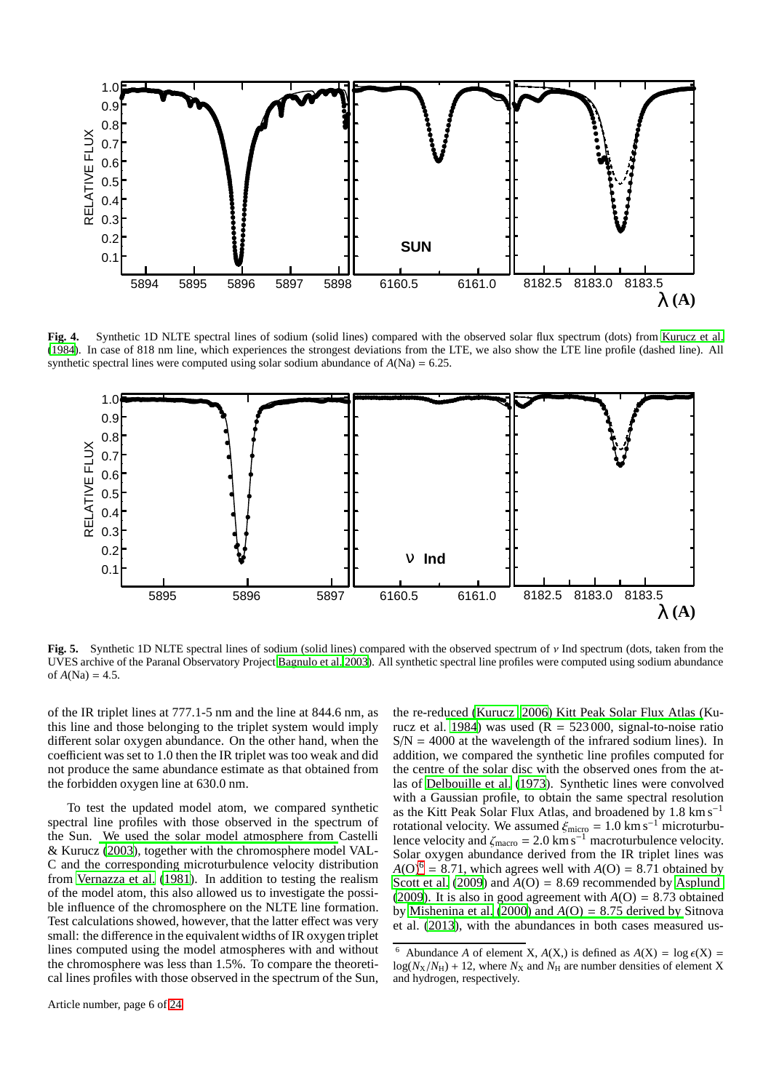

<span id="page-5-1"></span>**Fig. 4.** Synthetic 1D NLTE spectral lines of sodium (solid lines) compared with the observed solar flux spectrum (dots) from [Kurucz et al.](#page-14-48) [\(1984\)](#page-14-48). In case of 818 nm line, which experiences the strongest deviations from the LTE, we also show the LTE line profile (dashed line). All synthetic spectral lines were computed using solar sodium abundance of  $A(Na) = 6.25$ .



<span id="page-5-2"></span>**Fig. 5.** Synthetic 1D NLTE spectral lines of sodium (solid lines) compared with the observed spectrum of ν Ind spectrum (dots, taken from the UVES archive of the Paranal Observatory Project [Bagnulo et al. 2003\)](#page-14-61). All synthetic spectral line profiles were computed using sodium abundance of  $A(Na) = 4.5$ .

of the IR triplet lines at 777.1-5 nm and the line at 844.6 nm, as this line and those belonging to the triplet system would imply different solar oxygen abundance. On the other hand, when the coefficient was set to 1.0 then the IR triplet was too weak and did not produce the same abundance estimate as that obtained from the forbidden oxygen line at 630.0 nm.

To test the updated model atom, we compared synthetic spectral line profiles with those observed in the spectrum of the Sun. [We used the solar model atmosphere from](#page-14-46) Castelli & Kurucz [\(2003\)](#page-14-46), together with the chromosphere model VAL-C and the corresponding microturbulence velocity distribution from [Vernazza et al.](#page-15-18) [\(1981\)](#page-15-18). In addition to testing the realism of the model atom, this also allowed us to investigate the possible influence of the chromosphere on the NLTE line formation. Test calculations showed, however, that the latter effect was very small: the difference in the equivalent widths of IR oxygen triplet lines computed using the model atmospheres with and without the chromosphere was less than 1.5%. To compare the theoretical lines profiles with those observed in the spectrum of the Sun,

the re-red[uced](#page-14-48) [\(Kurucz 2006](#page-14-62)[\) Kitt Peak Solar Flux Atlas \(](#page-14-48)Ku-rucz et al. [1984](#page-14-48)) was used  $(R = 523,000)$ , signal-to-noise ratio  $S/N = 4000$  at the wavelength of the infrared sodium lines). In addition, we compared the synthetic line profiles computed for the centre of the solar disc with the observed ones from the atlas of [Delbouille et al. \(1973](#page-14-63)). Synthetic lines were convolved with a Gaussian profile, to obtain the same spectral resolution as the Kitt Peak Solar Flux Atlas, and broadened by 1.8 km s<sup>−</sup><sup>1</sup> rotational velocity. We assumed  $\xi_{micro} = 1.0 \text{ km s}^{-1}$  microturbulence velocity and  $\zeta_{\text{macro}} = 2.0 \text{ km s}^{-1}$  macroturbulence velocity. Solar oxygen abundance derived from the IR triplet lines was  $A(O)^6 = 8.71$  $A(O)^6 = 8.71$  $A(O)^6 = 8.71$ , which agrees well with  $A(O) = 8.71$  obtained by [Scott et al.](#page-15-16)  $(2009)$  and  $A(O) = 8.69$  recommended by [Asplund](#page-14-64) [\(2009\)](#page-14-64). It is also in good agreement with  $A(O) = 8.73$  obtained by [Mishenina et al.](#page-14-51) $(2000)$  $(2000)$  and  $A(O) = 8.75$  derived by Sitnova et al. [\(2013\)](#page-15-14), with the abundances in both cases measured us-

<span id="page-5-0"></span>Abundance *A* of element *X*,  $A(X)$  is defined as  $A(X) = \log \epsilon(X)$  $log(N_X/N_H) + 12$ , where  $N_X$  and  $N_H$  are number densities of element X and hydrogen, respectively.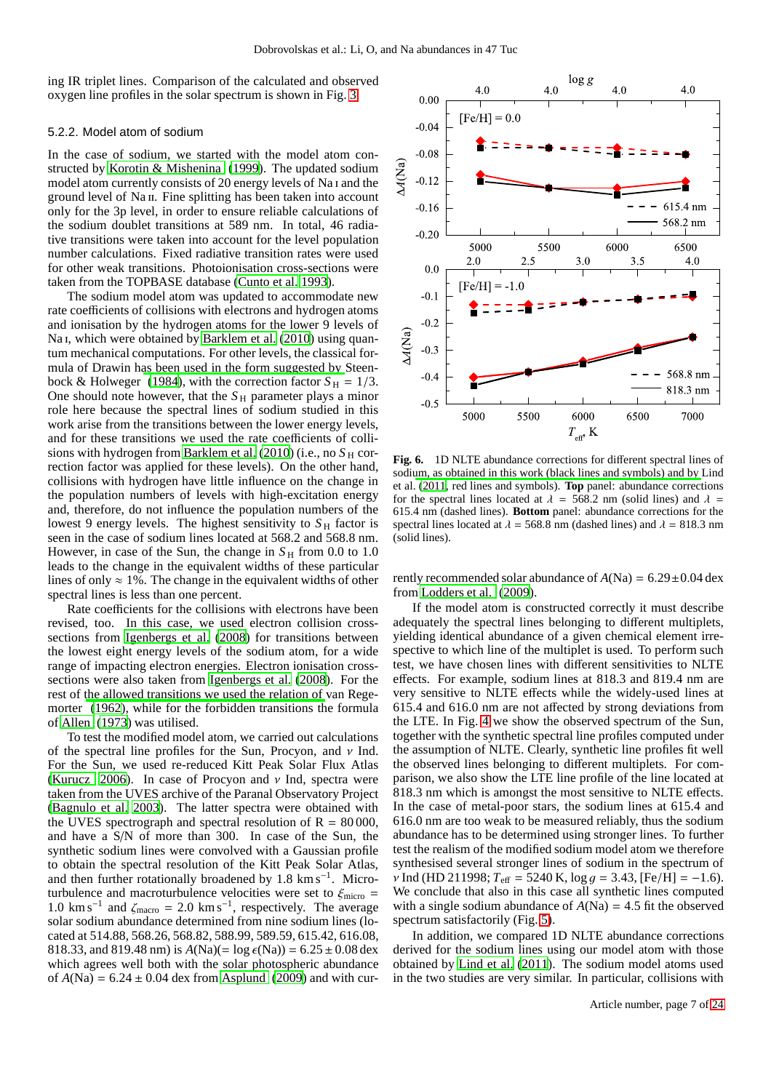ing IR triplet lines. Comparison of the calculated and observed oxygen line profiles in the solar spectrum is shown in Fig. [3.](#page-4-1)

#### 5.2.2. Model atom of sodium

In the case of sodium, we started with the model atom constructed by [Korotin & Mishenina](#page-14-65) [\(1999\)](#page-14-65). The updated sodium model atom currently consists of 20 energy levels of Na i and the ground level of Na<sub>II</sub>. Fine splitting has been taken into account only for the 3p level, in order to ensure reliable calculations of the sodium doublet transitions at 589 nm. In total, 46 radiative transitions were taken into account for the level population number calculations. Fixed radiative transition rates were used for other weak transitions. Photoionisation cross-sections were taken from the TOPBASE database [\(Cunto et al. 1993\)](#page-14-52).

The sodium model atom was updated to accommodate new rate coefficients of collisions with electrons and hydrogen atoms and ionisation by the hydrogen atoms for the lower 9 levels of Na<sub>I</sub>, which were obtained by [Barklem et al. \(2010](#page-14-66)) using quantum mechanical computations. For other levels, the classical formula of Drawin h[as been used in the form suggested by](#page-15-17) Steen-bock & Holweger [\(1984\)](#page-15-17), with the correction factor  $S_H = 1/3$ . One should note however, that the  $S_H$  parameter plays a minor role here because the spectral lines of sodium studied in this work arise from the transitions between the lower energy levels, and for these transitions we used the rate coefficients of collisions with hydrogen from Barklem et al.  $(2010)$  (i.e., no  $S_H$  correction factor was applied for these levels). On the other hand, collisions with hydrogen have little influence on the change in the population numbers of levels with high-excitation energy and, therefore, do not influence the population numbers of the lowest 9 energy levels. The highest sensitivity to  $S_H$  factor is seen in the case of sodium lines located at 568.2 and 568.8 nm. However, in case of the Sun, the change in  $S_H$  from 0.0 to 1.0 leads to the change in the equivalent widths of these particular lines of only  $\approx 1\%$ . The change in the equivalent widths of other spectral lines is less than one percent.

Rate coefficients for the collisions with electrons have been revised, too. In this case, we used electron collision crosssections from [Igenbergs et al. \(2008\)](#page-14-67) for transitions between the lowest eight energy levels of the sodium atom, for a wide range of impacting electron energies. Electron ionisation crosssections were also taken from [Igenbergs et al. \(2008\)](#page-14-67). For the rest of [the allowed transitions we used the relation of](#page-15-13) van Regemorter [\(1962](#page-15-13)), while for the forbidden transitions the formula of [Allen \(1973](#page-14-54)) was utilised.

To test the modified model atom, we carried out calculations of the spectral line profiles for the Sun, Procyon, and  $\nu$  Ind. For the Sun, we used re-reduced Kitt Peak Solar Flux Atlas [\(Kurucz 2006](#page-14-62)). In case of Procyon and  $\nu$  Ind, spectra were taken from the UVES archive of the Paranal Observatory Project [\(Bagnulo et al. 2003](#page-14-61)). The latter spectra were obtained with the UVES spectrograph and spectral resolution of  $R = 80000$ , and have a S/N of more than 300. In case of the Sun, the synthetic sodium lines were convolved with a Gaussian profile to obtain the spectral resolution of the Kitt Peak Solar Atlas, and then further rotationally broadened by 1.8 km s<sup>-1</sup>. Microturbulence and macroturbulence velocities were set to  $\xi_{\text{micro}} =$ 1.0 km s<sup>-1</sup> and  $\zeta_{\text{macro}} = 2.0 \text{ km s}^{-1}$ , respectively. The average solar sodium abundance determined from nine sodium lines (located at 514.88, 568.26, 568.82, 588.99, 589.59, 615.42, 616.08, 818.33, and 819.48 nm) is  $A(Na)(= \log \epsilon(Na)) = 6.25 \pm 0.08$  dex which agrees well both with the solar photospheric abundance of  $A(Na) = 6.24 \pm 0.04$  dex from [Asplund \(2009](#page-14-64)) and with cur-



<span id="page-6-0"></span>**Fig. 6.** 1D NLTE abundance corrections for different spectral lines of sodi[um, as obtained in this work \(black lines and symbols\) and by](#page-14-68) Lind et al. [\(2011](#page-14-68), red lines and symbols). **Top** panel: abundance corrections for the spectral lines located at  $\lambda = 568.2$  nm (solid lines) and  $\lambda =$ 615.4 nm (dashed lines). **Bottom** panel: abundance corrections for the spectral lines located at  $\lambda = 568.8$  nm (dashed lines) and  $\lambda = 818.3$  nm (solid lines).

rently recommended solar abundance of  $A(Na) = 6.29 \pm 0.04$  dex from [Lodders et al.](#page-14-69) [\(2009\)](#page-14-69).

If the model atom is constructed correctly it must describe adequately the spectral lines belonging to different multiplets, yielding identical abundance of a given chemical element irrespective to which line of the multiplet is used. To perform such test, we have chosen lines with different sensitivities to NLTE effects. For example, sodium lines at 818.3 and 819.4 nm are very sensitive to NLTE effects while the widely-used lines at 615.4 and 616.0 nm are not affected by strong deviations from the LTE. In Fig. [4](#page-5-1) we show the observed spectrum of the Sun, together with the synthetic spectral line profiles computed under the assumption of NLTE. Clearly, synthetic line profiles fit well the observed lines belonging to different multiplets. For comparison, we also show the LTE line profile of the line located at 818.3 nm which is amongst the most sensitive to NLTE effects. In the case of metal-poor stars, the sodium lines at 615.4 and 616.0 nm are too weak to be measured reliably, thus the sodium abundance has to be determined using stronger lines. To further test the realism of the modified sodium model atom we therefore synthesised several stronger lines of sodium in the spectrum of  $\nu$  Ind (HD 211998;  $T_{\text{eff}} = 5240 \text{ K}$ ,  $\log g = 3.43$ , [Fe/H] = -1.6). We conclude that also in this case all synthetic lines computed with a single sodium abundance of  $A(Na) = 4.5$  fit the observed spectrum satisfactorily (Fig. [5\)](#page-5-2).

In addition, we compared 1D NLTE abundance corrections derived for the sodium lines using our model atom with those obtained by [Lind et al.](#page-14-68) [\(2011\)](#page-14-68). The sodium model atoms used in the two studies are very similar. In particular, collisions with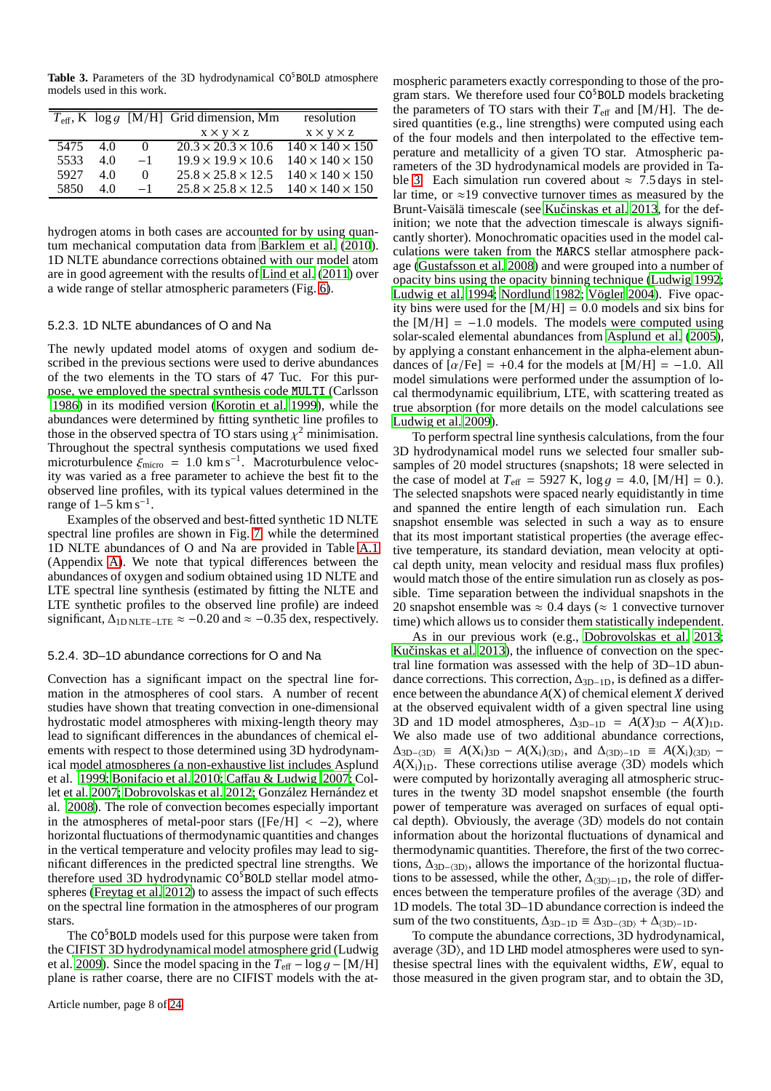<span id="page-7-0"></span>Table 3. Parameters of the 3D hydrodynamical CO<sup>5</sup>BOLD atmosphere models used in this work.

|      |     |          | $T_{\text{eff}}$ , K $\log q$ [M/H] Grid dimension, Mm     | resolution                  |
|------|-----|----------|------------------------------------------------------------|-----------------------------|
|      |     |          | $X \times Y \times Z$                                      | $X \times Y \times Z$       |
| 5475 | 40  | $\Omega$ | $20.3 \times 20.3 \times 10.6$ $140 \times 140 \times 150$ |                             |
| 5533 | 4 Q | $-1$     | $19.9 \times 19.9 \times 10.6$                             | $140 \times 140 \times 150$ |
| 5927 | 4 Q | 0        | $25.8 \times 25.8 \times 12.5$                             | $140 \times 140 \times 150$ |
| 5850 | 4 O | $-1$     | $25.8 \times 25.8 \times 12.5$ $140 \times 140 \times 150$ |                             |

hydrogen atoms in both cases are accounted for by using quantum mechanical computation data from [Barklem et al. \(2010](#page-14-66)). 1D NLTE abundance corrections obtained with our model atom are in good agreement with the results of [Lind et al. \(2011](#page-14-68)) over a wide range of stellar atmospheric parameters (Fig. [6\)](#page-6-0).

#### 5.2.3. 1D NLTE abundances of O and Na

The newly updated model atoms of oxygen and sodium described in the previous sections were used to derive abundances of the two elements in the TO stars of 47 Tuc. For this pur[pose, we employed the spectral synthesis code](#page-14-70) MULTI (Carlsson [1986\)](#page-14-70) in its modified version [\(Korotin et al. 1999\)](#page-14-71), while the abundances were determined by fitting synthetic line profiles to those in the observed spectra of TO stars using  $\chi^2$  minimisation. Throughout the spectral synthesis computations we used fixed microturbulence  $\dot{\xi}_{\text{micro}} = 1.0 \text{ km s}^{-1}$ . Macroturbulence velocity was varied as a free parameter to achieve the best fit to the observed line profiles, with its typical values determined in the range of  $1-5$  km s<sup>-1</sup>.

Examples of the observed and best-fitted synthetic 1D NLTE spectral line profiles are shown in Fig. [7,](#page-8-0) while the determined 1D NLTE abundances of O and Na are provided in Table [A.1](#page-16-0) (Appendix [A\)](#page-15-19). We note that typical differences between the abundances of oxygen and sodium obtained using 1D NLTE and LTE spectral line synthesis (estimated by fitting the NLTE and LTE synthetic profiles to the observed line profile) are indeed significant,  $\Delta_{\text{1D NLTE–LTE}} \approx -0.20$  and  $\approx -0.35$  dex, respectively.

#### <span id="page-7-1"></span>5.2.4. 3D–1D abundance corrections for O and Na

Convection has a significant impact on the spectral line formation in the atmospheres of cool stars. A number of recent studies have shown that treating convection in one-dimensional hydrostatic model atmospheres with mixing-length theory may lead to significant differences in the abundances of chemical elements with respect to those determined using 3D hydrodynamical [model atmospheres \(a non-exhaustive list includes](#page-14-72) Asplund et al. [1999;](#page-14-72) [Bonifacio et al. 2010](#page-14-73)[; Ca](#page-14-24)ff[au & Ludwig 2007](#page-14-47); Collet [et al.](#page-14-74) [2007](#page-14-24)[;](#page-14-74) [Dobrovolskas et al. 2012;](#page-14-32) González Hernández et al. [2008](#page-14-74)). The role of convection becomes especially important in the atmospheres of metal-poor stars ( $[Fe/H] < -2$ ), where horizontal fluctuations of thermodynamic quantities and changes in the vertical temperature and velocity profiles may lead to significant differences in the predicted spectral line strengths. We therefore used 3D hydrodynamic CO<sup>5</sup>BOLD stellar model atmospheres [\(Freytag et al. 2012](#page-14-34)) to assess the impact of such effects on the spectral line formation in the atmospheres of our program stars.

The CO<sup>5</sup>BOLD models used for this purpose were taken from the [CIFIST 3D hydrodynamical model atmosphere grid \(](#page-14-75)Ludwig et al. [2009\)](#page-14-75). Since the model spacing in the  $T_{\text{eff}} - \log g - [M/H]$ plane is rather coarse, there are no CIFIST models with the atmospheric parameters exactly corresponding to those of the program stars. We therefore used four CO<sup>5</sup>BOLD models bracketing the parameters of TO stars with their  $T_{\text{eff}}$  and [M/H]. The desired quantities (e.g., line strengths) were computed using each of the four models and then interpolated to the effective temperature and metallicity of a given TO star. Atmospheric parameters of the 3D hydrodynamical models are provided in Ta-ble [3.](#page-7-0) Each simulation run covered about  $\approx$  7.5 days in stellar time, or  $\approx$ 19 convective turnover times as measured by the Brunt-Vaisälä timescale (see Kučinskas et al. 2013, for the definition; we note that the advection timescale is always significantly shorter). Monochromatic opacities used in the model calculations were taken from the MARCS stellar atmosphere package [\(Gustafsson et al. 2008](#page-14-76)) and were grouped into a number of opacity bins using the opacity binning technique [\(Ludwig 1992;](#page-14-77) [Ludwig et al. 1994](#page-14-78); [Nordlund 1982](#page-15-20); [Vögler 2004\)](#page-15-21). Five opacity bins were used for the  $[M/H] = 0.0$  models and six bins for the  $[M/H] = -1.0$  models. The models were computed using solar-scaled elemental abundances from [Asplund et al.](#page-14-79) [\(2005\)](#page-14-79), by applying a constant enhancement in the alpha-element abundances of  $\lceil \alpha/\text{Fe} \rceil = +0.4$  for the models at  $\lceil M/H \rceil = -1.0$ . All model simulations were performed under the assumption of local thermodynamic equilibrium, LTE, with scattering treated as true absorption (for more details on the model calculations see [Ludwig et al. 2009\)](#page-14-75).

To perform spectral line synthesis calculations, from the four 3D hydrodynamical model runs we selected four smaller subsamples of 20 model structures (snapshots; 18 were selected in the case of model at  $T_{\text{eff}} = 5927 \text{ K}$ ,  $\log g = 4.0$ , [M/H] = 0.). The selected snapshots were spaced nearly equidistantly in time and spanned the entire length of each simulation run. Each snapshot ensemble was selected in such a way as to ensure that its most important statistical properties (the average effective temperature, its standard deviation, mean velocity at optical depth unity, mean velocity and residual mass flux profiles) would match those of the entire simulation run as closely as possible. Time separation between the individual snapshots in the 20 snapshot ensemble was  $\approx 0.4$  days ( $\approx 1$  convective turnover time) which allows us to consider them statistically independent.

As in our previous work (e.g., [Dobrovolskas et al. 2013;](#page-14-25) Kučinskas et al. 2013), the influence of convection on the spectral line formation was assessed with the help of 3D–1D abundance corrections. This correction,  $\Delta_{3D-1D}$ , is defined as a difference between the abundance *A*(X) of chemical element *X* derived at the observed equivalent width of a given spectral line using 3D and 1D model atmospheres,  $\Delta_{3D-1D} = A(X)_{3D} - A(X)_{1D}$ . We also made use of two additional abundance corrections,  $\Delta_{\text{3D–}\langle\text{3D}\rangle} \equiv A(X_i)_{\text{3D}} - A(X_i)_{\text{3D}}$ , and  $\Delta_{\text{3D}-\text{1D}} \equiv A(X_i)_{\text{3D}} - A(X_i)_{\text{3D}}$  $A(X_i)_{1D}$ . These corrections utilise average  $\langle 3D \rangle$  models which were computed by horizontally averaging all atmospheric structures in the twenty 3D model snapshot ensemble (the fourth power of temperature was averaged on surfaces of equal optical depth). Obviously, the average  $\langle 3D \rangle$  models do not contain information about the horizontal fluctuations of dynamical and thermodynamic quantities. Therefore, the first of the two corrections,  $\Delta_{3D-\langle3D\rangle}$ , allows the importance of the horizontal fluctuations to be assessed, while the other,  $\Delta_{\langle 3D\rangle-1D}$ , the role of differences between the temperature profiles of the average  $\langle 3D \rangle$  and 1D models. The total 3D–1D abundance correction is indeed the sum of the two constituents,  $\Delta_{3D-1D} \equiv \Delta_{3D-\langle 3D \rangle} + \Delta_{\langle 3D \rangle -1D}$ .

To compute the abundance corrections, 3D hydrodynamical, average  $\langle 3D \rangle$ , and 1D LHD model atmospheres were used to synthesise spectral lines with the equivalent widths, *EW*, equal to those measured in the given program star, and to obtain the 3D,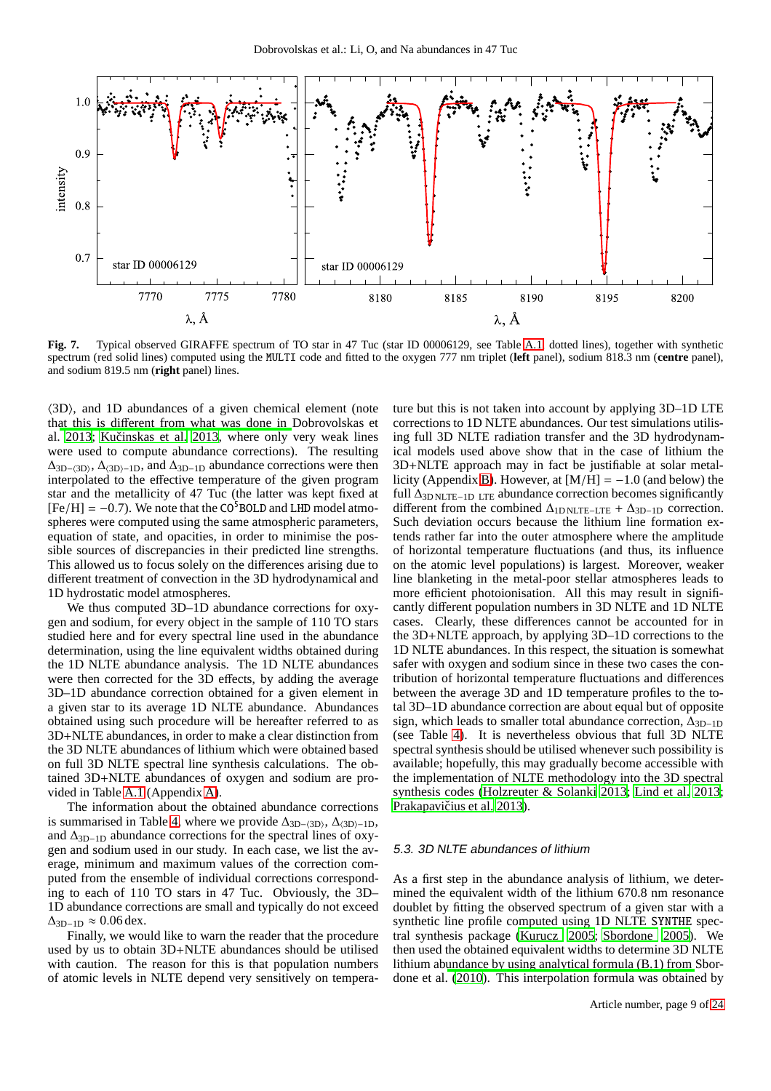

<span id="page-8-0"></span>**Fig. 7.** Typical observed GIRAFFE spectrum of TO star in 47 Tuc (star ID 00006129, see Table [A.1,](#page-16-0) dotted lines), together with synthetic spectrum (red solid lines) computed using the MULTI code and fitted to the oxygen 777 nm triplet (**left** panel), sodium 818.3 nm (**centre** panel), and sodium 819.5 nm (**right** panel) lines.

 $\langle 3D \rangle$ , and 1D abundances of a given chemical element (note that this is diff[erent from what was done in](#page-14-25) Dobrovolskas et al. [2013;](#page-14-25) Kučinskas et al. 2013, where only very weak lines were used to compute abundance corrections). The resulting  $\Delta_{\text{3D–\langle3D\rangle}}$ ,  $\Delta_{\text{3D–1D}}$ , and  $\Delta_{\text{3D–1D}}$  abundance corrections were then interpolated to the effective temperature of the given program star and the metallicity of 47 Tuc (the latter was kept fixed at  $[Fe/H] = -0.7$ ). We note that the CO<sup>5</sup>BOLD and LHD model atmospheres were computed using the same atmospheric parameters, equation of state, and opacities, in order to minimise the possible sources of discrepancies in their predicted line strengths. This allowed us to focus solely on the differences arising due to different treatment of convection in the 3D hydrodynamical and 1D hydrostatic model atmospheres.

We thus computed 3D–1D abundance corrections for oxygen and sodium, for every object in the sample of 110 TO stars studied here and for every spectral line used in the abundance determination, using the line equivalent widths obtained during the 1D NLTE abundance analysis. The 1D NLTE abundances were then corrected for the 3D effects, by adding the average 3D–1D abundance correction obtained for a given element in a given star to its average 1D NLTE abundance. Abundances obtained using such procedure will be hereafter referred to as 3D+NLTE abundances, in order to make a clear distinction from the 3D NLTE abundances of lithium which were obtained based on full 3D NLTE spectral line synthesis calculations. The obtained 3D+NLTE abundances of oxygen and sodium are provided in Table [A.1](#page-16-0) (Appendix [A\)](#page-15-19).

The information about the obtained abundance corrections is summarised in Table [4,](#page-9-3) where we provide  $\Delta_{3D-\langle3D\rangle}$ ,  $\Delta_{\langle3D\rangle-1D}$ , and  $\Delta_{3D-1D}$  abundance corrections for the spectral lines of oxygen and sodium used in our study. In each case, we list the average, minimum and maximum values of the correction computed from the ensemble of individual corrections corresponding to each of 110 TO stars in 47 Tuc. Obviously, the 3D– 1D abundance corrections are small and typically do not exceed  $\Delta$ <sub>3D−1D</sub>  $\approx 0.06$  dex.

Finally, we would like to warn the reader that the procedure used by us to obtain 3D+NLTE abundances should be utilised with caution. The reason for this is that population numbers of atomic levels in NLTE depend very sensitively on temperature but this is not taken into account by applying 3D–1D LTE corrections to 1D NLTE abundances. Our test simulations utilising full 3D NLTE radiation transfer and the 3D hydrodynamical models used above show that in the case of lithium the 3D+NLTE approach may in fact be justifiable at solar metal-licity (Appendix [B\)](#page-18-0). However, at  $[M/H] = -1.0$  (and below) the full ∆3D NLTE−1D LTE abundance correction becomes significantly different from the combined  $\Delta_{1D \text{ NLTE}-\text{LTE}} + \Delta_{3D-1D}$  correction. Such deviation occurs because the lithium line formation extends rather far into the outer atmosphere where the amplitude of horizontal temperature fluctuations (and thus, its influence on the atomic level populations) is largest. Moreover, weaker line blanketing in the metal-poor stellar atmospheres leads to more efficient photoionisation. All this may result in significantly different population numbers in 3D NLTE and 1D NLTE cases. Clearly, these differences cannot be accounted for in the 3D+NLTE approach, by applying 3D–1D corrections to the 1D NLTE abundances. In this respect, the situation is somewhat safer with oxygen and sodium since in these two cases the contribution of horizontal temperature fluctuations and differences between the average 3D and 1D temperature profiles to the total 3D–1D abundance correction are about equal but of opposite sign, which leads to smaller total abundance correction,  $\overline{\Delta}_{3D-1D}$ (see Table [4\)](#page-9-3). It is nevertheless obvious that full 3D NLTE spectral synthesis should be utilised whenever such possibility is available; hopefully, this may gradually become accessible with the implementation of NLTE methodology into the 3D spectral synthesis codes [\(Holzreuter & Solanki 2013;](#page-14-80) [Lind et al. 2013;](#page-14-81) Prakapavičius et al. 2013).

#### 5.3. 3D NLTE abundances of lithium

As a first step in the abundance analysis of lithium, we determined the equivalent width of the lithium 670.8 nm resonance doublet by fitting the observed spectrum of a given star with a synthetic line profile computed using 1D NLTE SYNTHE spectral synthesis package [\(Kurucz 2005;](#page-14-82) [Sbordone 2005\)](#page-15-11). We then used the obtained equivalent widths to determine 3D NLTE lithium ab[undance by using analytical formula \(B.1\) from](#page-15-7) Sbordone et al. [\(2010](#page-15-7)). This interpolation formula was obtained by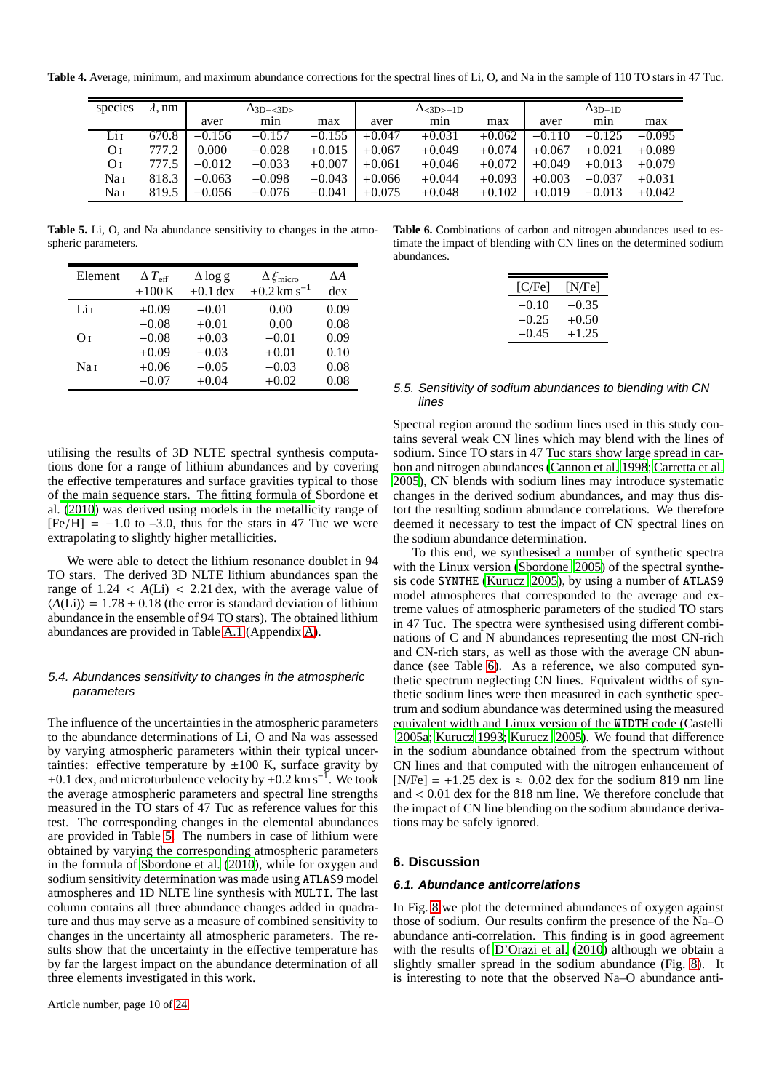**Table 4.** Average, minimum, and maximum abundance corrections for the spectral lines of Li, O, and Na in the sample of 110 TO stars in 47 Tuc.

<span id="page-9-3"></span>

| species | $\lambda$ , nm |          | $\Delta$ <sub>3D-<math>\langle</math>3D<math>\rangle</math></sub> |          |          | $\Delta$ <sub>&lt;3D&gt;-1D</sub> |          | $\Delta$ <sub>3D-1D</sub> |          |          |  |
|---------|----------------|----------|-------------------------------------------------------------------|----------|----------|-----------------------------------|----------|---------------------------|----------|----------|--|
|         |                | aver     | min                                                               | max      | aver     | min                               | max      | aver                      | min      | max      |  |
| Li 1    | 670.8          | $-0.156$ | $-0.157$                                                          | $-0.155$ | $+0.047$ | $+0.031$                          | $+0.062$ | $-0.110$                  | $-0.125$ | $-0.095$ |  |
| Οī      | 777.2          | 0.000    | $-0.028$                                                          | $+0.015$ | $+0.067$ | $+0.049$                          | $+0.074$ | $+0.067$                  | $+0.021$ | $+0.089$ |  |
| Oг      | 777.5          | $-0.012$ | $-0.033$                                                          | $+0.007$ | $+0.061$ | $+0.046$                          | $+0.072$ | $+0.049$                  | $+0.013$ | $+0.079$ |  |
| Nai     | 818.3          | $-0.063$ | $-0.098$                                                          | $-0.043$ | $+0.066$ | $+0.044$                          | $+0.093$ | $+0.003$                  | $-0.037$ | $+0.031$ |  |
| Nai     | 819.5          | $-0.056$ | $-0.076$                                                          | $-0.041$ | $+0.075$ | $+0.048$                          | $+0.102$ | $+0.019$                  | $-0.013$ | $+0.042$ |  |

**Table 5.** Li, O, and Na abundance sensitivity to changes in the atmospheric parameters.

<span id="page-9-2"></span>

| Element         | $\Delta$ $T_{\rm eff}$<br>$\pm 100$ K | $\Delta \log g$<br>$\pm 0.1$ dex | $\Delta \xi_{\text{micro}}$<br>$\pm 0.2$ km s <sup>-1</sup> | ΔA<br>dex |
|-----------------|---------------------------------------|----------------------------------|-------------------------------------------------------------|-----------|
|                 |                                       |                                  |                                                             |           |
| Lit             | $+0.09$                               | $-0.01$                          | 0.00                                                        | 0.09      |
|                 | $-0.08$                               | $+0.01$                          | 0.00                                                        | 0.08      |
| Oт              | $-0.08$                               | $+0.03$                          | $-0.01$                                                     | 0.09      |
|                 | $+0.09$                               | $-0.03$                          | $+0.01$                                                     | 0.10      |
| Na <sub>I</sub> | $+0.06$                               | $-0.05$                          | $-0.03$                                                     | 0.08      |
|                 | $-0.07$                               | $+0.04$                          | $+0.02$                                                     | 0.08      |

utilising the results of 3D NLTE spectral synthesis computations done for a range of lithium abundances and by covering the effective temperatures and surface gravities typical to those of [the main sequence stars. The fitting formula of](#page-15-7) Sbordone et al. [\(2010](#page-15-7)) was derived using models in the metallicity range of  $[Fe/H] = -1.0$  to  $-3.0$ , thus for the stars in 47 Tuc we were extrapolating to slightly higher metallicities.

We were able to detect the lithium resonance doublet in 94 TO stars. The derived 3D NLTE lithium abundances span the range of  $1.24 < A(Li) < 2.21$  dex, with the average value of  $\langle A(Li) \rangle = 1.78 \pm 0.18$  (the error is standard deviation of lithium abundance in the ensemble of 94 TO stars). The obtained lithium abundances are provided in Table [A.1](#page-16-0) (Appendix [A\)](#page-15-19).

# <span id="page-9-1"></span>5.4. Abundances sensitivity to changes in the atmospheric parameters

The influence of the uncertainties in the atmospheric parameters to the abundance determinations of Li, O and Na was assessed by varying atmospheric parameters within their typical uncertainties: effective temperature by  $\pm 100$  K, surface gravity by  $\pm 0.1$  dex, and microturbulence velocity by  $\pm 0.2$  km s<sup>-1</sup>. We took the average atmospheric parameters and spectral line strengths measured in the TO stars of 47 Tuc as reference values for this test. The corresponding changes in the elemental abundances are provided in Table [5.](#page-9-2) The numbers in case of lithium were obtained by varying the corresponding atmospheric parameters in the formula of [Sbordone et al. \(2010\)](#page-15-7), while for oxygen and sodium sensitivity determination was made using ATLAS9 model atmospheres and 1D NLTE line synthesis with MULTI. The last column contains all three abundance changes added in quadrature and thus may serve as a measure of combined sensitivity to changes in the uncertainty all atmospheric parameters. The results show that the uncertainty in the effective temperature has by far the largest impact on the abundance determination of all three elements investigated in this work.

<span id="page-9-4"></span>**Table 6.** Combinations of carbon and nitrogen abundances used to estimate the impact of blending with CN lines on the determined sodium abundances.

| [C/Fe]  | [N/Fe]  |
|---------|---------|
| $-0.10$ | $-0.35$ |
| $-0.25$ | $+0.50$ |
| $-0.45$ | $+1.25$ |

#### 5.5. Sensitivity of sodium abundances to blending with CN lines

Spectral region around the sodium lines used in this study contains several weak CN lines which may blend with the lines of sodium. Since TO stars in 47 Tuc stars show large spread in carbon and nitrogen abundances [\(Cannon et al. 1998;](#page-14-83) [Carretta et](#page-14-84) al. [2005\)](#page-14-84), CN blends with sodium lines may introduce systematic changes in the derived sodium abundances, and may thus distort the resulting sodium abundance correlations. We therefore deemed it necessary to test the impact of CN spectral lines on the sodium abundance determination.

To this end, we synthesised a number of synthetic spectra with the Linux version [\(Sbordone 2005\)](#page-15-11) of the spectral synthesis code SYNTHE [\(Kurucz 2005](#page-14-82)), by using a number of ATLAS9 model atmospheres that corresponded to the average and extreme values of atmospheric parameters of the studied TO stars in 47 Tuc. The spectra were synthesised using different combinations of C and N abundances representing the most CN-rich and CN-rich stars, as well as those with the average CN abundance (see Table [6\)](#page-9-4). As a reference, we also computed synthetic spectrum neglecting CN lines. Equivalent widths of synthetic sodium lines were then measured in each synthetic spectrum and sodium abundance was determined using the measured [equivalent width and Linux version of the](#page-14-85) WIDTH code (Castelli [2005a;](#page-14-85) [Kurucz 1993](#page-14-45); [Kurucz 2005\)](#page-14-82). We found that difference in the sodium abundance obtained from the spectrum without CN lines and that computed with the nitrogen enhancement of [N/Fe] = +1.25 dex is  $\approx 0.02$  dex for the sodium 819 nm line and < 0.01 dex for the 818 nm line. We therefore conclude that the impact of CN line blending on the sodium abundance derivations may be safely ignored.

# <span id="page-9-0"></span>**6. Discussion**

## **6.1. Abundance anticorrelations**

In Fig. [8](#page-10-0) we plot the determined abundances of oxygen against those of sodium. Our results confirm the presence of the Na–O abundance anti-correlation. This finding is in good agreement with the results of [D'Orazi et al. \(2010](#page-14-35)) although we obtain a slightly smaller spread in the sodium abundance (Fig. [8\)](#page-10-0). It is interesting to note that the observed Na–O abundance anti-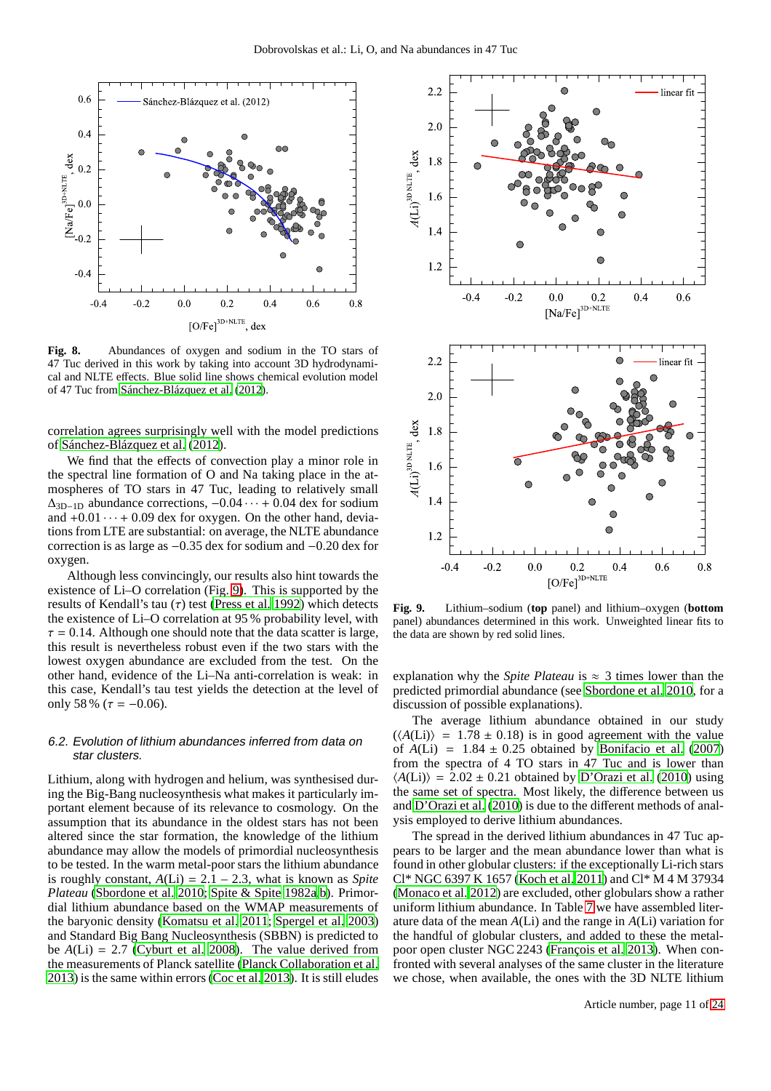

<span id="page-10-0"></span>**Fig. 8.** Abundances of oxygen and sodium in the TO stars of 47 Tuc derived in this work by taking into account 3D hydrodynamical and NLTE effects. Blue solid line shows chemical evolution model of 47 Tuc from [Sánchez-Blázquez et al. \(2012](#page-15-23)).

correlation agrees surprisingly well with the model predictions of [Sánchez-Blázquez et al. \(2012](#page-15-23)).

We find that the effects of convection play a minor role in the spectral line formation of O and Na taking place in the atmospheres of TO stars in 47 Tuc, leading to relatively small  $\Delta_{3D-1D}$  abundance corrections,  $-0.04 \cdots + 0.04$  dex for sodium and  $+0.01 \cdots + 0.09$  dex for oxygen. On the other hand, deviations from LTE are substantial: on average, the NLTE abundance correction is as large as −0.35 dex for sodium and −0.20 dex for oxygen.

Although less convincingly, our results also hint towards the existence of Li–O correlation (Fig. [9\)](#page-10-1). This is supported by the results of Kendall's tau  $(\tau)$  test [\(Press et al. 1992\)](#page-15-24) which detects the existence of Li–O correlation at 95 % probability level, with  $\tau = 0.14$ . Although one should note that the data scatter is large, this result is nevertheless robust even if the two stars with the lowest oxygen abundance are excluded from the test. On the other hand, evidence of the Li–Na anti-correlation is weak: in this case, Kendall's tau test yields the detection at the level of only 58 % ( $\tau = -0.06$ ).

## <span id="page-10-2"></span>6.2. Evolution of lithium abundances inferred from data on star clusters.

Lithium, along with hydrogen and helium, was synthesised during the Big-Bang nucleosynthesis what makes it particularly important element because of its relevance to cosmology. On the assumption that its abundance in the oldest stars has not been altered since the star formation, the knowledge of the lithium abundance may allow the models of primordial nucleosynthesis to be tested. In the warm metal-poor stars the lithium abundance is roughly constant,  $A(Li) = 2.1 - 2.3$ , what is known as *Spite Plateau* [\(Sbordone et al. 2010](#page-15-7); [Spite & Spite 1982a](#page-15-25)[,b\)](#page-15-26). Primordial lithium abundance based on the WMAP measurements of the baryonic density [\(Komatsu et al. 2011;](#page-14-86) [Spergel et al. 2003\)](#page-15-27) and Standard Big Bang Nucleosynthesis (SBBN) is predicted to be  $A(Li) = 2.7$  [\(Cyburt et al. 2008\)](#page-14-87). The value derived from the measurements of Planck satellite [\(Planck Collaboration et al.](#page-15-28) [2013\)](#page-15-28) is the same within errors [\(Coc et al. 2013\)](#page-14-88). It is still eludes



<span id="page-10-1"></span>**Fig. 9.** Lithium–sodium (**top** panel) and lithium–oxygen (**bottom** panel) abundances determined in this work. Unweighted linear fits to the data are shown by red solid lines.

explanation why the *Spite Plateau* is  $\approx$  3 times lower than the predicted primordial abundance (see [Sbordone et al. 2010,](#page-15-7) for a discussion of possible explanations).

The average lithium abundance obtained in our study  $(\langle A(Li) \rangle = 1.78 \pm 0.18)$  is in good agreement with the value of  $A(Li) = 1.84 \pm 0.25$  obtained by [Bonifacio et al. \(2007](#page-14-89)) from the spectra of 4 TO stars in 47 Tuc and is lower than  $\langle A(Li) \rangle = 2.02 \pm 0.21$  obtained by [D'Orazi et al. \(2010\)](#page-14-35) using the same set of spectra. Most likely, the difference between us and [D'Orazi et al. \(2010](#page-14-35)) is due to the different methods of analysis employed to derive lithium abundances.

The spread in the derived lithium abundances in 47 Tuc appears to be larger and the mean abundance lower than what is found in other globular clusters: if the exceptionally Li-rich stars Cl\* NGC 6397 K 1657 [\(Koch et al. 2011](#page-14-90)) and Cl\* M 4 M 37934 [\(Monaco et al. 2012](#page-14-91)) are excluded, other globulars show a rather uniform lithium abundance. In Table [7](#page-11-0) we have assembled literature data of the mean *A*(Li) and the range in *A*(Li) variation for the handful of globular clusters, and added to these the metalpoor open cluster NGC 2243 [\(François et al. 2013](#page-14-92)). When confronted with several analyses of the same cluster in the literature we chose, when available, the ones with the 3D NLTE lithium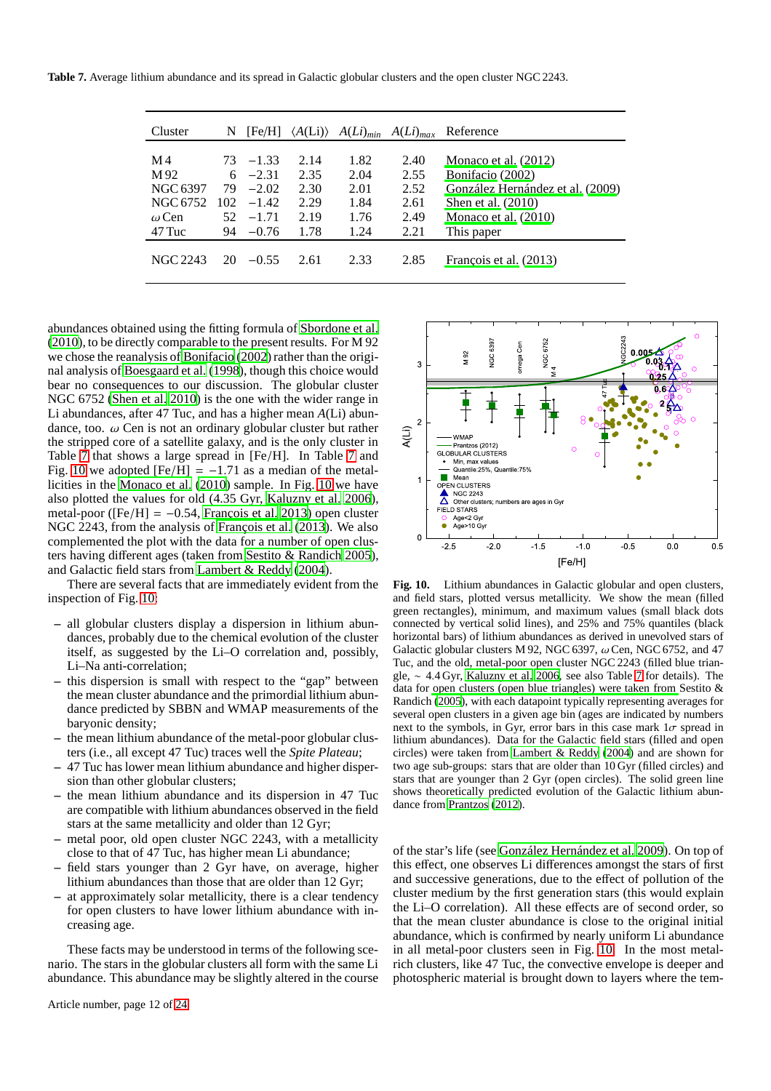<span id="page-11-0"></span>**Table 7.** Average lithium abundance and its spread in Galactic globular clusters and the open cluster NGC 2243.

| Cluster      | N   | [Fe/H]      | $\langle A(Li) \rangle$ |      | $A(Li)_{min}$ $A(Li)_{max}$ | Reference                        |
|--------------|-----|-------------|-------------------------|------|-----------------------------|----------------------------------|
|              |     |             |                         |      |                             |                                  |
| M 4          |     | $73 - 1.33$ | 2.14                    | 1.82 | 2.40                        | Monaco et al. $(2012)$           |
| M 92         |     | $6 -2.31$   | 2.35                    | 2.04 | 2.55                        | Bonifacio (2002)                 |
| NGC 6397     |     | $79 - 2.02$ | 2.30                    | 2.01 | 2.52                        | González Hernández et al. (2009) |
| NGC 6752     | 102 | $-1.42$     | 2.29                    | 1.84 | 2.61                        | Shen et al. $(2010)$             |
| $\omega$ Cen | 52. | $-1.71$     | 2.19                    | 1.76 | 2.49                        | Monaco et al. $(2010)$           |
| 47 Tuc       |     | $94 - 0.76$ | 1.78                    | 1.24 | 2.21                        | This paper                       |
| NGC 2243     | 20  | $-0.55$     | 2.61                    | 2.33 | 2.85                        | François et al. (2013)           |

abundances obtained using the fitting formula of [Sbordone et](#page-15-7) al. [\(2010](#page-15-7)), to be directly comparable to the present results. For M 92 we chose the reanalysis of [Bonifacio \(2002](#page-14-93)) rather than the original analysis of [Boesgaard et al.](#page-14-95) [\(1998\)](#page-14-95), though this choice would bear no consequences to our discussion. The globular cluster NGC 6752 [\(Shen et al. 2010\)](#page-15-29) is the one with the wider range in Li abundances, after 47 Tuc, and has a higher mean *A*(Li) abundance, too.  $\omega$  Cen is not an ordinary globular cluster but rather the stripped core of a satellite galaxy, and is the only cluster in Table [7](#page-11-0) that shows a large spread in [Fe/H]. In Table [7](#page-11-0) and Fig. [10](#page-11-1) we adopted  $[Fe/H] = -1.71$  as a median of the metallicities in the [Monaco et al. \(2010](#page-14-94)) sample. In Fig. [10](#page-11-1) we have also plotted the values for old (4.35 Gyr, [Kaluzny et al. 2006](#page-14-96)), metal-poor ( $[Fe/H] = -0.54$ , [François et al. 2013](#page-14-92)) open cluster NGC 2243, from the analysis of [François et al. \(2013](#page-14-92)). We also complemented the plot with the data for a number of open clusters having different ages (taken from [Sestito & Randich 2005](#page-15-30)), and Galactic field stars from [Lambert & Reddy](#page-14-97) [\(2004\)](#page-14-97).

There are several facts that are immediately evident from the inspection of Fig. [10:](#page-11-1)

- **–** all globular clusters display a dispersion in lithium abundances, probably due to the chemical evolution of the cluster itself, as suggested by the Li–O correlation and, possibly, Li–Na anti-correlation;
- **–** this dispersion is small with respect to the "gap" between the mean cluster abundance and the primordial lithium abundance predicted by SBBN and WMAP measurements of the baryonic density;
- **–** the mean lithium abundance of the metal-poor globular clusters (i.e., all except 47 Tuc) traces well the *Spite Plateau*;
- **–** 47 Tuc has lower mean lithium abundance and higher dispersion than other globular clusters;
- **–** the mean lithium abundance and its dispersion in 47 Tuc are compatible with lithium abundances observed in the field stars at the same metallicity and older than 12 Gyr;
- **–** metal poor, old open cluster NGC 2243, with a metallicity close to that of 47 Tuc, has higher mean Li abundance;
- **–** field stars younger than 2 Gyr have, on average, higher lithium abundances than those that are older than 12 Gyr;
- **–** at approximately solar metallicity, there is a clear tendency for open clusters to have lower lithium abundance with increasing age.

These facts may be understood in terms of the following scenario. The stars in the globular clusters all form with the same Li abundance. This abundance may be slightly altered in the course



<span id="page-11-1"></span>**Fig. 10.** Lithium abundances in Galactic globular and open clusters, and field stars, plotted versus metallicity. We show the mean (filled green rectangles), minimum, and maximum values (small black dots connected by vertical solid lines), and 25% and 75% quantiles (black horizontal bars) of lithium abundances as derived in unevolved stars of Galactic globular clusters M 92, NGC 6397,  $\omega$  Cen, NGC 6752, and 47 Tuc, and the old, metal-poor open cluster NGC 2243 (filled blue triangle, ∼ 4.4 Gyr, [Kaluzny et al. 2006,](#page-14-96) see also Table [7](#page-11-0) for details). The data for [open clusters \(open blue triangles\) were taken from](#page-15-30) Sestito & Randich [\(2005\)](#page-15-30), with each datapoint typically representing averages for several open clusters in a given age bin (ages are indicated by numbers next to the symbols, in Gyr, error bars in this case mark  $1\sigma$  spread in lithium abundances). Data for the Galactic field stars (filled and open circles) were taken from [Lambert & Reddy \(2004](#page-14-97)) and are shown for two age sub-groups: stars that are older than 10 Gyr (filled circles) and stars that are younger than 2 Gyr (open circles). The solid green line shows theoretically predicted evolution of the Galactic lithium abundance from [Prantzos \(2012\)](#page-15-31).

of the star's life (see [González Hernández et al. 2009](#page-14-33)). On top of this effect, one observes Li differences amongst the stars of first and successive generations, due to the effect of pollution of the cluster medium by the first generation stars (this would explain the Li–O correlation). All these effects are of second order, so that the mean cluster abundance is close to the original initial abundance, which is confirmed by nearly uniform Li abundance in all metal-poor clusters seen in Fig. [10.](#page-11-1) In the most metalrich clusters, like 47 Tuc, the convective envelope is deeper and photospheric material is brought down to layers where the tem-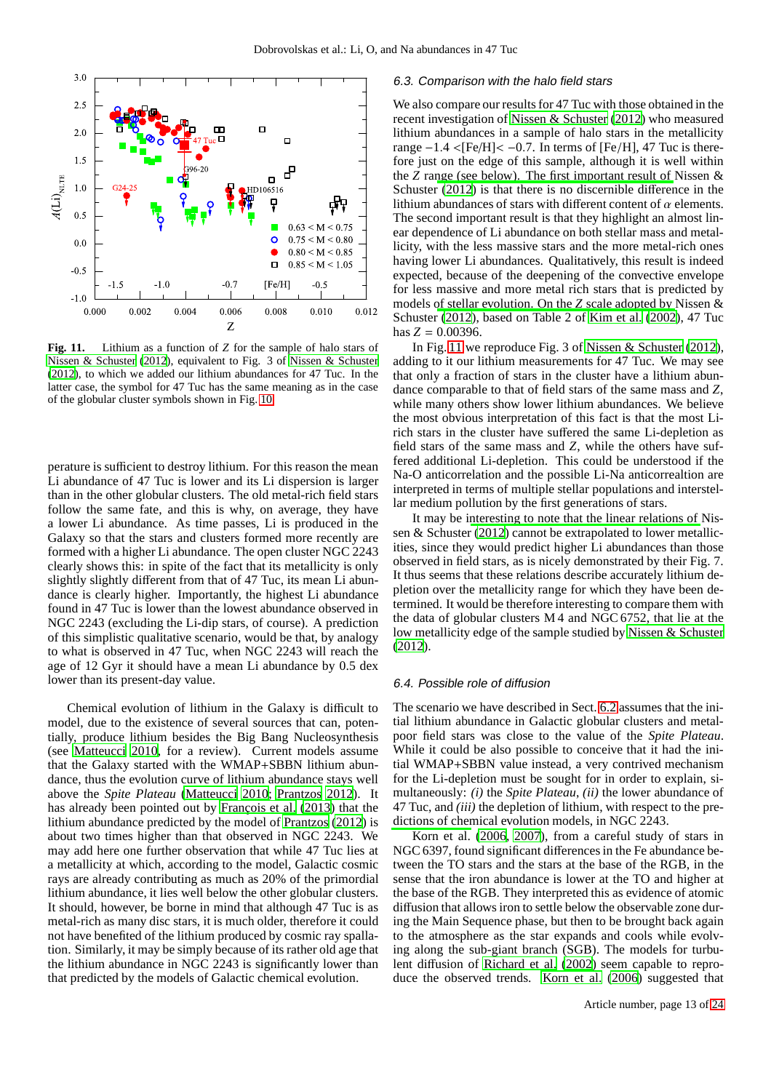

<span id="page-12-0"></span>**Fig. 11.** Lithium as a function of *Z* for the sample of halo stars of [Nissen & Schuster \(2012\)](#page-15-32), equivalent to Fig. 3 of [Nissen & Schuster](#page-15-32) [\(2012\)](#page-15-32), to which we added our lithium abundances for 47 Tuc. In the latter case, the symbol for 47 Tuc has the same meaning as in the case of the globular cluster symbols shown in Fig. [10.](#page-11-1)

perature is sufficient to destroy lithium. For this reason the mean Li abundance of 47 Tuc is lower and its Li dispersion is larger than in the other globular clusters. The old metal-rich field stars follow the same fate, and this is why, on average, they have a lower Li abundance. As time passes, Li is produced in the Galaxy so that the stars and clusters formed more recently are formed with a higher Li abundance. The open cluster NGC 2243 clearly shows this: in spite of the fact that its metallicity is only slightly slightly different from that of 47 Tuc, its mean Li abundance is clearly higher. Importantly, the highest Li abundance found in 47 Tuc is lower than the lowest abundance observed in NGC 2243 (excluding the Li-dip stars, of course). A prediction of this simplistic qualitative scenario, would be that, by analogy to what is observed in 47 Tuc, when NGC 2243 will reach the age of 12 Gyr it should have a mean Li abundance by 0.5 dex lower than its present-day value.

Chemical evolution of lithium in the Galaxy is difficult to model, due to the existence of several sources that can, potentially, produce lithium besides the Big Bang Nucleosynthesis (see [Matteucci 2010,](#page-14-98) for a review). Current models assume that the Galaxy started with the WMAP+SBBN lithium abundance, thus the evolution curve of lithium abundance stays well above the *Spite Plateau* [\(Matteucci 2010](#page-14-98); [Prantzos 2012](#page-15-31)). It has already been pointed out by [François et al. \(2013](#page-14-92)) that the lithium abundance predicted by the model of [Prantzos \(2012\)](#page-15-31) is about two times higher than that observed in NGC 2243. We may add here one further observation that while 47 Tuc lies at a metallicity at which, according to the model, Galactic cosmic rays are already contributing as much as 20% of the primordial lithium abundance, it lies well below the other globular clusters. It should, however, be borne in mind that although 47 Tuc is as metal-rich as many disc stars, it is much older, therefore it could not have benefited of the lithium produced by cosmic ray spallation. Similarly, it may be simply because of its rather old age that the lithium abundance in NGC 2243 is significantly lower than that predicted by the models of Galactic chemical evolution.

## 6.3. Comparison with the halo field stars

We also compare our results for 47 Tuc with those obtained in the recent investigation of [Nissen & Schuster](#page-15-32) [\(2012\)](#page-15-32) who measured lithium abundances in a sample of halo stars in the metallicity range  $-1.4 <$ [Fe/H] $< -0.7$ . In terms of [Fe/H], 47 Tuc is therefore just on the edge of this sample, although it is well within the *Z* ra[nge \(see below\). The first important result of](#page-15-32) Nissen & Schuster [\(2012](#page-15-32)) is that there is no discernible difference in the lithium abundances of stars with different content of  $\alpha$  elements. The second important result is that they highlight an almost linear dependence of Li abundance on both stellar mass and metallicity, with the less massive stars and the more metal-rich ones having lower Li abundances. Qualitatively, this result is indeed expected, because of the deepening of the convective envelope for less massive and more metal rich stars that is predicted by models [of stellar evolution. On the](#page-15-32) *Z* scale adopted by Nissen & Schuster [\(2012](#page-15-32)), based on Table 2 of [Kim et al.](#page-14-99) [\(2002\)](#page-14-99), 47 Tuc has  $Z = 0.00396$ .

In Fig. [11](#page-12-0) we reproduce Fig. 3 of [Nissen & Schuster](#page-15-32) [\(2012\)](#page-15-32), adding to it our lithium measurements for 47 Tuc. We may see that only a fraction of stars in the cluster have a lithium abundance comparable to that of field stars of the same mass and *Z*, while many others show lower lithium abundances. We believe the most obvious interpretation of this fact is that the most Lirich stars in the cluster have suffered the same Li-depletion as field stars of the same mass and *Z*, while the others have suffered additional Li-depletion. This could be understood if the Na-O anticorrelation and the possible Li-Na anticorrealtion are interpreted in terms of multiple stellar populations and interstellar medium pollution by the first generations of stars.

It may be interesting to note that the linear relations of Nissen & Schuster [\(2012\)](#page-15-32) cannot be extrapolated to lower metallicities, since they would predict higher Li abundances than those observed in field stars, as is nicely demonstrated by their Fig. 7. It thus seems that these relations describe accurately lithium depletion over the metallicity range for which they have been determined. It would be therefore interesting to compare them with the data of globular clusters M 4 and NGC 6752, that lie at the low metallicity edge of the sample studied by [Nissen & Schuster](#page-15-32) [\(2012\)](#page-15-32).

#### 6.4. Possible role of diffusion

The scenario we have described in Sect. [6.2](#page-10-2) assumes that the initial lithium abundance in Galactic globular clusters and metalpoor field stars was close to the value of the *Spite Plateau*. While it could be also possible to conceive that it had the initial WMAP+SBBN value instead, a very contrived mechanism for the Li-depletion must be sought for in order to explain, simultaneously: *(i)* the *Spite Plateau*, *(ii)* the lower abundance of 47 Tuc, and *(iii)* the depletion of lithium, with respect to the pre[dictions of chem](#page-14-100)ical evolution models, in NGC 2243.

Korn et al. [\(2006,](#page-14-100) [2007](#page-14-101)), from a careful study of stars in NGC 6397, found significant differences in the Fe abundance between the TO stars and the stars at the base of the RGB, in the sense that the iron abundance is lower at the TO and higher at the base of the RGB. They interpreted this as evidence of atomic diffusion that allows iron to settle below the observable zone during the Main Sequence phase, but then to be brought back again to the atmosphere as the star expands and cools while evolving along the sub-giant branch (SGB). The models for turbulent diffusion of [Richard et al.](#page-15-33) [\(2002\)](#page-15-33) seem capable to reproduce the observed trends. [Korn et al. \(2006](#page-14-100)) suggested that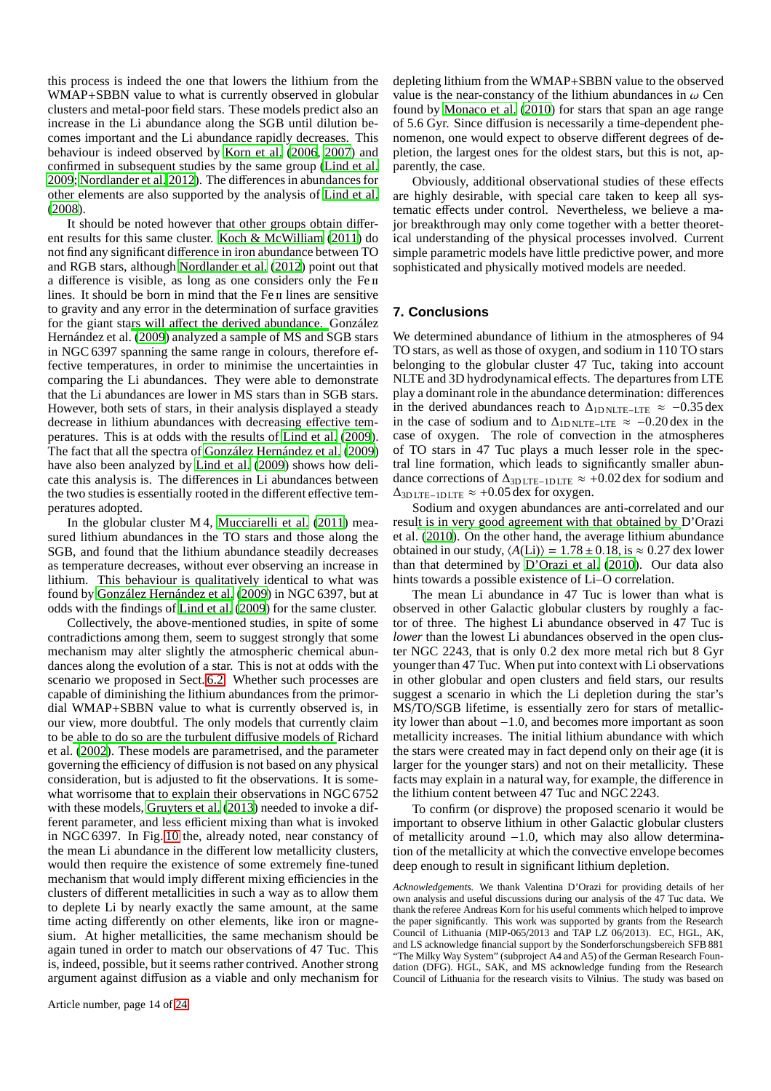this process is indeed the one that lowers the lithium from the WMAP+SBBN value to what is currently observed in globular clusters and metal-poor field stars. These models predict also an increase in the Li abundance along the SGB until dilution becomes important and the Li abundance rapidly decreases. This behaviour is indeed observed by [Korn et al.](#page-14-100) [\(2006,](#page-14-100) [2007\)](#page-14-101) and confirmed in subsequent studies by the same group [\(Lind et al.](#page-14-102) [2009;](#page-14-102) [Nordlander et al. 2012](#page-15-34)). The differences in abundances for other elements are also supported by the analysis of [Lind et al.](#page-14-103) [\(2008](#page-14-103)).

It should be noted however that other groups obtain different results for this same cluster. [Koch & McWilliam](#page-14-104) [\(2011](#page-14-104)) do not find any significant difference in iron abundance between TO and RGB stars, although [Nordlander et al. \(2012](#page-15-34)) point out that a difference is visible, as long as one considers only the Fe ii lines. It should be born in mind that the Fe II lines are sensitive to gravity and any error in the determination of surface gravities for the giant stars will aff[ect the derived abundance.](#page-14-33) González Hernández et al. [\(2009](#page-14-33)) analyzed a sample of MS and SGB stars in NGC 6397 spanning the same range in colours, therefore effective temperatures, in order to minimise the uncertainties in comparing the Li abundances. They were able to demonstrate that the Li abundances are lower in MS stars than in SGB stars. However, both sets of stars, in their analysis displayed a steady decrease in lithium abundances with decreasing effective temperatures. This is at odds with the results of [Lind et al. \(2009](#page-14-102)). The fact that all the spectra of [González Hernández et al.](#page-14-33) [\(2009\)](#page-14-33) have also been analyzed by [Lind et al.](#page-14-102) [\(2009\)](#page-14-102) shows how delicate this analysis is. The differences in Li abundances between the two studies is essentially rooted in the different effective temperatures adopted.

In the globular cluster M 4, [Mucciarelli et al. \(2011](#page-15-35)) measured lithium abundances in the TO stars and those along the SGB, and found that the lithium abundance steadily decreases as temperature decreases, without ever observing an increase in lithium. This behaviour is qualitatively identical to what was found by [González Hernández et al. \(2009](#page-14-33)) in NGC 6397, but at odds with the findings of [Lind et al. \(2009](#page-14-102)) for the same cluster.

Collectively, the above-mentioned studies, in spite of some contradictions among them, seem to suggest strongly that some mechanism may alter slightly the atmospheric chemical abundances along the evolution of a star. This is not at odds with the scenario we proposed in Sect. [6.2.](#page-10-2) Whether such processes are capable of diminishing the lithium abundances from the primordial WMAP+SBBN value to what is currently observed is, in our view, more doubtful. The only models that currently claim to b[e able to do so are the turbulent di](#page-15-33)ffusive models of Richard et al. [\(2002](#page-15-33)). These models are parametrised, and the parameter governing the efficiency of diffusion is not based on any physical consideration, but is adjusted to fit the observations. It is somewhat worrisome that to explain their observations in NGC 6752 with these models, [Gruyters et al.](#page-14-105) [\(2013\)](#page-14-105) needed to invoke a different parameter, and less efficient mixing than what is invoked in NGC 6397. In Fig. [10](#page-11-1) the, already noted, near constancy of the mean Li abundance in the different low metallicity clusters, would then require the existence of some extremely fine-tuned mechanism that would imply different mixing efficiencies in the clusters of different metallicities in such a way as to allow them to deplete Li by nearly exactly the same amount, at the same time acting differently on other elements, like iron or magnesium. At higher metallicities, the same mechanism should be again tuned in order to match our observations of 47 Tuc. This is, indeed, possible, but it seems rather contrived. Another strong argument against diffusion as a viable and only mechanism for depleting lithium from the WMAP+SBBN value to the observed value is the near-constancy of the lithium abundances in  $\omega$  Cen found by [Monaco et al. \(2010](#page-14-94)) for stars that span an age range of 5.6 Gyr. Since diffusion is necessarily a time-dependent phenomenon, one would expect to observe different degrees of depletion, the largest ones for the oldest stars, but this is not, apparently, the case.

Obviously, additional observational studies of these effects are highly desirable, with special care taken to keep all systematic effects under control. Nevertheless, we believe a major breakthrough may only come together with a better theoretical understanding of the physical processes involved. Current simple parametric models have little predictive power, and more sophisticated and physically motived models are needed.

# <span id="page-13-0"></span>**7. Conclusions**

We determined abundance of lithium in the atmospheres of 94 TO stars, as well as those of oxygen, and sodium in 110 TO stars belonging to the globular cluster 47 Tuc, taking into account NLTE and 3D hydrodynamical effects. The departures from LTE play a dominant role in the abundance determination: differences in the derived abundances reach to  $\Delta_{\text{1D NLTE-LTE}} \approx -0.35 \text{ dex}$ in the case of sodium and to  $\Delta_{\text{1D NLTE–LTE}} \approx -0.20 \text{ dex}$  in the case of oxygen. The role of convection in the atmospheres of TO stars in 47 Tuc plays a much lesser role in the spectral line formation, which leads to significantly smaller abundance corrections of  $\Delta_{3D \text{LTE}-1D \text{LTE}} \approx +0.02 \text{ dex}$  for sodium and  $\Delta$ 3D LTE−1D LTE  $\approx$  +0.05 dex for oxygen.

Sodium and oxygen abundances are anti-correlated and our resul[t is in very good agreement with that obtained by](#page-14-35) D'Orazi et al. [\(2010](#page-14-35)). On the other hand, the average lithium abundance obtained in our study,  $\langle A(Li) \rangle = 1.78 \pm 0.18$ , is  $\approx 0.27$  dex lower than that determined by [D'Orazi et al.](#page-14-35) [\(2010\)](#page-14-35). Our data also hints towards a possible existence of Li–O correlation.

The mean Li abundance in 47 Tuc is lower than what is observed in other Galactic globular clusters by roughly a factor of three. The highest Li abundance observed in 47 Tuc is *lower* than the lowest Li abundances observed in the open cluster NGC 2243, that is only 0.2 dex more metal rich but 8 Gyr younger than 47 Tuc. When put into context with Li observations in other globular and open clusters and field stars, our results suggest a scenario in which the Li depletion during the star's MS/TO/SGB lifetime, is essentially zero for stars of metallicity lower than about −1.0, and becomes more important as soon metallicity increases. The initial lithium abundance with which the stars were created may in fact depend only on their age (it is larger for the younger stars) and not on their metallicity. These facts may explain in a natural way, for example, the difference in the lithium content between 47 Tuc and NGC 2243.

To confirm (or disprove) the proposed scenario it would be important to observe lithium in other Galactic globular clusters of metallicity around −1.0, which may also allow determination of the metallicity at which the convective envelope becomes deep enough to result in significant lithium depletion.

*Acknowledgements.* We thank Valentina D'Orazi for providing details of her own analysis and useful discussions during our analysis of the 47 Tuc data. We thank the referee Andreas Korn for his useful comments which helped to improve the paper significantly. This work was supported by grants from the Research Council of Lithuania (MIP-065/2013 and TAP LZ 06/2013). EC, HGL, AK, and LS acknowledge financial support by the Sonderforschungsbereich SFB 881 "The Milky Way System" (subproject A4 and A5) of the German Research Foundation (DFG). HGL, SAK, and MS acknowledge funding from the Research Council of Lithuania for the research visits to Vilnius. The study was based on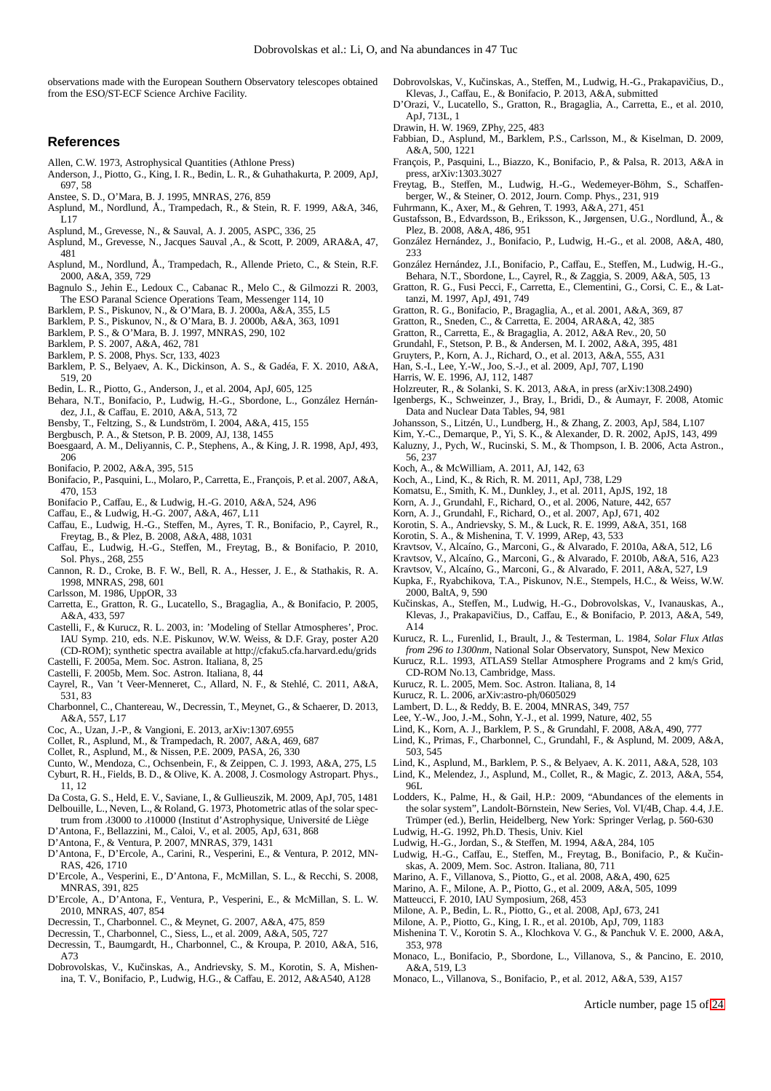observations made with the European Southern Observatory telescopes obtained from the ESO/ST-ECF Science Archive Facility.

#### **References**

- <span id="page-14-54"></span>Allen, C.W. 1973, Astrophysical Quantities (Athlone Press)
- <span id="page-14-5"></span>Anderson, J., Piotto, G., King, I. R., Bedin, L. R., & Guhathakurta, P. 2009, ApJ, 697, 58
- <span id="page-14-56"></span>Anstee, S. D., O'Mara, B. J. 1995, MNRAS, 276, 859
- <span id="page-14-72"></span>Asplund, M., Nordlund, Å., Trampedach, R., & Stein, R. F. 1999, A&A, 346, L17
- <span id="page-14-79"></span>Asplund, M., Grevesse, N., & Sauval, A. J. 2005, ASPC, 336, 25
- <span id="page-14-64"></span>Asplund, M., Grevesse, N., Jacques Sauval ,A., & Scott, P. 2009, ARA&A, 47, 481 Asplund, M., Nordlund, Å., Trampedach, R., Allende Prieto, C., & Stein, R.F.
- <span id="page-14-27"></span>2000, A&A, 359, 729
- <span id="page-14-61"></span>Bagnulo S., Jehin E., Ledoux C., Cabanac R., Melo C., & Gilmozzi R. 2003, The ESO Paranal Science Operations Team, Messenger 114, 10
- <span id="page-14-40"></span>Barklem, P. S., Piskunov, N., & O'Mara, B. J. 2000a, A&A, 355, L5
- <span id="page-14-41"></span>Barklem, P. S., Piskunov, N., & O'Mara, B. J. 2000b, A&A, 363, 1091
- <span id="page-14-57"></span>Barklem, P. S., & O'Mara, B. J. 1997, MNRAS, 290, 102
- <span id="page-14-53"></span>Barklem, P. S. 2007, A&A, 462, 781
- <span id="page-14-37"></span>Barklem, P. S. 2008, Phys. Scr, 133, 4023
- <span id="page-14-66"></span>Barklem, P. S., Belyaev, A. K., Dickinson, A. S., & Gadéa, F. X. 2010, A&A, 519, 20
- <span id="page-14-6"></span>Bedin, L. R., Piotto, G., Anderson, J., et al. 2004, ApJ, 605, 125
- <span id="page-14-28"></span>Behara, N.T., Bonifacio, P., Ludwig, H.-G., Sbordone, L., González Hernández, J.I., & Caffau, E. 2010, A&A, 513, 72
- <span id="page-14-59"></span>Bensby, T., Feltzing, S., & Lundström, I. 2004, A&A, 415, 155
- <span id="page-14-42"></span>Bergbusch, P. A., & Stetson, P. B. 2009, AJ, 138, 1455
- <span id="page-14-95"></span>Boesgaard, A. M., Deliyannis, C. P., Stephens, A., & King, J. R. 1998, ApJ, 493, 206
- <span id="page-14-93"></span>Bonifacio, P. 2002, A&A, 395, 515
- <span id="page-14-89"></span>Bonifacio, P., Pasquini, L., Molaro, P., Carretta, E., François, P. et al. 2007, A&A, 470, 153
- <span id="page-14-73"></span>Bonifacio P., Caffau, E., & Ludwig, H.-G. 2010, A&A, 524, A96
- <span id="page-14-47"></span>Caffau, E., & Ludwig, H.-G. 2007, A&A, 467, L11
- <span id="page-14-29"></span>Caffau, E., Ludwig, H.-G., Steffen, M., Ayres, T. R., Bonifacio, P., Cayrel, R., Freytag, B., & Plez, B. 2008, A&A, 488, 1031
- <span id="page-14-30"></span>Caffau, E., Ludwig, H.-G., Steffen, M., Freytag, B., & Bonifacio, P. 2010, Sol. Phys., 268, 255
- <span id="page-14-83"></span>Cannon, R. D., Croke, B. F. W., Bell, R. A., Hesser, J. E., & Stathakis, R. A. 1998, MNRAS, 298, 601
- <span id="page-14-70"></span>Carlsson, M. 1986, UppOR, 33
- <span id="page-14-84"></span>Carretta, E., Gratton, R. G., Lucatello, S., Bragaglia, A., & Bonifacio, P. 2005, A&A, 433, 597
- <span id="page-14-46"></span>Castelli, F., & Kurucz, R. L. 2003, in: 'Modeling of Stellar Atmospheres', Proc. IAU Symp. 210, eds. N.E. Piskunov, W.W. Weiss, & D.F. Gray, poster A20 (CD-ROM); synthetic spectra available at http://cfaku5.cfa.harvard.edu/grids
- <span id="page-14-85"></span>Castelli, F. 2005a, Mem. Soc. Astron. Italiana, 8, 25
- <span id="page-14-50"></span>Castelli, F. 2005b, Mem. Soc. Astron. Italiana, 8, 44
- <span id="page-14-38"></span>Cayrel, R., Van 't Veer-Menneret, C., Allard, N. F., & Stehlé, C. 2011, A&A, 531, 83
- <span id="page-14-20"></span>Charbonnel, C., Chantereau, W., Decressin, T., Meynet, G., & Schaerer, D. 2013, A&A, 557, L17
- <span id="page-14-88"></span>Coc, A., Uzan, J.-P., & Vangioni, E. 2013, arXiv:1307.6955
- <span id="page-14-24"></span>Collet, R., Asplund, M., & Trampedach, R. 2007, A&A, 469, 687
- <span id="page-14-31"></span>Collet, R., Asplund, M., & Nissen, P.E. 2009, PASA, 26, 330
- <span id="page-14-52"></span>Cunto, W., Mendoza, C., Ochsenbein, F., & Zeippen, C. J. 1993, A&A, 275, L5 Cyburt, R. H., Fields, B. D., & Olive, K. A. 2008, J. Cosmology Astropart. Phys.,
- <span id="page-14-87"></span>11, 12
- <span id="page-14-7"></span>Da Costa, G. S., Held, E. V., Saviane, I., & Gullieuszik, M. 2009, ApJ, 705, 1481
- <span id="page-14-63"></span>Delbouille, L., Neven, L., & Roland, G. 1973, Photometric atlas of the solar spec-
- trum from λ3000 to λ10000 (Institut d'Astrophysique, Université de Liège D'Antona, F., Bellazzini, M., Caloi, V., et al. 2005, ApJ, 631, 868
- <span id="page-14-16"></span><span id="page-14-8"></span>D'Antona, F., & Ventura, P. 2007, MNRAS, 379, 1431
- <span id="page-14-17"></span>D'Antona, F., D'Ercole, A., Carini, R., Vesperini, E., & Ventura, P. 2012, MN-RAS, 426, 1710
- <span id="page-14-18"></span>D'Ercole, A., Vesperini, E., D'Antona, F., McMillan, S. L., & Recchi, S. 2008, MNRAS, 391, 825
- <span id="page-14-19"></span>D'Ercole, A., D'Antona, F., Ventura, P., Vesperini, E., & McMillan, S. L. W. 2010, MNRAS, 407, 854
- <span id="page-14-21"></span>Decressin, T., Charbonnel. C., & Meynet, G. 2007, A&A, 475, 859
- <span id="page-14-22"></span>Decressin, T., Charbonnel, C., Siess, L., et al. 2009, A&A, 505, 727
- <span id="page-14-23"></span>Decressin, T., Baumgardt, H., Charbonnel, C., & Kroupa, P. 2010, A&A, 516, A73
- <span id="page-14-32"></span>Dobrovolskas, V., Kučinskas, A., Andrievsky, S. M., Korotin, S. A, Mishenina, T. V., Bonifacio, P., Ludwig, H.G., & Caffau, E. 2012, A&A540, A128
- <span id="page-14-25"></span>Dobrovolskas, V., Kučinskas, A., Steffen, M., Ludwig, H.-G., Prakapavičius, D., Klevas, J., Caffau, E., & Bonifacio, P. 2013, A&A, submitted
- <span id="page-14-35"></span>D'Orazi, V., Lucatello, S., Gratton, R., Bragaglia, A., Carretta, E., et al. 2010, ApJ, 713L, 1
- <span id="page-14-60"></span>Drawin, H. W. 1969, ZPhy, 225, 483
- <span id="page-14-55"></span>Fabbian, D., Asplund, M., Barklem, P.S., Carlsson, M., & Kiselman, D. 2009, A&A, 500, 1221
- <span id="page-14-92"></span>François, P., Pasquini, L., Biazzo, K., Bonifacio, P., & Palsa, R. 2013, A&A in press, arXiv:1303.3027
- <span id="page-14-34"></span>Freytag, B., Steffen, M., Ludwig, H.-G., Wedemeyer-Böhm, S., Schaffenberger, W., & Steiner, O. 2012, Journ. Comp. Phys., 231, 919
- <span id="page-14-39"></span>Fuhrmann, K., Axer, M., & Gehren, T. 1993, A&A, 271, 451
- <span id="page-14-76"></span>Gustafsson, B., Edvardsson, B., Eriksson, K., Jørgensen, U.G., Nordlund, Å., & Plez, B. 2008, A&A, 486, 951
- <span id="page-14-74"></span>González Hernández, J., Bonifacio, P., Ludwig, H.-G., et al. 2008, A&A, 480, 233
- <span id="page-14-33"></span>González Hernández, J.I., Bonifacio, P., Caffau, E., Steffen, M., Ludwig, H.-G.,
- <span id="page-14-43"></span>Behara, N.T., Sbordone, L., Cayrel, R., & Zaggia, S. 2009, A&A, 505, 13 Gratton, R. G., Fusi Pecci, F., Carretta, E., Clementini, G., Corsi, C. E., & Lattanzi, M. 1997, ApJ, 491, 749
- <span id="page-14-0"></span>Gratton, R. G., Bonifacio, P., Bragaglia, A., et al. 2001, A&A, 369, 87
- <span id="page-14-1"></span>Gratton, R., Sneden, C., & Carretta, E. 2004, ARA&A, 42, 385
- <span id="page-14-2"></span>Gratton, R., Carretta, E., & Bragaglia, A. 2012, A&A Rev., 20, 50
- <span id="page-14-44"></span>Grundahl, F., Stetson, P. B., & Andersen, M. I. 2002, A&A, 395, 481
- <span id="page-14-105"></span>Gruyters, P., Korn, A. J., Richard, O., et al. 2013, A&A, 555, A31
- <span id="page-14-9"></span>Han, S.-I., Lee, Y.-W., Joo, S.-J., et al. 2009, ApJ, 707, L190
- <span id="page-14-36"></span>Harris, W. E. 1996, AJ, 112, 1487
- <span id="page-14-80"></span>Holzreuter, R., & Solanki, S. K. 2013, A&A, in press (arXiv:1308.2490) Igenbergs, K., Schweinzer, J., Bray, I., Bridi, D., & Aumayr, F. 2008, Atomic
- <span id="page-14-67"></span>Data and Nuclear Data Tables, 94, 981
- <span id="page-14-58"></span>Johansson, S., Litzén, U., Lundberg, H., & Zhang, Z. 2003, ApJ, 584, L107
- <span id="page-14-99"></span>Kim, Y.-C., Demarque, P., Yi, S. K., & Alexander, D. R. 2002, ApJS, 143, 499
- <span id="page-14-96"></span>Kaluzny, J., Pych, W., Rucinski, S. M., & Thompson, I. B. 2006, Acta Astron., 56, 237
- <span id="page-14-104"></span>Koch, A., & McWilliam, A. 2011, AJ, 142, 63
- <span id="page-14-90"></span>Koch, A., Lind, K., & Rich, R. M. 2011, ApJ, 738, L29
- <span id="page-14-86"></span>Komatsu, E., Smith, K. M., Dunkley, J., et al. 2011, ApJS, 192, 18
- <span id="page-14-100"></span>Korn, A. J., Grundahl, F., Richard, O., et al. 2006, Nature, 442, 657
- <span id="page-14-101"></span>Korn, A. J., Grundahl, F., Richard, O., et al. 2007, ApJ, 671, 402
- 
- <span id="page-14-71"></span>Korotin, S. A., Andrievsky, S. M., & Luck, R. E. 1999, A&A, 351, 168
- <span id="page-14-65"></span>Korotin, S. A., & Mishenina, T. V. 1999, ARep, 43, 533
- <span id="page-14-10"></span>Kravtsov, V., Alcaíno, G., Marconi, G., & Alvarado, F. 2010a, A&A, 512, L6
- <span id="page-14-11"></span>Kravtsov, V., Alcaíno, G., Marconi, G., & Alvarado, F. 2010b, A&A, 516, A23
- <span id="page-14-49"></span><span id="page-14-12"></span>Kravtsov, V., Alcaíno, G., Marconi, G., & Alvarado, F. 2011, A&A, 527, L9 Kupka, F., Ryabchikova, T.A., Piskunov, N.E., Stempels, H.C., & Weiss, W.W. 2000, BaltA, 9, 590
- <span id="page-14-26"></span>Kučinskas, A., Steffen, M., Ludwig, H.-G., Dobrovolskas, V., Ivanauskas, A., Klevas, J., Prakapavičius, D., Caffau, E., & Bonifacio, P. 2013, A&A, 549, A14
- <span id="page-14-48"></span>Kurucz, R. L., Furenlid, I., Brault, J., & Testerman, L. 1984, *Solar Flux Atlas from 296 to 1300nm*, National Solar Observatory, Sunspot, New Mexico
- <span id="page-14-45"></span>Kurucz, R.L. 1993, ATLAS9 Stellar Atmosphere Programs and 2 km/s Grid, CD-ROM No.13, Cambridge, Mass.
- <span id="page-14-82"></span>Kurucz, R. L. 2005, Mem. Soc. Astron. Italiana, 8, 14
- <span id="page-14-62"></span>Kurucz, R. L. 2006, arXiv:astro-ph/0605029
- <span id="page-14-97"></span>Lambert, D. L., & Reddy, B. E. 2004, MNRAS, 349, 757
- <span id="page-14-13"></span>Lee, Y.-W., Joo, J.-M., Sohn, Y.-J., et al. 1999, Nature, 402, 55
- <span id="page-14-103"></span>Lind, K., Korn, A. J., Barklem, P. S., & Grundahl, F. 2008, A&A, 490, 777
- <span id="page-14-102"></span>Lind, K., Primas, F., Charbonnel, C., Grundahl, F., & Asplund, M. 2009, A&A, 503, 545
- <span id="page-14-68"></span>Lind, K., Asplund, M., Barklem, P. S., & Belyaev, A. K. 2011, A&A, 528, 103
- <span id="page-14-81"></span>Lind, K., Melendez, J., Asplund, M., Collet, R., & Magic, Z. 2013, A&A, 554, 96L
- <span id="page-14-69"></span>Lodders, K., Palme, H., & Gail, H.P.: 2009, "Abundances of the elements in the solar system", Landolt-Börnstein, New Series, Vol. VI/4B, Chap. 4.4, J.E. Trümper (ed.), Berlin, Heidelberg, New York: Springer Verlag, p. 560-630 Ludwig, H.-G. 1992, Ph.D. Thesis, Univ. Kiel

<span id="page-14-51"></span><span id="page-14-15"></span>Mishenina T. V., Korotin S. A., Klochkova V. G., & Panchuk V. E. 2000, A&A,

<span id="page-14-94"></span>Monaco, L., Bonifacio, P., Sbordone, L., Villanova, S., & Pancino, E. 2010,

Article number, page 15 of 24

<span id="page-14-77"></span>

<span id="page-14-75"></span><span id="page-14-3"></span>skas, A. 2009, Mem. Soc. Astron. Italiana, 80, 711 Marino, A. F., Villanova, S., Piotto, G., et al. 2008, A&A, 490, 625 Marino, A. F., Milone, A. P., Piotto, G., et al. 2009, A&A, 505, 1099

<span id="page-14-98"></span><span id="page-14-4"></span>Matteucci, F. 2010, IAU Symposium, 268, 453

353, 978

A&A, 519, L3

<span id="page-14-78"></span>Ludwig, H.-G., Jordan, S., & Steffen, M. 1994, A&A, 284, 105 Ludwig, H.-G., Caffau, E., Steffen, M., Freytag, B., Bonifacio, P., & Kučin-

<span id="page-14-14"></span>Milone, A. P., Bedin, L. R., Piotto, G., et al. 2008, ApJ, 673, 241 Milone, A. P., Piotto, G., King, I. R., et al. 2010b, ApJ, 709, 1183

<span id="page-14-91"></span>Monaco, L., Villanova, S., Bonifacio, P., et al. 2012, A&A, 539, A157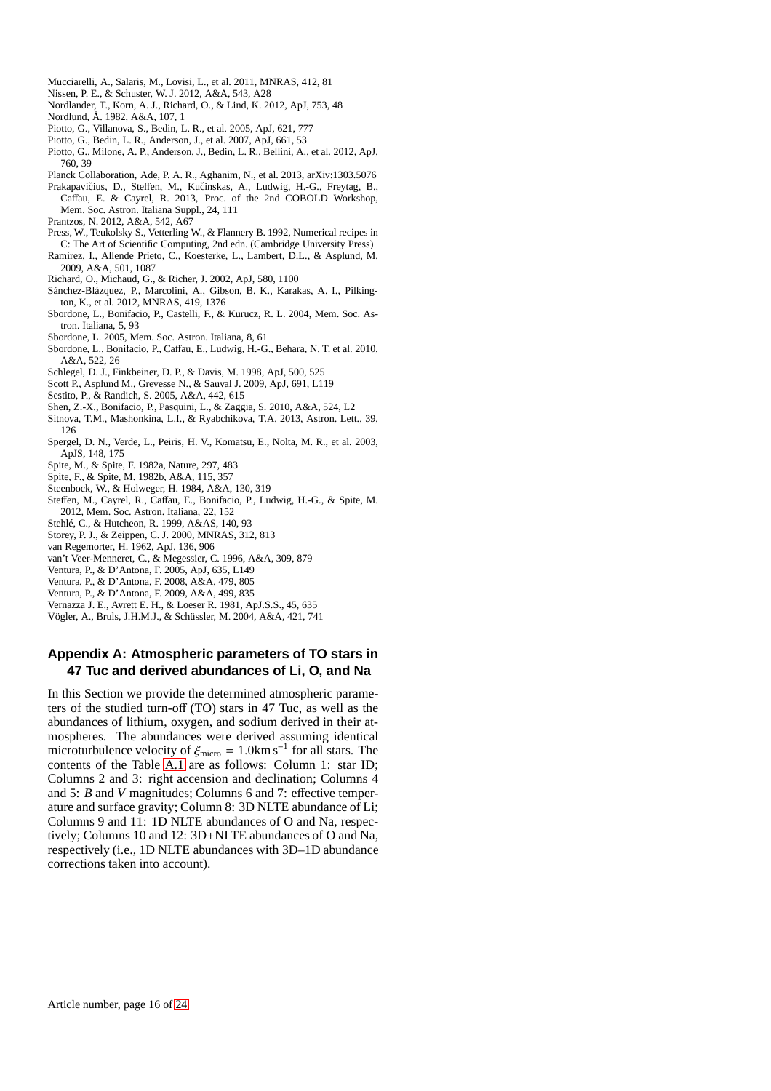- <span id="page-15-35"></span>Mucciarelli, A., Salaris, M., Lovisi, L., et al. 2011, MNRAS, 412, 81
- <span id="page-15-32"></span>Nissen, P. E., & Schuster, W. J. 2012, A&A, 543, A28
- <span id="page-15-34"></span><span id="page-15-20"></span>Nordlander, T., Korn, A. J., Richard, O., & Lind, K. 2012, ApJ, 753, 48 Nordlund, Å. 1982, A&A, 107, 1
- <span id="page-15-0"></span>Piotto, G., Villanova, S., Bedin, L. R., et al. 2005, ApJ, 621, 777
- <span id="page-15-1"></span>Piotto, G., Bedin, L. R., Anderson, J., et al. 2007, ApJ, 661, 53
- <span id="page-15-2"></span>Piotto, G., Milone, A. P., Anderson, J., Bedin, L. R., Bellini, A., et al. 2012, ApJ, 760, 39
- <span id="page-15-28"></span><span id="page-15-22"></span>Planck Collaboration, Ade, P. A. R., Aghanim, N., et al. 2013, arXiv:1303.5076 Prakapavičius, D., Steffen, M., Kučinskas, A., Ludwig, H.-G., Freytag, B., Caffau, E. & Cayrel, R. 2013, Proc. of the 2nd COBOLD Workshop,

Mem. Soc. Astron. Italiana Suppl., 24, 111 Prantzos, N. 2012, A&A, 542, A67

- <span id="page-15-31"></span><span id="page-15-24"></span>Press, W., Teukolsky S., Vetterling W., & Flannery B. 1992, Numerical recipes in C: The Art of Scientific Computing, 2nd edn. (Cambridge University Press)
- <span id="page-15-6"></span>Ramírez, I., Allende Prieto, C., Koesterke, L., Lambert, D.L., & Asplund, M. 2009, A&A, 501, 1087
- <span id="page-15-33"></span>Richard, O., Michaud, G., & Richer, J. 2002, ApJ, 580, 1100
- <span id="page-15-23"></span>Sánchez-Blázquez, P., Marcolini, A., Gibson, B. K., Karakas, A. I., Pilkington, K., et al. 2012, MNRAS, 419, 1376
- <span id="page-15-10"></span>Sbordone, L., Bonifacio, P., Castelli, F., & Kurucz, R. L. 2004, Mem. Soc. Astron. Italiana, 5, 93
- <span id="page-15-11"></span>Sbordone, L. 2005, Mem. Soc. Astron. Italiana, 8, 61
- <span id="page-15-7"></span>Sbordone, L., Bonifacio, P., Caffau, E., Ludwig, H.-G., Behara, N. T. et al. 2010, A&A, 522, 26
- <span id="page-15-9"></span>Schlegel, D. J., Finkbeiner, D. P., & Davis, M. 1998, ApJ, 500, 525
- <span id="page-15-16"></span>Scott P., Asplund M., Grevesse N., & Sauval J. 2009, ApJ, 691, L119
- <span id="page-15-30"></span>Sestito, P., & Randich, S. 2005, A&A, 442, 615
- <span id="page-15-29"></span>Shen, Z.-X., Bonifacio, P., Pasquini, L., & Zaggia, S. 2010, A&A, 524, L2
- <span id="page-15-14"></span>Sitnova, T.M., Mashonkina, L.I., & Ryabchikova, T.A. 2013, Astron. Lett., 39, 126
- <span id="page-15-27"></span>Spergel, D. N., Verde, L., Peiris, H. V., Komatsu, E., Nolta, M. R., et al. 2003, ApJS, 148, 175
- <span id="page-15-25"></span>Spite, M., & Spite, F. 1982a, Nature, 297, 483
- <span id="page-15-26"></span>Spite, F., & Spite, M. 1982b, A&A, 115, 357
- <span id="page-15-17"></span>Steenbock, W., & Holweger, H. 1984, A&A, 130, 319
- <span id="page-15-36"></span>Steffen, M., Cayrel, R., Caffau, E., Bonifacio, P., Ludwig, H.-G., & Spite, M. 2012, Mem. Soc. Astron. Italiana, 22, 152
- <span id="page-15-8"></span>Stehlé, C., & Hutcheon, R. 1999, A&AS, 140, 93
- <span id="page-15-15"></span>Storey, P. J., & Zeippen, C. J. 2000, MNRAS, 312, 813
- <span id="page-15-13"></span>van Regemorter, H. 1962, ApJ, 136, 906
- <span id="page-15-12"></span>van't Veer-Menneret, C., & Megessier, C. 1996, A&A, 309, 879
- <span id="page-15-3"></span>Ventura, P., & D'Antona, F. 2005, ApJ, 635, L149
- <span id="page-15-4"></span>Ventura, P., & D'Antona, F. 2008, A&A, 479, 805
- <span id="page-15-5"></span>Ventura, P., & D'Antona, F. 2009, A&A, 499, 835
- <span id="page-15-18"></span>Vernazza J. E., Avrett E. H., & Loeser R. 1981, ApJ.S.S., 45, 635
- <span id="page-15-21"></span>Vögler, A., Bruls, J.H.M.J., & Schüssler, M. 2004, A&A, 421, 741

# <span id="page-15-19"></span>**Appendix A: Atmospheric parameters of TO stars in 47 Tuc and derived abundances of Li, O, and Na**

In this Section we provide the determined atmospheric parameters of the studied turn-off (TO) stars in 47 Tuc, as well as the abundances of lithium, oxygen, and sodium derived in their atmospheres. The abundances were derived assuming identical microturbulence velocity of  $\xi_{\text{micro}} = 1.0 \text{km s}^{-1}$  for all stars. The contents of the Table [A.1](#page-16-0) are as follows: Column 1: star ID; Columns 2 and 3: right accension and declination; Columns 4 and 5: *B* and *V* magnitudes; Columns 6 and 7: effective temperature and surface gravity; Column 8: 3D NLTE abundance of Li; Columns 9 and 11: 1D NLTE abundances of O and Na, respectively; Columns 10 and 12: 3D+NLTE abundances of O and Na, respectively (i.e., 1D NLTE abundances with 3D–1D abundance corrections taken into account).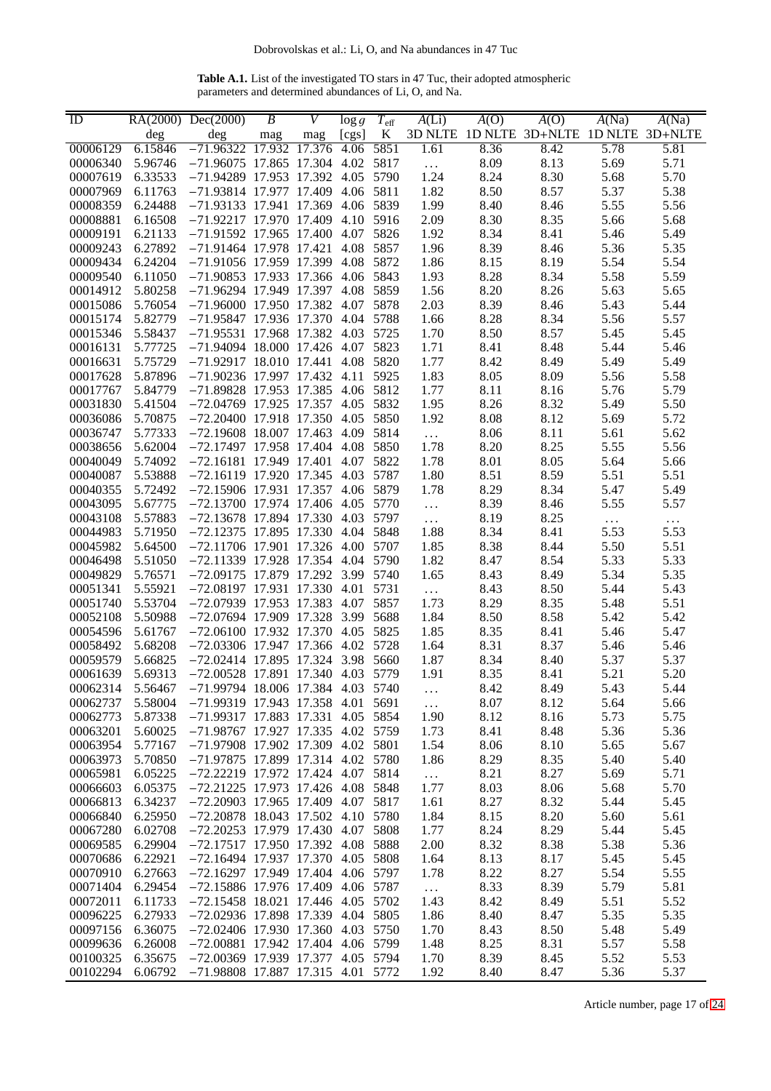**Table A.1.** List of the investigated TO stars in 47 Tuc, their adopted atmospheric parameters and determined abundances of Li, O, and Na.

<span id="page-16-0"></span>

| ID       |         | RA(2000) Dec(2000)                  | B   | V   | $\log g$ | $T_{\rm eff}$ | A(Li)     | A(O) | A(O)                                    | A(Na)    | A(Na)    |
|----------|---------|-------------------------------------|-----|-----|----------|---------------|-----------|------|-----------------------------------------|----------|----------|
|          | deg     | deg                                 | mag | mag | [cgs]    | K             |           |      | 3D NLTE 1D NLTE 3D+NLTE 1D NLTE 3D+NLTE |          |          |
| 00006129 | 6.15846 | $-71.96322$ 17.932 17.376           |     |     | 4.06     | 5851          | 1.61      | 8.36 | 8.42                                    | 5.78     | 5.81     |
| 00006340 | 5.96746 | -71.96075 17.865 17.304 4.02 5817   |     |     |          |               | $\ldots$  | 8.09 | 8.13                                    | 5.69     | 5.71     |
| 00007619 | 6.33533 | -71.94289 17.953 17.392 4.05 5790   |     |     |          |               | 1.24      | 8.24 | 8.30                                    | 5.68     | 5.70     |
| 00007969 | 6.11763 | -71.93814 17.977 17.409 4.06 5811   |     |     |          |               | 1.82      | 8.50 | 8.57                                    | 5.37     | 5.38     |
| 00008359 | 6.24488 | -71.93133 17.941 17.369 4.06 5839   |     |     |          |               | 1.99      | 8.40 | 8.46                                    | 5.55     | 5.56     |
| 00008881 | 6.16508 | -71.92217 17.970 17.409 4.10 5916   |     |     |          |               | 2.09      | 8.30 | 8.35                                    | 5.66     | 5.68     |
| 00009191 | 6.21133 | -71.91592 17.965 17.400 4.07 5826   |     |     |          |               | 1.92      | 8.34 | 8.41                                    | 5.46     | 5.49     |
| 00009243 | 6.27892 | $-71.91464$ 17.978 17.421 4.08 5857 |     |     |          |               | 1.96      | 8.39 | 8.46                                    | 5.36     | 5.35     |
| 00009434 | 6.24204 | -71.91056 17.959 17.399 4.08 5872   |     |     |          |               | 1.86      | 8.15 | 8.19                                    | 5.54     | 5.54     |
| 00009540 | 6.11050 | -71.90853 17.933 17.366 4.06 5843   |     |     |          |               | 1.93      | 8.28 | 8.34                                    | 5.58     | 5.59     |
| 00014912 | 5.80258 | -71.96294 17.949 17.397 4.08 5859   |     |     |          |               | 1.56      | 8.20 | 8.26                                    | 5.63     | 5.65     |
| 00015086 | 5.76054 | -71.96000 17.950 17.382 4.07 5878   |     |     |          |               | 2.03      | 8.39 | 8.46                                    | 5.43     | 5.44     |
| 00015174 | 5.82779 | -71.95847 17.936 17.370 4.04 5788   |     |     |          |               | 1.66      | 8.28 | 8.34                                    | 5.56     | 5.57     |
| 00015346 | 5.58437 | $-71.95531$ 17.968 17.382 4.03 5725 |     |     |          |               | 1.70      | 8.50 | 8.57                                    | 5.45     | 5.45     |
| 00016131 | 5.77725 | -71.94094 18.000 17.426 4.07 5823   |     |     |          |               | 1.71      | 8.41 | 8.48                                    | 5.44     | 5.46     |
| 00016631 | 5.75729 | $-71.92917$ 18.010 17.441 4.08 5820 |     |     |          |               | 1.77      | 8.42 | 8.49                                    | 5.49     | 5.49     |
| 00017628 | 5.87896 | $-71.90236$ 17.997 17.432 4.11      |     |     |          | 5925          | 1.83      | 8.05 | 8.09                                    | 5.56     | 5.58     |
| 00017767 | 5.84779 | -71.89828 17.953 17.385 4.06 5812   |     |     |          |               | 1.77      | 8.11 | 8.16                                    | 5.76     | 5.79     |
| 00031830 | 5.41504 | -72.04769 17.925 17.357 4.05 5832   |     |     |          |               | 1.95      | 8.26 | 8.32                                    | 5.49     | 5.50     |
| 00036086 | 5.70875 | -72.20400 17.918 17.350 4.05 5850   |     |     |          |               | 1.92      | 8.08 | 8.12                                    | 5.69     | 5.72     |
| 00036747 | 5.77333 | $-72.19608$ 18.007 17.463 4.09 5814 |     |     |          |               | $\ldots$  | 8.06 | 8.11                                    | 5.61     | 5.62     |
| 00038656 | 5.62004 | $-72.17497$ 17.958 17.404 4.08 5850 |     |     |          |               | 1.78      | 8.20 | 8.25                                    | 5.55     | 5.56     |
| 00040049 | 5.74092 | $-72.16181$ 17.949 17.401           |     |     |          | 4.07 5822     | 1.78      | 8.01 | 8.05                                    | 5.64     | 5.66     |
| 00040087 | 5.53888 | -72.16119 17.920 17.345 4.03 5787   |     |     |          |               | 1.80      | 8.51 | 8.59                                    | 5.51     | 5.51     |
| 00040355 | 5.72492 | -72.15906 17.931 17.357 4.06 5879   |     |     |          |               | 1.78      | 8.29 | 8.34                                    | 5.47     | 5.49     |
| 00043095 | 5.67775 | -72.13700 17.974 17.406 4.05 5770   |     |     |          |               | $\ldots$  | 8.39 | 8.46                                    | 5.55     | 5.57     |
| 00043108 | 5.57883 | -72.13678 17.894 17.330 4.03 5797   |     |     |          |               | $\ldots$  | 8.19 | 8.25                                    | $\ldots$ | $\ldots$ |
| 00044983 | 5.71950 | $-72.12375$ 17.895 17.330 4.04 5848 |     |     |          |               | 1.88      | 8.34 | 8.41                                    | 5.53     | 5.53     |
| 00045982 | 5.64500 | -72.11706 17.901 17.326 4.00 5707   |     |     |          |               | 1.85      | 8.38 | 8.44                                    | 5.50     | 5.51     |
| 00046498 | 5.51050 | -72.11339 17.928 17.354 4.04 5790   |     |     |          |               | 1.82      | 8.47 | 8.54                                    | 5.33     | 5.33     |
| 00049829 | 5.76571 | -72.09175 17.879 17.292 3.99 5740   |     |     |          |               | 1.65      | 8.43 | 8.49                                    | 5.34     | 5.35     |
| 00051341 | 5.55921 | -72.08197 17.931 17.330 4.01 5731   |     |     |          |               | $\ddotsc$ | 8.43 | 8.50                                    | 5.44     | 5.43     |
| 00051740 | 5.53704 | $-72.07939$ 17.953 17.383 4.07 5857 |     |     |          |               | 1.73      | 8.29 | 8.35                                    | 5.48     | 5.51     |
| 00052108 | 5.50988 | -72.07694 17.909 17.328 3.99 5688   |     |     |          |               | 1.84      | 8.50 | 8.58                                    | 5.42     | 5.42     |
| 00054596 | 5.61767 | $-72.06100$ 17.932 17.370 4.05 5825 |     |     |          |               | 1.85      | 8.35 | 8.41                                    | 5.46     | 5.47     |
| 00058492 | 5.68208 | -72.03306 17.947 17.366 4.02 5728   |     |     |          |               | 1.64      | 8.31 | 8.37                                    | 5.46     | 5.46     |
| 00059579 | 5.66825 | $-72.02414$ 17.895 17.324 3.98 5660 |     |     |          |               | 1.87      | 8.34 | 8.40                                    | 5.37     | 5.37     |
| 00061639 | 5.69313 | $-72.00528$ 17.891 17.340 4.03 5779 |     |     |          |               | 1.91      | 8.35 | 8.41                                    | 5.21     | 5.20     |
| 00062314 | 5.56467 | $-71.99794$ 18.006 17.384 4.03 5740 |     |     |          |               |           | 8.42 | 8.49                                    | 5.43     | 5.44     |
| 00062737 | 5.58004 | -71.99319 17.943 17.358 4.01 5691   |     |     |          |               | $\ldots$  | 8.07 | 8.12                                    | 5.64     | 5.66     |
| 00062773 | 5.87338 | $-71.99317$ 17.883 17.331           |     |     |          | 4.05 5854     | 1.90      | 8.12 | 8.16                                    | 5.73     | 5.75     |
| 00063201 | 5.60025 | -71.98767 17.927 17.335 4.02 5759   |     |     |          |               | 1.73      | 8.41 | 8.48                                    | 5.36     | 5.36     |
| 00063954 | 5.77167 | -71.97908 17.902 17.309 4.02 5801   |     |     |          |               | 1.54      | 8.06 | 8.10                                    | 5.65     | 5.67     |
| 00063973 | 5.70850 | -71.97875 17.899 17.314 4.02 5780   |     |     |          |               | 1.86      | 8.29 | 8.35                                    | 5.40     | 5.40     |
| 00065981 | 6.05225 | -72.22219 17.972 17.424 4.07 5814   |     |     |          |               | $\ldots$  | 8.21 | 8.27                                    | 5.69     | 5.71     |
| 00066603 | 6.05375 | $-72.21225$ 17.973 17.426 4.08 5848 |     |     |          |               | 1.77      | 8.03 | 8.06                                    | 5.68     | 5.70     |
| 00066813 | 6.34237 | -72.20903 17.965 17.409 4.07 5817   |     |     |          |               | 1.61      | 8.27 | 8.32                                    | 5.44     | 5.45     |
| 00066840 | 6.25950 | $-72.20878$ 18.043 17.502 4.10 5780 |     |     |          |               | 1.84      | 8.15 | 8.20                                    | 5.60     | 5.61     |
| 00067280 | 6.02708 | $-72.20253$ 17.979 17.430 4.07 5808 |     |     |          |               | 1.77      | 8.24 | 8.29                                    | 5.44     | 5.45     |
| 00069585 | 6.29904 | -72.17517 17.950 17.392 4.08 5888   |     |     |          |               | 2.00      | 8.32 | 8.38                                    | 5.38     | 5.36     |
| 00070686 | 6.22921 | -72.16494 17.937 17.370 4.05 5808   |     |     |          |               | 1.64      | 8.13 | 8.17                                    | 5.45     | 5.45     |
| 00070910 | 6.27663 | -72.16297 17.949 17.404 4.06 5797   |     |     |          |               | 1.78      | 8.22 | 8.27                                    | 5.54     | 5.55     |
| 00071404 | 6.29454 | -72.15886 17.976 17.409 4.06 5787   |     |     |          |               | $\ldots$  | 8.33 | 8.39                                    | 5.79     | 5.81     |
| 00072011 | 6.11733 | $-72.15458$ 18.021 17.446 4.05 5702 |     |     |          |               | 1.43      | 8.42 | 8.49                                    | 5.51     | 5.52     |
| 00096225 | 6.27933 | $-72.02936$ 17.898 17.339 4.04 5805 |     |     |          |               | 1.86      | 8.40 | 8.47                                    | 5.35     | 5.35     |
| 00097156 | 6.36075 | $-72.02406$ 17.930 17.360 4.03 5750 |     |     |          |               | 1.70      | 8.43 | 8.50                                    | 5.48     | 5.49     |
| 00099636 | 6.26008 | $-72.00881$ 17.942 17.404 4.06 5799 |     |     |          |               | 1.48      | 8.25 | 8.31                                    | 5.57     | 5.58     |
| 00100325 | 6.35675 | -72.00369 17.939 17.377 4.05 5794   |     |     |          |               | 1.70      | 8.39 | 8.45                                    | 5.52     | 5.53     |
| 00102294 | 6.06792 | $-71.98808$ 17.887 17.315 4.01 5772 |     |     |          |               | 1.92      | 8.40 | 8.47                                    | 5.36     | 5.37     |

Article number, page 17 of 24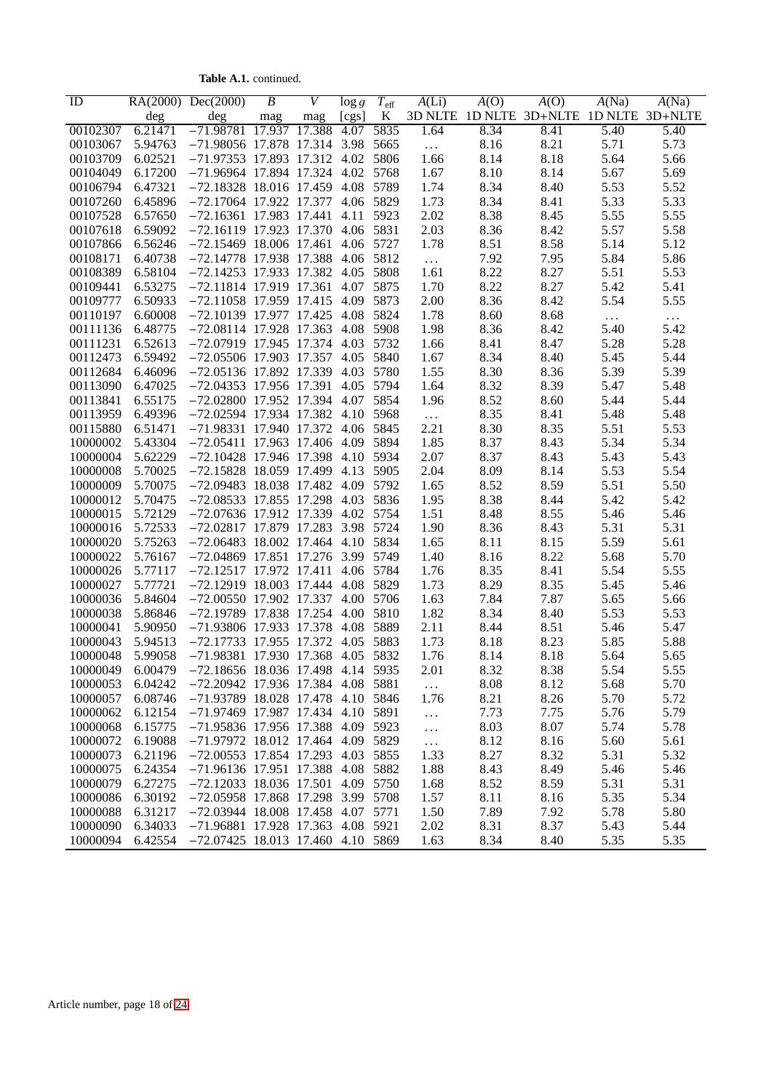**Table A.1.** continued.

| ID       |         | RA(2000) Dec(2000)                  | $\overline{B}$ | V   | $\log g$  | $T_{\rm eff}$ | A(Li)    | A(O) | A(O)                                    | A(Na)    | A(Na)    |
|----------|---------|-------------------------------------|----------------|-----|-----------|---------------|----------|------|-----------------------------------------|----------|----------|
|          | deg     | deg                                 | mag            | mag | [cgs]     | K             |          |      | 3D NLTE 1D NLTE 3D+NLTE 1D NLTE 3D+NLTE |          |          |
| 00102307 | 6.21471 | $-71.98781$ 17.937 17.388           |                |     | 4.07      | 5835          | 1.64     | 8.34 | 8.41                                    | 5.40     | 5.40     |
| 00103067 | 5.94763 | -71.98056 17.878 17.314 3.98 5665   |                |     |           |               | $\ldots$ | 8.16 | 8.21                                    | 5.71     | 5.73     |
| 00103709 | 6.02521 | -71.97353 17.893 17.312 4.02 5806   |                |     |           |               | 1.66     | 8.14 | 8.18                                    | 5.64     | 5.66     |
| 00104049 | 6.17200 | -71.96964 17.894 17.324 4.02 5768   |                |     |           |               | 1.67     | 8.10 | 8.14                                    | 5.67     | 5.69     |
| 00106794 | 6.47321 | $-72.18328$ 18.016 17.459 4.08 5789 |                |     |           |               | 1.74     | 8.34 | 8.40                                    | 5.53     | 5.52     |
| 00107260 | 6.45896 | -72.17064 17.922 17.377 4.06 5829   |                |     |           |               | 1.73     | 8.34 | 8.41                                    | 5.33     | 5.33     |
| 00107528 | 6.57650 | -72.16361 17.983 17.441 4.11 5923   |                |     |           |               | 2.02     | 8.38 | 8.45                                    | 5.55     | 5.55     |
| 00107618 | 6.59092 | -72.16119 17.923 17.370 4.06 5831   |                |     |           |               | 2.03     | 8.36 | 8.42                                    | 5.57     | 5.58     |
| 00107866 | 6.56246 | -72.15469 18.006 17.461             |                |     |           | 4.06 5727     | 1.78     | 8.51 | 8.58                                    | 5.14     | 5.12     |
| 00108171 | 6.40738 | -72.14778 17.938 17.388 4.06 5812   |                |     |           |               | $\ldots$ | 7.92 | 7.95                                    | 5.84     | 5.86     |
| 00108389 | 6.58104 | -72.14253 17.933 17.382 4.05 5808   |                |     |           |               | 1.61     | 8.22 | 8.27                                    | 5.51     | 5.53     |
| 00109441 | 6.53275 | -72.11814 17.919 17.361             |                |     |           | 4.07 5875     | 1.70     | 8.22 | 8.27                                    | 5.42     | 5.41     |
| 00109777 | 6.50933 | -72.11058 17.959 17.415 4.09 5873   |                |     |           |               | 2.00     | 8.36 | 8.42                                    | 5.54     | 5.55     |
| 00110197 | 6.60008 | -72.10139 17.977 17.425 4.08 5824   |                |     |           |               | 1.78     | 8.60 | 8.68                                    | $\ldots$ | $\ddots$ |
| 00111136 | 6.48775 | -72.08114 17.928 17.363 4.08 5908   |                |     |           |               | 1.98     | 8.36 | 8.42                                    | 5.40     | 5.42     |
| 00111231 | 6.52613 | -72.07919 17.945 17.374 4.03 5732   |                |     |           |               | 1.66     | 8.41 | 8.47                                    | 5.28     | 5.28     |
| 00112473 | 6.59492 | -72.05506 17.903 17.357 4.05 5840   |                |     |           |               | 1.67     | 8.34 | 8.40                                    | 5.45     | 5.44     |
| 00112684 | 6.46096 | -72.05136 17.892 17.339 4.03 5780   |                |     |           |               | 1.55     | 8.30 | 8.36                                    | 5.39     | 5.39     |
| 00113090 | 6.47025 | -72.04353 17.956 17.391 4.05 5794   |                |     |           |               | 1.64     | 8.32 | 8.39                                    | 5.47     | 5.48     |
| 00113841 | 6.55175 | -72.02800 17.952 17.394 4.07 5854   |                |     |           |               | 1.96     | 8.52 | 8.60                                    | 5.44     | 5.44     |
| 00113959 | 6.49396 | -72.02594 17.934 17.382 4.10 5968   |                |     |           |               | $\ldots$ | 8.35 | 8.41                                    | 5.48     | 5.48     |
| 00115880 | 6.51471 | -71.98331 17.940 17.372 4.06 5845   |                |     |           |               | 2.21     | 8.30 | 8.35                                    | 5.51     | 5.53     |
| 10000002 | 5.43304 | -72.05411 17.963 17.406 4.09 5894   |                |     |           |               | 1.85     | 8.37 | 8.43                                    | 5.34     | 5.34     |
| 10000004 | 5.62229 | -72.10428 17.946 17.398 4.10 5934   |                |     |           |               | 2.07     | 8.37 | 8.43                                    | 5.43     | 5.43     |
| 10000008 | 5.70025 | -72.15828 18.059 17.499 4.13 5905   |                |     |           |               | 2.04     | 8.09 | 8.14                                    | 5.53     | 5.54     |
| 10000009 | 5.70075 | -72.09483 18.038 17.482 4.09 5792   |                |     |           |               | 1.65     | 8.52 | 8.59                                    | 5.51     | 5.50     |
| 10000012 | 5.70475 | $-72.08533$ 17.855 17.298 4.03 5836 |                |     |           |               | 1.95     | 8.38 | 8.44                                    | 5.42     | 5.42     |
| 10000015 | 5.72129 | -72.07636 17.912 17.339 4.02 5754   |                |     |           |               | 1.51     | 8.48 | 8.55                                    | 5.46     | 5.46     |
| 10000016 | 5.72533 | -72.02817 17.879 17.283 3.98 5724   |                |     |           |               | 1.90     | 8.36 | 8.43                                    | 5.31     | 5.31     |
| 10000020 | 5.75263 | -72.06483 18.002 17.464 4.10 5834   |                |     |           |               | 1.65     | 8.11 | 8.15                                    | 5.59     | 5.61     |
| 10000022 | 5.76167 | -72.04869 17.851 17.276 3.99 5749   |                |     |           |               | 1.40     | 8.16 | 8.22                                    | 5.68     | 5.70     |
| 10000026 | 5.77117 | $-72.12517$ 17.972 17.411 4.06 5784 |                |     |           |               | 1.76     | 8.35 | 8.41                                    | 5.54     | 5.55     |
| 10000027 | 5.77721 | $-72.12919$ 18.003 17.444 4.08 5829 |                |     |           |               | 1.73     | 8.29 | 8.35                                    | 5.45     | 5.46     |
| 10000036 | 5.84604 | $-72.00550$ 17.902 17.337 4.00 5706 |                |     |           |               | 1.63     | 7.84 | 7.87                                    | 5.65     | 5.66     |
| 10000038 | 5.86846 | -72.19789 17.838 17.254 4.00 5810   |                |     |           |               | 1.82     | 8.34 | 8.40                                    | 5.53     | 5.53     |
| 10000041 | 5.90950 | -71.93806 17.933 17.378             |                |     | 4.08 5889 |               |          |      |                                         |          |          |
|          | 5.94513 | $-72.17733$ 17.955 17.372 4.05 5883 |                |     |           |               | 2.11     | 8.44 | 8.51                                    | 5.46     | 5.47     |
| 10000043 |         |                                     |                |     |           |               | 1.73     | 8.18 | 8.23                                    | 5.85     | 5.88     |
| 10000048 | 5.99058 | -71.98381 17.930 17.368 4.05 5832   |                |     |           |               | 1.76     | 8.14 | 8.18                                    | 5.64     | 5.65     |
| 10000049 | 6.00479 | $-72.18656$ 18.036 17.498 4.14 5935 |                |     |           |               | 2.01     | 8.32 | 8.38                                    | 5.54     | 5.55     |
| 10000053 | 6.04242 | -72.20942 17.936 17.384 4.08 5881   |                |     |           |               | $\ldots$ | 8.08 | 8.12                                    | 5.68     | 5.70     |
| 10000057 | 6.08746 | -71.93789 18.028 17.478 4.10 5846   |                |     |           |               | 1.76     | 8.21 | 8.26                                    | 5.70     | 5.72     |
| 10000062 | 6.12154 | -71.97469 17.987 17.434 4.10 5891   |                |     |           |               | $\ldots$ | 7.73 | 7.75                                    | 5.76     | 5.79     |
| 10000068 | 6.15775 | -71.95836 17.956 17.388 4.09 5923   |                |     |           |               | $\cdots$ | 8.03 | 8.07                                    | 5.74     | 5.78     |
| 10000072 | 6.19088 | -71.97972 18.012 17.464 4.09 5829   |                |     |           |               | $\ldots$ | 8.12 | 8.16                                    | 5.60     | 5.61     |
| 10000073 | 6.21196 | $-72.00553$ 17.854 17.293 4.03 5855 |                |     |           |               | 1.33     | 8.27 | 8.32                                    | 5.31     | 5.32     |
| 10000075 | 6.24354 | -71.96136 17.951 17.388 4.08 5882   |                |     |           |               | 1.88     | 8.43 | 8.49                                    | 5.46     | 5.46     |
| 10000079 | 6.27275 | $-72.12033$ 18.036 17.501           |                |     |           | 4.09 5750     | 1.68     | 8.52 | 8.59                                    | 5.31     | 5.31     |
| 10000086 | 6.30192 | -72.05958 17.868 17.298 3.99 5708   |                |     |           |               | 1.57     | 8.11 | 8.16                                    | 5.35     | 5.34     |
| 10000088 | 6.31217 | $-72.03944$ 18.008 17.458 4.07 5771 |                |     |           |               | 1.50     | 7.89 | 7.92                                    | 5.78     | 5.80     |
| 10000090 | 6.34033 | -71.96881 17.928 17.363 4.08 5921   |                |     |           |               | 2.02     | 8.31 | 8.37                                    | 5.43     | 5.44     |
| 10000094 | 6.42554 | $-72.07425$ 18.013 17.460 4.10 5869 |                |     |           |               | 1.63     | 8.34 | 8.40                                    | 5.35     | 5.35     |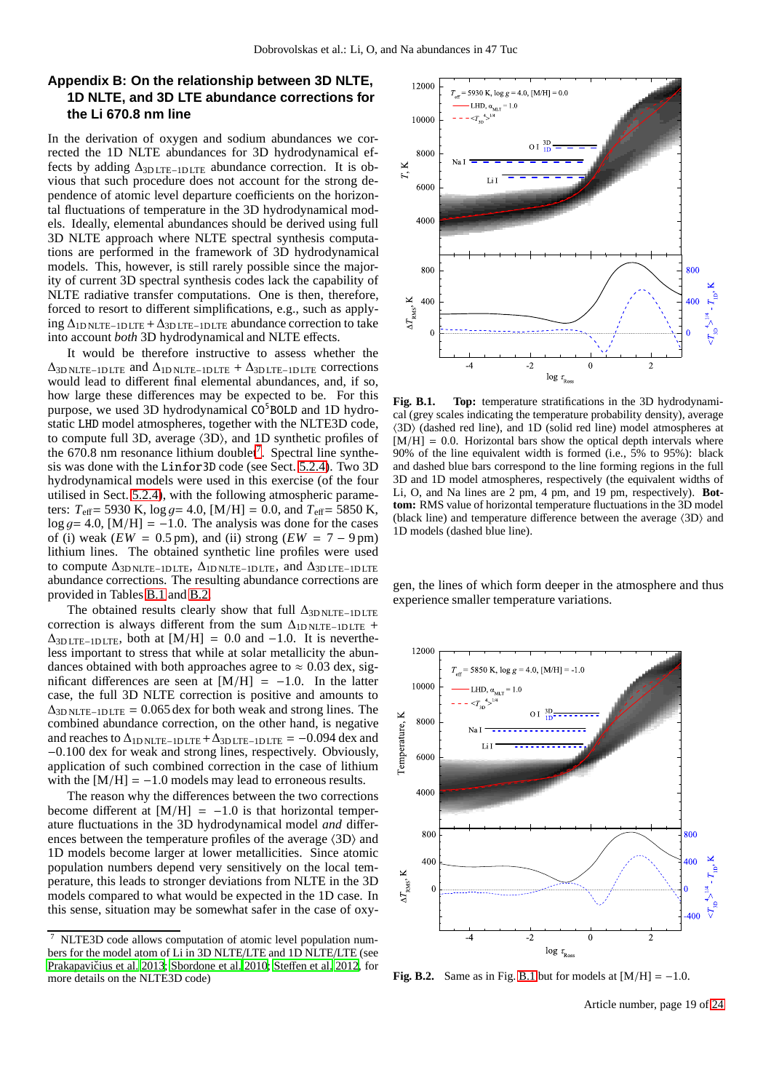# <span id="page-18-0"></span>**Appendix B: On the relationship between 3D NLTE, 1D NLTE, and 3D LTE abundance corrections for the Li 670.8 nm line**

In the derivation of oxygen and sodium abundances we corrected the 1D NLTE abundances for 3D hydrodynamical effects by adding  $\Delta_{3\text{DITE}-1\text{DITE}}$  abundance correction. It is obvious that such procedure does not account for the strong dependence of atomic level departure coefficients on the horizontal fluctuations of temperature in the 3D hydrodynamical models. Ideally, elemental abundances should be derived using full 3D NLTE approach where NLTE spectral synthesis computations are performed in the framework of 3D hydrodynamical models. This, however, is still rarely possible since the majority of current 3D spectral synthesis codes lack the capability of NLTE radiative transfer computations. One is then, therefore, forced to resort to different simplifications, e.g., such as apply- $\log \Delta_{\rm 1D NLTE-DLTE} + \Delta_{\rm 3D LTE-DLTE}$  abundance correction to take into account *both* 3D hydrodynamical and NLTE effects.

It would be therefore instructive to assess whether the  $\Delta$ <sub>3D NLTE</sub>-1D LTE and  $\Delta$ <sub>1D NLTE</sub> -1D LTE +  $\Delta$ <sub>3D LTE</sub>-1D LTE corrections</sub> would lead to different final elemental abundances, and, if so, how large these differences may be expected to be. For this purpose, we used 3D hydrodynamical  $CO<sup>5</sup>BOLD$  and 1D hydrostatic LHD model atmospheres, together with the NLTE3D code, to compute full 3D, average  $\langle 3D \rangle$ , and 1D synthetic profiles of the  $670.8$  $670.8$  $670.8$  nm resonance lithium doublet<sup>7</sup>. Spectral line synthesis was done with the Linfor3D code (see Sect. [5.2.4\)](#page-7-1). Two 3D hydrodynamical models were used in this exercise (of the four utilised in Sect. [5.2.4\)](#page-7-1), with the following atmospheric parameters:  $T_{\text{eff}}$  = 5930 K, log  $g$  = 4.0, [M/H] = 0.0, and  $T_{\text{eff}}$  = 5850 K,  $log\ g = 4.0$ , [M/H] = -1.0. The analysis was done for the cases of (i) weak ( $EW = 0.5$  pm), and (ii) strong ( $EW = 7 - 9$  pm) lithium lines. The obtained synthetic line profiles were used to compute  $\Delta_{3D \text{ NLTE}-1\text{ DLTE}}$ ,  $\Delta_{1D \text{ NLTE}-1\text{ DLTE}}$ , and  $\Delta_{3D \text{ LTE}-1\text{ DLTE}}$ abundance corrections. The resulting abundance corrections are provided in Tables [B.1](#page-19-0) and [B.2.](#page-19-1)

The obtained results clearly show that full  $\Delta_{3D \text{ NLTE}-1D \text{ LTE}}$ correction is always different from the sum  $\Delta_{\text{ID NLTE}-\text{ID LTE}}$  +  $\Delta_{3D \text{LTE}-1D \text{LTE}}$ , both at [M/H] = 0.0 and -1.0. It is nevertheless important to stress that while at solar metallicity the abundances obtained with both approaches agree to  $\approx 0.03$  dex, significant differences are seen at  $[M/H] = -1.0$ . In the latter case, the full 3D NLTE correction is positive and amounts to  $\Delta_{3D \text{ NLTE}-1D \text{ LTE}} = 0.065 \text{ dex}$  for both weak and strong lines. The combined abundance correction, on the other hand, is negative and reaches to  $\Delta_{\text{1D NLTE}-1\text{DLTE}} + \Delta_{\text{3D LTE}-1\text{DLTE}} = -0.094$  dex and −0.100 dex for weak and strong lines, respectively. Obviously, application of such combined correction in the case of lithium with the  $[M/H] = -1.0$  models may lead to erroneous results.

The reason why the differences between the two corrections become different at  $[M/H] = -1.0$  is that horizontal temperature fluctuations in the 3D hydrodynamical model *and* differences between the temperature profiles of the average  $\langle 3D \rangle$  and 1D models become larger at lower metallicities. Since atomic population numbers depend very sensitively on the local temperature, this leads to stronger deviations from NLTE in the 3D models compared to what would be expected in the 1D case. In this sense, situation may be somewhat safer in the case of oxy-



<span id="page-18-2"></span>**Fig. B.1. Top:** temperature stratifications in the 3D hydrodynamical (grey scales indicating the temperature probability density), average  $\langle 3D \rangle$  (dashed red line), and 1D (solid red line) model atmospheres at  $[M/H] = 0.0$ . Horizontal bars show the optical depth intervals where 90% of the line equivalent width is formed (i.e., 5% to 95%): black and dashed blue bars correspond to the line forming regions in the full 3D and 1D model atmospheres, respectively (the equivalent widths of Li, O, and Na lines are 2 pm, 4 pm, and 19 pm, respectively). **Bottom:** RMS value of horizontal temperature fluctuations in the 3D model (black line) and temperature difference between the average  $\langle 3D \rangle$  and 1D models (dashed blue line).

gen, the lines of which form deeper in the atmosphere and thus experience smaller temperature variations.



**Fig. B.2.** Same as in Fig. [B.1](#page-18-2) but for models at  $[M/H] = -1.0$ .

Article number, page 19 of 24

<span id="page-18-1"></span><sup>7</sup> NLTE3D code allows computation of atomic level population numbers for the model atom of Li in 3D NLTE/LTE and 1D NLTE/LTE (see Prakapavičius et al. 2013; [Sbordone et al. 2010](#page-15-7); Steff[en et al. 2012,](#page-15-36) for more details on the NLTE3D code)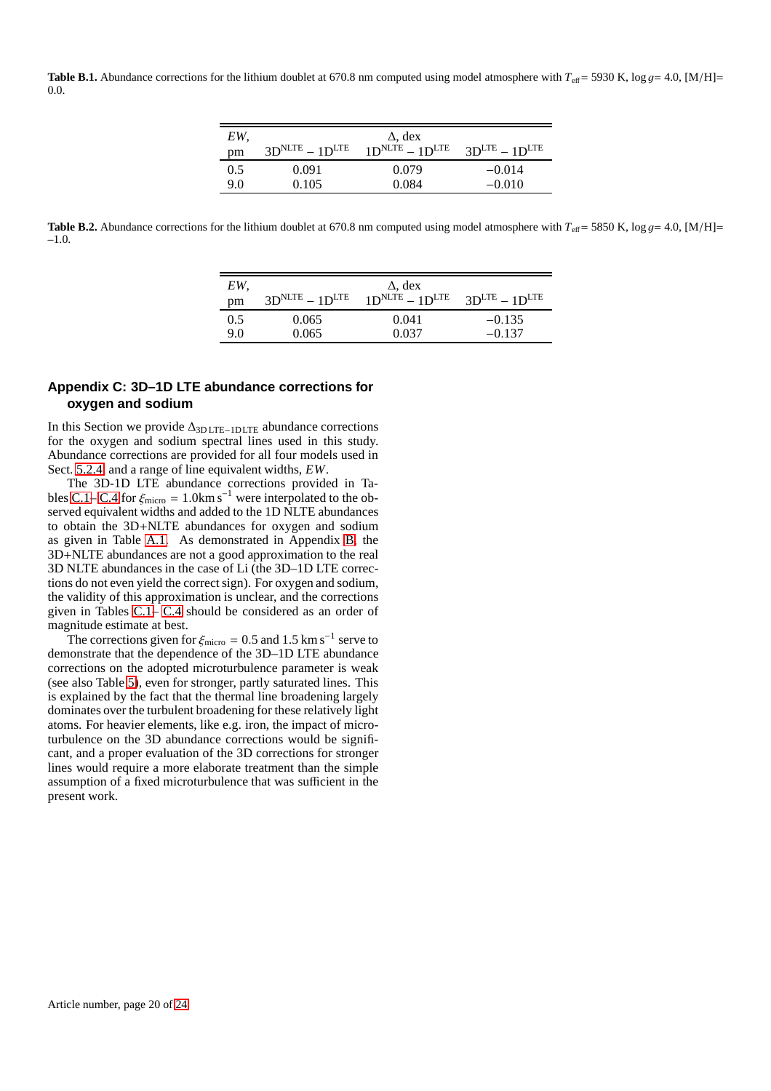<span id="page-19-0"></span>**Table B.1.** Abundance corrections for the lithium doublet at 670.8 nm computed using model atmosphere with  $T_{\text{eff}} = 5930$  K, log  $g = 4.0$ , [M/H]= 0.0.

| EW. |                  | $\Delta$ , dex                             |                 |
|-----|------------------|--------------------------------------------|-----------------|
| pm  | $3DNLTE - 1DLTE$ | $1D$ <sup>NLTE</sup> – $1D$ <sup>LTE</sup> | $3DLTE - 1DLTE$ |
| 0.5 | 0.091            | 0.079                                      | $-0.014$        |
| 9.0 | 0.105            | 0.084                                      | $-0.010$        |

<span id="page-19-1"></span>**Table B.2.** Abundance corrections for the lithium doublet at 670.8 nm computed using model atmosphere with  $T_{\text{eff}} = 5850 \text{ K}$ , log  $g = 4.0$ , [M/H]= –1.0.

| EW. |                  | $\Delta$ , dex                             |                 |
|-----|------------------|--------------------------------------------|-----------------|
| pm  | $3DNLTE - 1DLTE$ | $1D$ <sup>NLTE</sup> – $1D$ <sup>LTE</sup> | $3DLTE - 1DLTE$ |
| 0.5 | 0.065            | 0.041                                      | $-0.135$        |
| 9.0 | 0.065            | 0.037                                      | $-0.137$        |

# **Appendix C: 3D–1D LTE abundance corrections for oxygen and sodium**

In this Section we provide ∆3D LTE−1DLTE abundance corrections for the oxygen and sodium spectral lines used in this study. Abundance corrections are provided for all four models used in Sect. [5.2.4,](#page-7-1) and a range of line equivalent widths, *EW*.

The 3D-1D LTE abundance corrections provided in Ta-bles [C.1–](#page-20-0) [C.4](#page-23-0) for  $\xi_{\text{micro}} = 1.0 \text{km s}^{-1}$  were interpolated to the observed equivalent widths and added to the 1D NLTE abundances to obtain the 3D+NLTE abundances for oxygen and sodium as given in Table [A.1.](#page-16-0) As demonstrated in Appendix [B,](#page-18-0) the 3D+NLTE abundances are not a good approximation to the real 3D NLTE abundances in the case of Li (the 3D–1D LTE corrections do not even yield the correct sign). For oxygen and sodium, the validity of this approximation is unclear, and the corrections given in Tables [C.1–](#page-20-0) [C.4](#page-23-0) should be considered as an order of magnitude estimate at best.

The corrections given for  $\xi_{micro} = 0.5$  and 1.5 km s<sup>-1</sup> serve to demonstrate that the dependence of the 3D–1D LTE abundance corrections on the adopted microturbulence parameter is weak (see also Table [5\)](#page-9-2), even for stronger, partly saturated lines. This is explained by the fact that the thermal line broadening largely dominates over the turbulent broadening for these relatively light atoms. For heavier elements, like e.g. iron, the impact of microturbulence on the 3D abundance corrections would be significant, and a proper evaluation of the 3D corrections for stronger lines would require a more elaborate treatment than the simple assumption of a fixed microturbulence that was sufficient in the present work.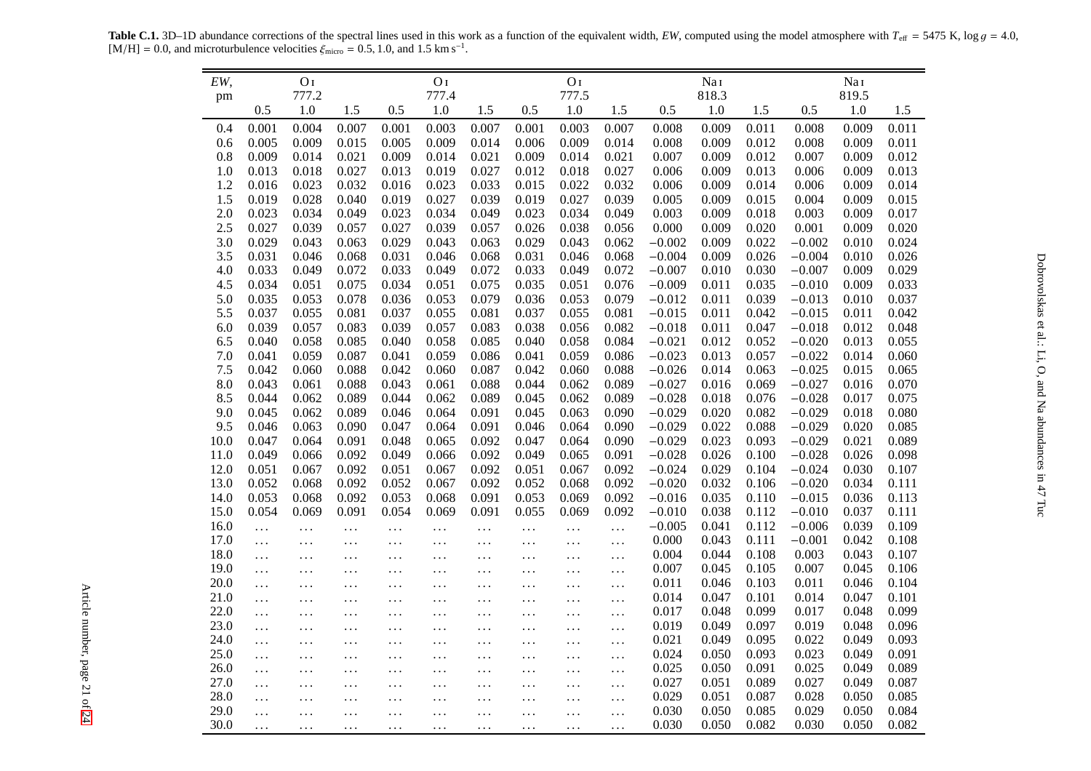**Table C.1.** 3D–1D abundance corrections of the spectral lines used in this work as a function of the equivalent width, *EW*, computed using the model atmosphere with  $T_{\text{eff}} = 5475$  K,  $\log g = 4.0$ , [M/H] = 0.0, and microt

<span id="page-20-1"></span><span id="page-20-0"></span>

| EW,  |           | O <sub>I</sub>   |           |           | O <sub>I</sub><br>777.4 |           |           | O <sub>I</sub><br>777.5 |           |          | Nai              |       |          | NaI<br>819.5 |       |
|------|-----------|------------------|-----------|-----------|-------------------------|-----------|-----------|-------------------------|-----------|----------|------------------|-------|----------|--------------|-------|
| pm   | 0.5       | 777.2<br>$1.0\,$ | 1.5       | 0.5       | $1.0\,$                 | 1.5       | 0.5       | $1.0\,$                 | 1.5       | 0.5      | 818.3<br>$1.0\,$ | 1.5   | 0.5      | 1.0          | 1.5   |
| 0.4  | 0.001     | 0.004            | 0.007     | 0.001     | 0.003                   | 0.007     | 0.001     | 0.003                   | 0.007     | 0.008    | 0.009            | 0.011 | 0.008    | 0.009        | 0.011 |
| 0.6  | 0.005     | 0.009            | 0.015     | 0.005     | 0.009                   | 0.014     | 0.006     | 0.009                   | 0.014     | 0.008    | 0.009            | 0.012 | 0.008    | 0.009        | 0.011 |
| 0.8  | 0.009     | 0.014            | 0.021     | 0.009     | 0.014                   | 0.021     | 0.009     | 0.014                   | 0.021     | 0.007    | 0.009            | 0.012 | 0.007    | 0.009        | 0.012 |
| 1.0  | 0.013     | 0.018            | 0.027     | 0.013     | 0.019                   | 0.027     | 0.012     | 0.018                   | 0.027     | 0.006    | 0.009            | 0.013 | 0.006    | 0.009        | 0.013 |
| 1.2  | 0.016     | 0.023            | 0.032     | 0.016     | 0.023                   | 0.033     | 0.015     | 0.022                   | 0.032     | 0.006    | 0.009            | 0.014 | 0.006    | 0.009        | 0.014 |
| 1.5  | 0.019     | 0.028            | 0.040     | 0.019     | 0.027                   | 0.039     | 0.019     | 0.027                   | 0.039     | 0.005    | 0.009            | 0.015 | 0.004    | 0.009        | 0.015 |
| 2.0  | 0.023     | 0.034            | 0.049     | 0.023     | 0.034                   | 0.049     | 0.023     | 0.034                   | 0.049     | 0.003    | 0.009            | 0.018 | 0.003    | 0.009        | 0.017 |
| 2.5  | 0.027     | 0.039            | 0.057     | 0.027     | 0.039                   | 0.057     | 0.026     | 0.038                   | 0.056     | 0.000    | 0.009            | 0.020 | 0.001    | 0.009        | 0.020 |
| 3.0  | 0.029     | 0.043            | 0.063     | 0.029     | 0.043                   | 0.063     | 0.029     | 0.043                   | 0.062     | $-0.002$ | 0.009            | 0.022 | $-0.002$ | 0.010        | 0.024 |
| 3.5  | 0.031     | 0.046            | 0.068     | 0.031     | 0.046                   | 0.068     | 0.031     | 0.046                   | 0.068     | $-0.004$ | 0.009            | 0.026 | $-0.004$ | 0.010        | 0.026 |
| 4.0  | 0.033     | 0.049            | 0.072     | 0.033     | 0.049                   | 0.072     | 0.033     | 0.049                   | 0.072     | $-0.007$ | 0.010            | 0.030 | $-0.007$ | 0.009        | 0.029 |
| 4.5  | 0.034     | 0.051            | 0.075     | 0.034     | 0.051                   | 0.075     | 0.035     | 0.051                   | 0.076     | $-0.009$ | 0.011            | 0.035 | $-0.010$ | 0.009        | 0.033 |
| 5.0  | 0.035     | 0.053            | 0.078     | 0.036     | 0.053                   | 0.079     | 0.036     | 0.053                   | 0.079     | $-0.012$ | 0.011            | 0.039 | $-0.013$ | 0.010        | 0.037 |
| 5.5  | 0.037     | 0.055            | 0.081     | 0.037     | 0.055                   | 0.081     | 0.037     | 0.055                   | 0.081     | $-0.015$ | 0.011            | 0.042 | $-0.015$ | 0.011        | 0.042 |
| 6.0  | 0.039     | 0.057            | 0.083     | 0.039     | 0.057                   | 0.083     | 0.038     | 0.056                   | 0.082     | $-0.018$ | 0.011            | 0.047 | $-0.018$ | 0.012        | 0.048 |
| 6.5  | 0.040     | 0.058            | 0.085     | 0.040     | 0.058                   | 0.085     | 0.040     | 0.058                   | 0.084     | $-0.021$ | 0.012            | 0.052 | $-0.020$ | 0.013        | 0.055 |
| 7.0  | 0.041     | 0.059            | 0.087     | 0.041     | 0.059                   | 0.086     | 0.041     | 0.059                   | 0.086     | $-0.023$ | 0.013            | 0.057 | $-0.022$ | 0.014        | 0.060 |
| 7.5  | 0.042     | 0.060            | 0.088     | 0.042     | 0.060                   | 0.087     | 0.042     | 0.060                   | 0.088     | $-0.026$ | 0.014            | 0.063 | $-0.025$ | 0.015        | 0.065 |
| 8.0  | 0.043     | 0.061            | 0.088     | 0.043     | 0.061                   | 0.088     | 0.044     | 0.062                   | 0.089     | $-0.027$ | 0.016            | 0.069 | $-0.027$ | 0.016        | 0.070 |
| 8.5  | 0.044     | 0.062            | 0.089     | 0.044     | 0.062                   | 0.089     | 0.045     | 0.062                   | 0.089     | $-0.028$ | 0.018            | 0.076 | $-0.028$ | 0.017        | 0.075 |
| 9.0  | 0.045     | 0.062            | 0.089     | 0.046     | 0.064                   | 0.091     | 0.045     | 0.063                   | 0.090     | $-0.029$ | 0.020            | 0.082 | $-0.029$ | 0.018        | 0.080 |
| 9.5  | 0.046     | 0.063            | 0.090     | 0.047     | 0.064                   | 0.091     | 0.046     | 0.064                   | 0.090     | $-0.029$ | 0.022            | 0.088 | $-0.029$ | 0.020        | 0.085 |
| 10.0 | 0.047     | 0.064            | 0.091     | 0.048     | 0.065                   | 0.092     | 0.047     | 0.064                   | 0.090     | $-0.029$ | 0.023            | 0.093 | $-0.029$ | 0.021        | 0.089 |
| 11.0 | 0.049     | 0.066            | 0.092     | 0.049     | 0.066                   | 0.092     | 0.049     | 0.065                   | 0.091     | $-0.028$ | 0.026            | 0.100 | $-0.028$ | 0.026        | 0.098 |
| 12.0 | 0.051     | 0.067            | 0.092     | 0.051     | 0.067                   | 0.092     | 0.051     | 0.067                   | 0.092     | $-0.024$ | 0.029            | 0.104 | $-0.024$ | 0.030        | 0.107 |
| 13.0 | 0.052     | 0.068            | 0.092     | 0.052     | 0.067                   | 0.092     | 0.052     | 0.068                   | 0.092     | $-0.020$ | 0.032            | 0.106 | $-0.020$ | 0.034        | 0.111 |
| 14.0 | 0.053     | 0.068            | 0.092     | 0.053     | 0.068                   | 0.091     | 0.053     | 0.069                   | 0.092     | $-0.016$ | 0.035            | 0.110 | $-0.015$ | 0.036        | 0.113 |
| 15.0 | 0.054     | 0.069            | 0.091     | 0.054     | 0.069                   | 0.091     | 0.055     | 0.069                   | 0.092     | $-0.010$ | 0.038            | 0.112 | $-0.010$ | 0.037        | 0.111 |
| 16.0 | $\ddots$  | $\ldots$         | $\ldots$  | $\ldots$  | $\ldots$                | $\ldots$  | $\ldots$  | $\ddotsc$               | $\ldots$  | $-0.005$ | 0.041            | 0.112 | $-0.006$ | 0.039        | 0.109 |
| 17.0 | $\ddotsc$ | $\cdots$         | $\ddotsc$ | $\ddotsc$ | $\cdots$                | $\ddotsc$ | $\ddots$  | $\cdots$                | $\ldots$  | 0.000    | 0.043            | 0.111 | $-0.001$ | 0.042        | 0.108 |
| 18.0 | .         | $\cdots$         | $\cdots$  | $\cdots$  | $\cdots$                | $\cdots$  | $\ddotsc$ | $\cdots$                | $\ldots$  | 0.004    | 0.044            | 0.108 | 0.003    | 0.043        | 0.107 |
| 19.0 | $\ddotsc$ | $\cdots$         | $\cdots$  | $\ldots$  | $\ldots$                | $\cdots$  | $\ldots$  | $\ldots$                | $\ldots$  | 0.007    | 0.045            | 0.105 | 0.007    | 0.045        | 0.106 |
| 20.0 | $\ddots$  | .                | $\ddotsc$ | $\ddotsc$ | $\ddots$                | $\cdots$  | $\ddotsc$ | $\ddotsc$               | $\ddotsc$ | 0.011    | 0.046            | 0.103 | 0.011    | 0.046        | 0.104 |
| 21.0 | $\cdots$  | $\cdots$         | $\ddotsc$ | $\ldots$  | $\cdots$                | $\cdots$  | $\ldots$  | $\cdots$                | $\cdots$  | 0.014    | 0.047            | 0.101 | 0.014    | 0.047        | 0.101 |
| 22.0 | $\ldots$  | $\cdots$         | $\ddotsc$ | $\ddots$  | $\cdots$                | $\cdots$  | $\cdots$  | $\cdots$                | $\cdots$  | 0.017    | 0.048            | 0.099 | 0.017    | 0.048        | 0.099 |
| 23.0 | $\ddots$  | $\cdots$         | $\ddotsc$ | $\ddots$  | $\cdots$                | $\ddots$  | $\ddots$  | $\cdots$                | $\cdots$  | 0.019    | 0.049            | 0.097 | 0.019    | 0.048        | 0.096 |
| 24.0 | .         | $\cdots$         | $\ldots$  | $\cdots$  | $\ddots$                | $\cdots$  | $\ddotsc$ | $\ldots$                | $\cdots$  | 0.021    | 0.049            | 0.095 | 0.022    | 0.049        | 0.093 |
| 25.0 | $\ddots$  | $\cdots$         | $\ldots$  | $\ldots$  | $\cdots$                | $\ddots$  | $\cdots$  | $\cdots$                | $\ldots$  | 0.024    | 0.050            | 0.093 | 0.023    | 0.049        | 0.091 |
| 26.0 | $\cdots$  | .                | $\ddotsc$ | $\ddotsc$ | $\cdots$                | $\cdots$  | $\ldots$  | $\ddotsc$               | $\cdots$  | 0.025    | 0.050            | 0.091 | 0.025    | 0.049        | 0.089 |
| 27.0 | $\ddots$  | $\cdots$         | $\ddotsc$ | $\ddots$  | $\cdots$                | $\cdots$  | $\ddotsc$ | $\cdots$                | $\cdots$  | 0.027    | 0.051            | 0.089 | 0.027    | 0.049        | 0.087 |
| 28.0 | $\ldots$  | $\cdots$         | $\cdots$  | $\cdots$  | $\cdots$                | $\cdots$  | $\ddotsc$ | $\ddotsc$               | $\cdots$  | 0.029    | 0.051            | 0.087 | 0.028    | 0.050        | 0.085 |
| 29.0 | .         | .                | .         | $\ddots$  | .                       | $\ddots$  | $\ddots$  | .                       | $\cdots$  | 0.030    | 0.050            | 0.085 | 0.029    | 0.050        | 0.084 |
| 30.0 | .         | $\cdots$         | $\cdots$  | $\ldots$  | $\ddotsc$               | $\cdots$  | $\cdots$  | $\cdots$                | $\ddots$  | 0.030    | 0.050            | 0.082 | 0.030    | 0.050        | 0.082 |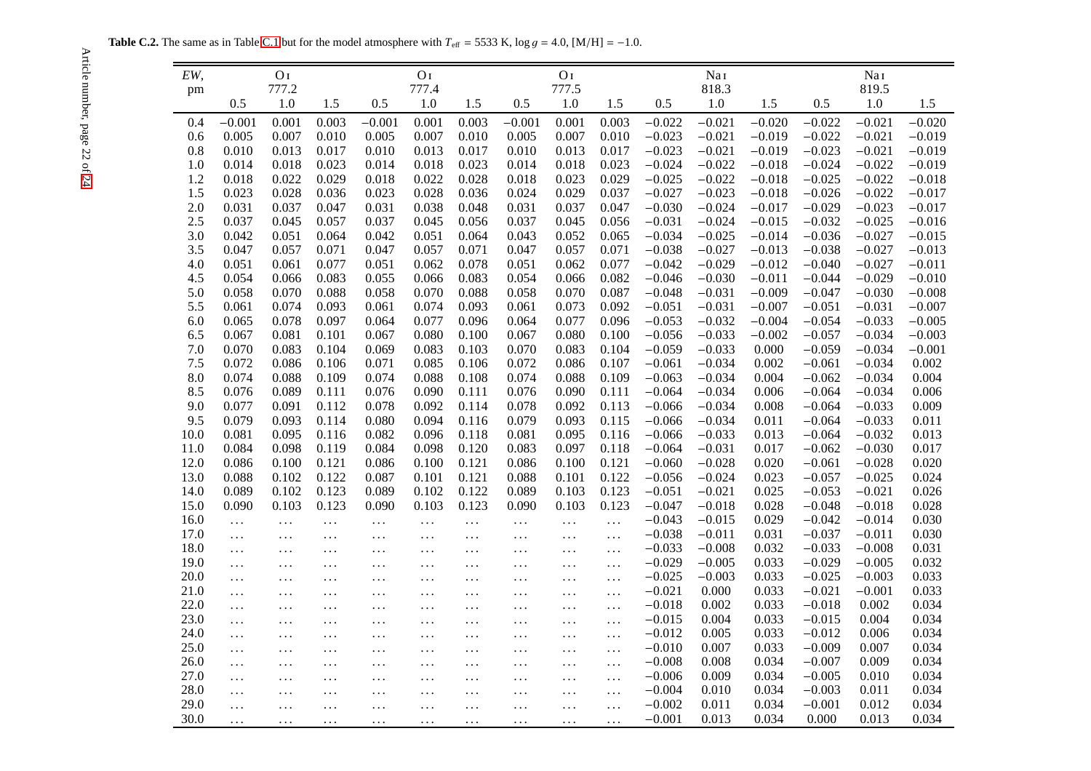**Table C.2.** The same as in Table [C.1](#page-20-1) but for the model atmosphere with  $T_{\text{eff}} = 5533$  K, log  $g = 4.0$ , [M/H] =  $-1.0$ .

| EW,        |                | O <sub>I</sub> |                |                | O <sub>I</sub> |                |                | O <sub>I</sub> |                |                      | NaI                  |                |                      | Nai                  |                      |
|------------|----------------|----------------|----------------|----------------|----------------|----------------|----------------|----------------|----------------|----------------------|----------------------|----------------|----------------------|----------------------|----------------------|
| pm         |                | 777.2          |                |                | 777.4          |                |                | 777.5          |                |                      | 818.3                |                |                      | 819.5                |                      |
|            | 0.5            | 1.0            | 1.5            | 0.5            | 1.0            | 1.5            | 0.5            | 1.0            | 1.5            | 0.5                  | $1.0\,$              | 1.5            | 0.5                  | $1.0\,$              | 1.5                  |
| 0.4        | $-0.001$       | 0.001          | 0.003          | $-0.001$       | 0.001          | 0.003          | $-0.001$       | 0.001          | 0.003          | $-0.022$             | $-0.021$             | $-0.020$       | $-0.022$             | $-0.021$             | $-0.020$             |
| 0.6        | 0.005          | 0.007          | 0.010          | 0.005          | 0.007          | 0.010          | 0.005          | 0.007          | 0.010          | $-0.023$             | $-0.021$             | $-0.019$       | $-0.022$             | $-0.021$             | $-0.019$             |
| 0.8        | 0.010          | 0.013          | 0.017          | 0.010          | 0.013          | 0.017          | 0.010          | 0.013          | 0.017          | $-0.023$             | $-0.021$             | $-0.019$       | $-0.023$             | $-0.021$             | $-0.019$             |
| 1.0        | 0.014          | 0.018          | 0.023          | 0.014          | 0.018          | 0.023          | 0.014          | 0.018          | 0.023          | $-0.024$             | $-0.022$             | $-0.018$       | $-0.024$             | $-0.022$             | $-0.019$             |
| 1.2        | 0.018          | 0.022          | 0.029          | 0.018          | 0.022          | 0.028          | 0.018          | 0.023          | 0.029          | $-0.025$             | $-0.022$             | $-0.018$       | $-0.025$             | $-0.022$             | $-0.018$             |
| 1.5        | 0.023          | 0.028          | 0.036          | 0.023          | 0.028          | 0.036          | 0.024          | 0.029          | 0.037          | $-0.027$             | $-0.023$             | $-0.018$       | $-0.026$             | $-0.022$             | $-0.017$             |
| 2.0        | 0.031          | 0.037          | 0.047          | 0.031          | 0.038          | 0.048          | 0.031          | 0.037          | 0.047          | $-0.030$             | $-0.024$             | $-0.017$       | $-0.029$             | $-0.023$             | $-0.017$             |
| 2.5        | 0.037          | 0.045          | 0.057          | 0.037          | 0.045          | 0.056          | 0.037          | 0.045          | 0.056          | $-0.031$             | $-0.024$             | $-0.015$       | $-0.032$             | $-0.025$             | $-0.016$             |
| 3.0        | 0.042          | 0.051          | 0.064          | 0.042          | 0.051          | 0.064          | 0.043          | 0.052          | 0.065          | $-0.034$             | $-0.025$             | $-0.014$       | $-0.036$             | $-0.027$             | $-0.015$             |
| 3.5        | 0.047          | 0.057          | 0.071          | 0.047          | 0.057          | 0.071          | 0.047          | 0.057          | 0.071          | $-0.038$             | $-0.027$             | $-0.013$       | $-0.038$             | $-0.027$             | $-0.013$             |
| 4.0        | 0.051          | 0.061          | 0.077          | 0.051          | 0.062          | 0.078          | 0.051          | 0.062          | 0.077          | $-0.042$             | $-0.029$             | $-0.012$       | $-0.040$             | $-0.027$             | $-0.011$             |
| 4.5        | 0.054          | 0.066          | 0.083          | 0.055          | 0.066          | 0.083          | 0.054          | 0.066          | 0.082          | $-0.046$             | $-0.030$             | $-0.011$       | $-0.044$             | $-0.029$             | $-0.010$             |
| 5.0        | 0.058          | 0.070          | 0.088          | 0.058          | 0.070          | 0.088          | 0.058          | 0.070          | 0.087          | $-0.048$             | $-0.031$             | $-0.009$       | $-0.047$             | $-0.030$             | $-0.008$             |
| 5.5        | 0.061          | 0.074          | 0.093          | 0.061          | 0.074          | 0.093          | 0.061          | 0.073          | 0.092          | $-0.051$             | $-0.031$             | $-0.007$       | $-0.051$             | $-0.031$             | $-0.007$             |
| 6.0        | 0.065          | 0.078          | 0.097          | 0.064          | 0.077          | 0.096          | 0.064          | 0.077          | 0.096          | $-0.053$             | $-0.032$             | $-0.004$       | $-0.054$             | $-0.033$             | $-0.005$             |
| 6.5        | 0.067          | 0.081          | 0.101          | 0.067          | 0.080          | 0.100          | 0.067          | 0.080<br>0.083 | 0.100          | $-0.056$             | $-0.033$             | $-0.002$       | $-0.057$<br>$-0.059$ | $-0.034$             | $-0.003$<br>$-0.001$ |
| 7.0        | 0.070          | 0.083          | 0.104          | 0.069          | 0.083          | 0.103          | 0.070          |                | 0.104          | $-0.059$             | $-0.033$             | 0.000          |                      | $-0.034$             |                      |
| 7.5        | 0.072<br>0.074 | 0.086<br>0.088 | 0.106          | 0.071<br>0.074 | 0.085          | 0.106<br>0.108 | 0.072<br>0.074 | 0.086<br>0.088 | 0.107<br>0.109 | $-0.061$             | $-0.034$<br>$-0.034$ | 0.002          | $-0.061$<br>$-0.062$ | $-0.034$<br>$-0.034$ | 0.002<br>0.004       |
| 8.0<br>8.5 | 0.076          | 0.089          | 0.109<br>0.111 | 0.076          | 0.088<br>0.090 | 0.111          | 0.076          | 0.090          | 0.111          | $-0.063$<br>$-0.064$ | $-0.034$             | 0.004<br>0.006 | $-0.064$             | $-0.034$             | 0.006                |
| 9.0        | 0.077          | 0.091          | 0.112          | 0.078          | 0.092          | 0.114          | 0.078          | 0.092          | 0.113          | $-0.066$             | $-0.034$             | 0.008          | $-0.064$             | $-0.033$             | 0.009                |
| 9.5        | 0.079          | 0.093          | 0.114          | 0.080          | 0.094          | 0.116          | 0.079          | 0.093          | 0.115          | $-0.066$             | $-0.034$             | 0.011          | $-0.064$             | $-0.033$             | 0.011                |
| 10.0       | 0.081          | 0.095          | 0.116          | 0.082          | 0.096          | 0.118          | 0.081          | 0.095          | 0.116          | $-0.066$             | $-0.033$             | 0.013          | $-0.064$             | $-0.032$             | 0.013                |
| 11.0       | 0.084          | 0.098          | 0.119          | 0.084          | 0.098          | 0.120          | 0.083          | 0.097          | 0.118          | $-0.064$             | $-0.031$             | 0.017          | $-0.062$             | $-0.030$             | 0.017                |
| 12.0       | 0.086          | 0.100          | 0.121          | 0.086          | 0.100          | 0.121          | 0.086          | 0.100          | 0.121          | $-0.060$             | $-0.028$             | 0.020          | $-0.061$             | $-0.028$             | 0.020                |
| 13.0       | 0.088          | 0.102          | 0.122          | 0.087          | 0.101          | 0.121          | 0.088          | 0.101          | 0.122          | $-0.056$             | $-0.024$             | 0.023          | $-0.057$             | $-0.025$             | 0.024                |
| 14.0       | 0.089          | 0.102          | 0.123          | 0.089          | 0.102          | 0.122          | 0.089          | 0.103          | 0.123          | $-0.051$             | $-0.021$             | 0.025          | $-0.053$             | $-0.021$             | 0.026                |
| 15.0       | 0.090          | 0.103          | 0.123          | 0.090          | 0.103          | 0.123          | 0.090          | 0.103          | 0.123          | $-0.047$             | $-0.018$             | 0.028          | $-0.048$             | $-0.018$             | 0.028                |
| 16.0       | $\ddotsc$      | $\cdots$       | .              | $\ddotsc$      | $\ldots$       | $\cdots$       | $\ldots$       | $\ldots$       | $\ldots$       | $-0.043$             | $-0.015$             | 0.029          | $-0.042$             | $-0.014$             | 0.030                |
| 17.0       | $\ldots$       | $\ldots$       | $\ldots$       | $\ldots$       | $\cdots$       | $\cdots$       | $\cdots$       | $\ddotsc$      | $\ldots$       | $-0.038$             | $-0.011$             | 0.031          | $-0.037$             | $-0.011$             | 0.030                |
| 18.0       | $\cdots$       | $\ldots$       | $\cdots$       | $\ddots$       | $\cdots$       | $\ldots$       | $\ldots$       | $\ldots$       | $\ldots$       | $-0.033$             | $-0.008$             | 0.032          | $-0.033$             | $-0.008$             | 0.031                |
| 19.0       | $\cdots$       | $\cdots$       | $\ddotsc$      | $\ddotsc$      | $\ldots$       | $\ddotsc$      | $\ldots$       | $\ldots$       | $\ldots$       | $-0.029$             | $-0.005$             | 0.033          | $-0.029$             | $-0.005$             | 0.032                |
| 20.0       | $\cdots$       | $\cdots$       | $\cdots$       | $\cdots$       | $\ldots$       | $\cdots$       | $\ldots$       | $\ldots$       | $\cdots$       | $-0.025$             | $-0.003$             | 0.033          | $-0.025$             | $-0.003$             | 0.033                |
| 21.0       | .              | $\cdots$       | $\ddotsc$      | $\ddotsc$      | $\ddotsc$      | $\ddotsc$      | $\ldots$       | $\ddotsc$      | $\cdots$       | $-0.021$             | 0.000                | 0.033          | $-0.021$             | $-0.001$             | 0.033                |
| 22.0       | $\ddotsc$      | $\cdots$       | $\cdots$       | $\cdots$       | $\ddots$       | $\ddots$       | $\ldots$       | .              | $\cdots$       | $-0.018$             | 0.002                | 0.033          | $-0.018$             | 0.002                | 0.034                |
| 23.0       | .              | $\cdots$       | $\ddotsc$      | $\cdots$       | $\ddots$       | $\ddots$       | $\cdots$       | $\ddots$       | $\cdots$       | $-0.015$             | 0.004                | 0.033          | $-0.015$             | 0.004                | 0.034                |
| 24.0       | .              | $\ldots$       | $\ldots$       | $\cdots$       | $\cdots$       | $\ldots$       | $\ldots$       | $\ldots$       | $\cdots$       | $-0.012$             | 0.005                | 0.033          | $-0.012$             | 0.006                | 0.034                |
| 25.0       | .              | $\cdots$       | $\ddots$       | $\ddotsc$      | $\ddots$       | $\ddots$       | $\ddots$       | $\ddots$       | $\ddotsc$      | $-0.010$             | 0.007                | 0.033          | $-0.009$             | 0.007                | 0.034                |
| 26.0       | .              | $\cdots$       | $\ddots$       | $\ddotsc$      | $\cdots$       | $\ddotsc$      | $\cdots$       | $\ddots$       | $\ldots$       | $-0.008$             | 0.008                | 0.034          | $-0.007$             | 0.009                | 0.034                |
| 27.0       | $\cdots$       | .              | .              | $\cdots$       | $\ldots$       | $\ddots$       | $\ddotsc$      | .              | $\ddotsc$      | $-0.006$             | 0.009                | 0.034          | $-0.005$             | 0.010                | 0.034                |
| 28.0       | $\cdots$       | .              | $\cdots$       | .              | .              | $\ddots$       | .              | .              | $\ddotsc$      | $-0.004$             | 0.010                | 0.034          | $-0.003$             | 0.011                | 0.034                |
| 29.0       | $\cdots$       | $\cdots$       | $\ddots$       | $\ddotsc$      | $\ddotsc$      | $\ddotsc$      | $\ddots$       | $\cdots$       | $\cdots$       | $-0.002$             | 0.011                | 0.034          | $-0.001$             | 0.012                | 0.034                |
| 30.0       | .              | $\cdots$       | .              | .              | .              | $\ldots$       | .              | .              | $\ddotsc$      | $-0.001$             | 0.013                | 0.034          | 0.000                | 0.013                | 0.034                |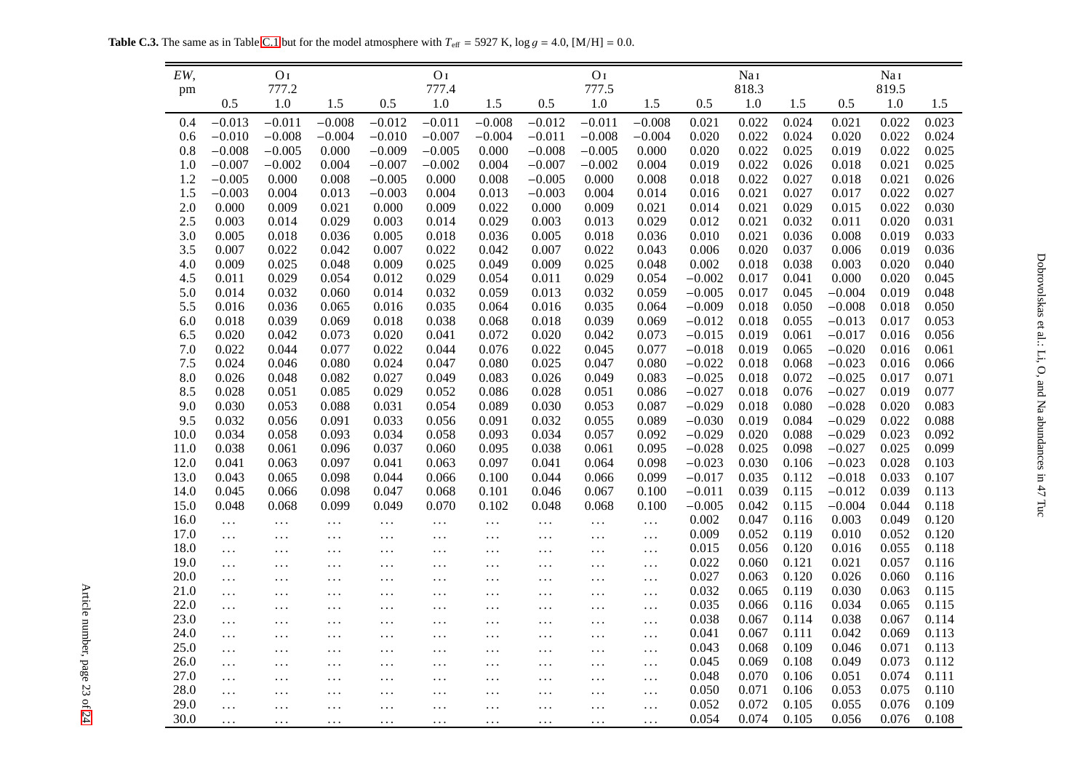**Table C.3.** The same as in Table [C.1](#page-20-1) but for the model atmosphere with  $T_{\text{eff}} = 5927$  K,  $\log g = 4.0$ , [M/H] = 0.0.

| EW,        |                      | O <sub>I</sub> |                |                   | O <sub>I</sub> |                |                      | O <sub>I</sub>   |                |                | Nai            |                |                | Nai              |                |
|------------|----------------------|----------------|----------------|-------------------|----------------|----------------|----------------------|------------------|----------------|----------------|----------------|----------------|----------------|------------------|----------------|
| pm         | 0.5                  | 777.2<br>1.0   | 1.5            | 0.5               | 777.4<br>1.0   | 1.5            | 0.5                  | 777.5<br>$1.0\,$ | 1.5            | 0.5            | 818.3<br>1.0   | 1.5            | 0.5            | 819.5<br>$1.0\,$ | 1.5            |
|            |                      |                |                |                   |                |                |                      |                  |                |                |                |                |                |                  |                |
| 0.4        | $-0.013$             | $-0.011$       | $-0.008$       | $-0.012$          | $-0.011$       | $-0.008$       | $-0.012$             | $-0.011$         | $-0.008$       | 0.021          | 0.022          | 0.024          | 0.021          | 0.022            | 0.023          |
| 0.6        | $-0.010$             | $-0.008$       | $-0.004$       | $-0.010$          | $-0.007$       | $-0.004$       | $-0.011$             | $-0.008$         | $-0.004$       | 0.020          | 0.022          | 0.024          | 0.020          | 0.022            | 0.024          |
| 0.8        | $-0.008$             | $-0.005$       | 0.000          | $-0.009$          | $-0.005$       | 0.000          | $-0.008$             | $-0.005$         | 0.000          | 0.020          | 0.022          | 0.025          | 0.019          | 0.022            | 0.025          |
| 1.0        | $-0.007$             | $-0.002$       | 0.004          | $-0.007$          | $-0.002$       | 0.004          | $-0.007$             | $-0.002$         | 0.004          | 0.019          | 0.022          | 0.026          | 0.018          | 0.021            | 0.025          |
| 1.2<br>1.5 | $-0.005$<br>$-0.003$ | 0.000<br>0.004 | 0.008<br>0.013 | $-0.005$          | 0.000          | 0.008          | $-0.005$<br>$-0.003$ | 0.000<br>0.004   | 0.008<br>0.014 | 0.018          | 0.022<br>0.021 | 0.027          | 0.018<br>0.017 | 0.021<br>0.022   | 0.026<br>0.027 |
| 2.0        | 0.000                | 0.009          | 0.021          | $-0.003$<br>0.000 | 0.004<br>0.009 | 0.013<br>0.022 | 0.000                | 0.009            | 0.021          | 0.016<br>0.014 | 0.021          | 0.027<br>0.029 | 0.015          | 0.022            | 0.030          |
| 2.5        | 0.003                | 0.014          | 0.029          | 0.003             | 0.014          | 0.029          | 0.003                | 0.013            | 0.029          | 0.012          | 0.021          | 0.032          | 0.011          | 0.020            | 0.031          |
| 3.0        | 0.005                | 0.018          | 0.036          | 0.005             | 0.018          | 0.036          | 0.005                | 0.018            | 0.036          | 0.010          | 0.021          | 0.036          | 0.008          | 0.019            | 0.033          |
| 3.5        | 0.007                | 0.022          | 0.042          | 0.007             | 0.022          | 0.042          | 0.007                | 0.022            | 0.043          | 0.006          | 0.020          | 0.037          | 0.006          | 0.019            | 0.036          |
| 4.0        | 0.009                | 0.025          | 0.048          | 0.009             | 0.025          | 0.049          | 0.009                | 0.025            | 0.048          | 0.002          | 0.018          | 0.038          | 0.003          | 0.020            | 0.040          |
| 4.5        | 0.011                | 0.029          | 0.054          | 0.012             | 0.029          | 0.054          | 0.011                | 0.029            | 0.054          | $-0.002$       | 0.017          | 0.041          | 0.000          | 0.020            | 0.045          |
| 5.0        | 0.014                | 0.032          | 0.060          | 0.014             | 0.032          | 0.059          | 0.013                | 0.032            | 0.059          | $-0.005$       | 0.017          | 0.045          | $-0.004$       | 0.019            | 0.048          |
| 5.5        | 0.016                | 0.036          | 0.065          | 0.016             | 0.035          | 0.064          | 0.016                | 0.035            | 0.064          | $-0.009$       | 0.018          | 0.050          | $-0.008$       | 0.018            | 0.050          |
| 6.0        | 0.018                | 0.039          | 0.069          | 0.018             | 0.038          | 0.068          | 0.018                | 0.039            | 0.069          | $-0.012$       | 0.018          | 0.055          | $-0.013$       | 0.017            | 0.053          |
| 6.5        | 0.020                | 0.042          | 0.073          | 0.020             | 0.041          | 0.072          | 0.020                | 0.042            | 0.073          | $-0.015$       | 0.019          | 0.061          | $-0.017$       | 0.016            | 0.056          |
| 7.0        | 0.022                | 0.044          | 0.077          | 0.022             | 0.044          | 0.076          | 0.022                | 0.045            | 0.077          | $-0.018$       | 0.019          | 0.065          | $-0.020$       | 0.016            | 0.061          |
| 7.5        | 0.024                | 0.046          | 0.080          | 0.024             | 0.047          | 0.080          | 0.025                | 0.047            | 0.080          | $-0.022$       | 0.018          | 0.068          | $-0.023$       | 0.016            | 0.066          |
| 8.0        | 0.026                | 0.048          | 0.082          | 0.027             | 0.049          | 0.083          | 0.026                | 0.049            | 0.083          | $-0.025$       | 0.018          | 0.072          | $-0.025$       | 0.017            | 0.071          |
| 8.5        | 0.028                | 0.051          | 0.085          | 0.029             | 0.052          | 0.086          | 0.028                | 0.051            | 0.086          | $-0.027$       | 0.018          | 0.076          | $-0.027$       | 0.019            | 0.077          |
| 9.0        | 0.030                | 0.053          | 0.088          | 0.031             | 0.054          | 0.089          | 0.030                | 0.053            | 0.087          | $-0.029$       | 0.018          | 0.080          | $-0.028$       | 0.020            | 0.083          |
| 9.5        | 0.032                | 0.056          | 0.091          | 0.033             | 0.056          | 0.091          | 0.032                | 0.055            | 0.089          | $-0.030$       | 0.019          | 0.084          | $-0.029$       | 0.022            | 0.088          |
| 10.0       | 0.034                | 0.058          | 0.093          | 0.034             | 0.058          | 0.093          | 0.034                | 0.057            | 0.092          | $-0.029$       | 0.020          | 0.088          | $-0.029$       | 0.023            | 0.092          |
| 11.0       | 0.038                | 0.061          | 0.096          | 0.037             | 0.060          | 0.095          | 0.038                | 0.061            | 0.095          | $-0.028$       | 0.025          | 0.098          | $-0.027$       | 0.025            | 0.099          |
| 12.0       | 0.041                | 0.063          | 0.097          | 0.041             | 0.063          | 0.097          | 0.041                | 0.064            | 0.098          | $-0.023$       | 0.030          | 0.106          | $-0.023$       | 0.028            | 0.103          |
| 13.0       | 0.043                | 0.065          | 0.098          | 0.044             | 0.066          | 0.100          | 0.044                | 0.066            | 0.099          | $-0.017$       | 0.035          | 0.112          | $-0.018$       | 0.033            | 0.107          |
| 14.0       | 0.045                | 0.066          | 0.098          | 0.047             | 0.068          | 0.101          | 0.046                | 0.067            | 0.100          | $-0.011$       | 0.039          | 0.115          | $-0.012$       | 0.039            | 0.113          |
| 15.0       | 0.048                | 0.068          | 0.099          | 0.049             | 0.070          | 0.102          | 0.048                | 0.068            | 0.100          | $-0.005$       | 0.042          | 0.115          | $-0.004$       | 0.044            | 0.118          |
| 16.0       | $\cdots$             | .              | .              | $\ldots$          | $\ldots$       | .              | $\ldots$             | $\ldots$         | $\ldots$       | 0.002          | 0.047          | 0.116          | 0.003          | 0.049            | 0.120          |
| 17.0       | $\cdots$             | $\ldots$       | $\ldots$       | $\ldots$          | $\ldots$       | $\ldots$       | $\ldots$             | $\ldots$         | .              | 0.009          | 0.052          | 0.119          | 0.010          | 0.052            | 0.120          |
| 18.0       | $\cdots$             | $\ddotsc$      | $\ddotsc$      | $\ddotsc$         | $\ddots$       | $\ldots$       | $\ldots$             | $\ldots$         | $\ldots$       | 0.015          | 0.056          | 0.120          | 0.016          | 0.055            | 0.118          |
| 19.0       | .                    | $\cdots$       | $\ldots$       | $\cdots$          | $\ldots$       | $\ddots$       | $\ldots$             | $\dots$          | $\ldots$       | 0.022          | 0.060          | 0.121          | 0.021          | 0.057            | 0.116          |
| 20.0       | $\ddots$             | $\cdots$       | $\cdots$       | $\ddots$          | $\ddotsc$      | $\ddotsc$      | $\cdots$             | $\cdots$         | $\ldots$       | 0.027          | 0.063          | 0.120          | 0.026          | 0.060            | 0.116          |
| 21.0       | $\cdots$             | $\ddots$       | $\ddotsc$      | $\ddotsc$         | $\ddotsc$      | $\ddotsc$      | $\cdots$             | $\ldots$         | $\ddotsc$      | 0.032          | 0.065          | 0.119          | 0.030          | 0.063            | 0.115          |
| 22.0       | .                    | $\cdots$       | $\ddotsc$      | $\ddotsc$         | $\ddots$       | $\ddotsc$      | $\cdots$             | $\ldots$         | $\cdots$       | 0.035          | 0.066          | 0.116          | 0.034          | 0.065            | 0.115          |
| 23.0       | $\ddots$             | $\ddots$       | $\cdots$       | $\ldots$          | $\ddotsc$      | $\ddotsc$      | $\cdots$             | $\ldots$         | $\ldots$       | 0.038          | 0.067          | 0.114          | 0.038          | 0.067            | 0.114          |
| 24.0       | $\cdots$             | $\cdots$       | $\ddotsc$      | $\ddotsc$         | $\ddots$       | $\ddotsc$      | $\cdots$             | $\ldots$         | $\ldots$       | 0.041          | 0.067          | 0.111          | 0.042          | 0.069            | 0.113          |
| 25.0       | $\cdots$             | $\ddots$       | $\ddots$       | $\ddots$          | $\ldots$       | $\cdots$       | $\cdots$             | $\ldots$         | $\cdots$       | 0.043          | 0.068          | 0.109          | 0.046          | 0.071            | 0.113          |
| 26.0       | $\cdots$             | $\cdots$       | $\ddotsc$      | $\ddotsc$         | $\ldots$       | $\ddotsc$      | $\cdots$             | $\ldots$         | $\ddotsc$      | 0.045          | 0.069          | 0.108          | 0.049          | 0.073            | 0.112          |
| 27.0       | .                    | $\cdots$       | $\ddotsc$      | $\cdots$          | $\ddots$       | $\ddotsc$      | $\ldots$             | $\ldots$         | $\cdots$       | 0.048          | 0.070          | 0.106          | 0.051          | 0.074            | 0.111          |
| 28.0       | $\ddots$             | $\cdots$       | $\ddotsc$      | $\ddots$          | $\ddotsc$      | $\cdots$       | $\cdots$             | $\ldots$         | $\ldots$       | 0.050          | 0.071          | 0.106          | 0.053          | 0.075            | 0.110          |
| 29.0       | .                    | $\ddots$       | $\ddotsc$      | $\ddots$          | $\ddotsc$      | $\ddotsc$      | $\cdots$             | $\ddotsc$        | $\ddotsc$      | 0.052          | 0.072          | 0.105          | 0.055          | 0.076            | 0.109          |
| 30.0       | $\cdots$             | $\cdots$       | $\ldots$       | $\ddots$          | $\ldots$       | $\ddotsc$      | $\ldots$             | $\ddots$         | $\cdots$       | 0.054          | 0.074          | 0.105          | 0.056          | 0.076            | 0.108          |